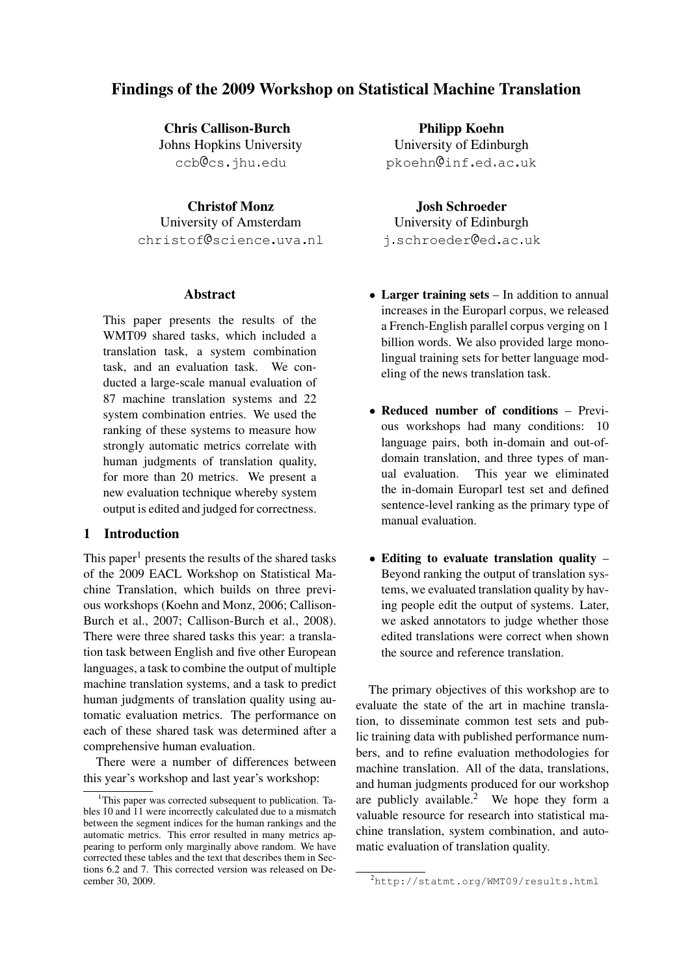# Findings of the 2009 Workshop on Statistical Machine Translation

Chris Callison-Burch Johns Hopkins University ccb@cs.jhu.edu

Christof Monz University of Amsterdam christof@science.uva.nl

#### **Abstract**

This paper presents the results of the WMT09 shared tasks, which included a translation task, a system combination task, and an evaluation task. We conducted a large-scale manual evaluation of 87 machine translation systems and 22 system combination entries. We used the ranking of these systems to measure how strongly automatic metrics correlate with human judgments of translation quality, for more than 20 metrics. We present a new evaluation technique whereby system output is edited and judged for correctness.

#### 1 Introduction

This paper<sup>1</sup> presents the results of the shared tasks of the 2009 EACL Workshop on Statistical Machine Translation, which builds on three previous workshops (Koehn and Monz, 2006; Callison-Burch et al., 2007; Callison-Burch et al., 2008). There were three shared tasks this year: a translation task between English and five other European languages, a task to combine the output of multiple machine translation systems, and a task to predict human judgments of translation quality using automatic evaluation metrics. The performance on each of these shared task was determined after a comprehensive human evaluation.

There were a number of differences between this year's workshop and last year's workshop:

Philipp Koehn University of Edinburgh pkoehn@inf.ed.ac.uk

#### Josh Schroeder

University of Edinburgh i.schroeder@ed.ac.uk

- Larger training sets In addition to annual increases in the Europarl corpus, we released a French-English parallel corpus verging on 1 billion words. We also provided large monolingual training sets for better language modeling of the news translation task.
- Reduced number of conditions Previous workshops had many conditions: 10 language pairs, both in-domain and out-ofdomain translation, and three types of manual evaluation. This year we eliminated the in-domain Europarl test set and defined sentence-level ranking as the primary type of manual evaluation.
- Editing to evaluate translation quality Beyond ranking the output of translation systems, we evaluated translation quality by having people edit the output of systems. Later, we asked annotators to judge whether those edited translations were correct when shown the source and reference translation.

The primary objectives of this workshop are to evaluate the state of the art in machine translation, to disseminate common test sets and public training data with published performance numbers, and to refine evaluation methodologies for machine translation. All of the data, translations, and human judgments produced for our workshop are publicly available.<sup>2</sup> We hope they form a valuable resource for research into statistical machine translation, system combination, and automatic evaluation of translation quality.

<sup>1</sup>This paper was corrected subsequent to publication. Tables 10 and 11 were incorrectly calculated due to a mismatch between the segment indices for the human rankings and the automatic metrics. This error resulted in many metrics appearing to perform only marginally above random. We have corrected these tables and the text that describes them in Sections 6.2 and 7. This corrected version was released on December 30, 2009.

<sup>2</sup>http://statmt.org/WMT09/results.html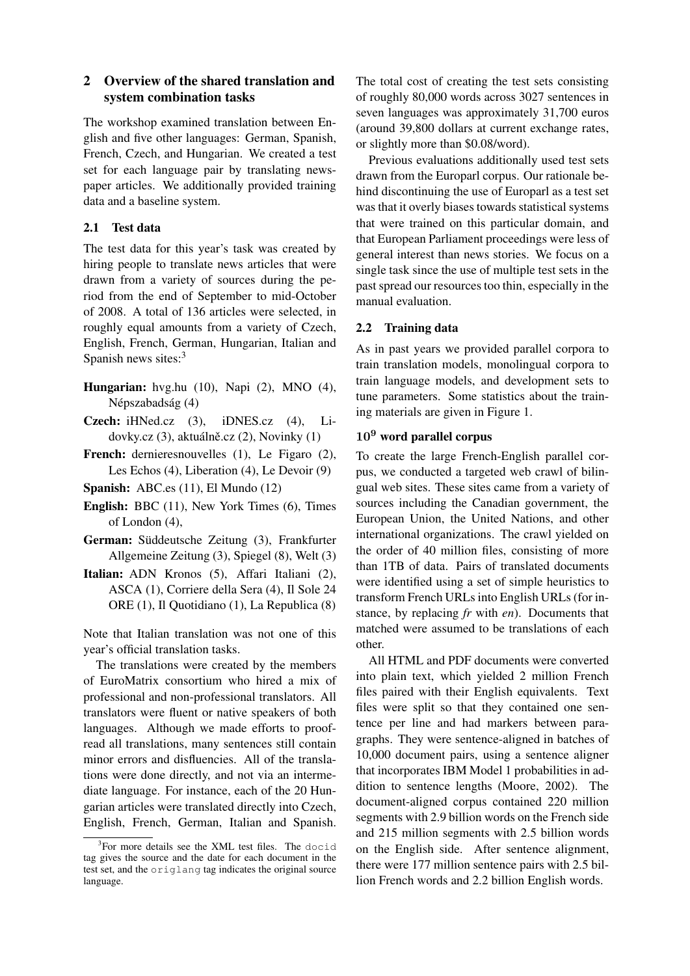# 2 Overview of the shared translation and system combination tasks

The workshop examined translation between English and five other languages: German, Spanish, French, Czech, and Hungarian. We created a test set for each language pair by translating newspaper articles. We additionally provided training data and a baseline system.

# 2.1 Test data

The test data for this year's task was created by hiring people to translate news articles that were drawn from a variety of sources during the period from the end of September to mid-October of 2008. A total of 136 articles were selected, in roughly equal amounts from a variety of Czech, English, French, German, Hungarian, Italian and Spanish news sites:<sup>3</sup>

- Hungarian: hvg.hu (10), Napi (2), MNO (4), Népszabadság (4)
- Czech: iHNed.cz (3), iDNES.cz (4), Lidovky.cz (3), aktuálně.cz (2), Novinky (1)
- French: dernieresnouvelles (1), Le Figaro (2), Les Echos (4), Liberation (4), Le Devoir (9)
- Spanish: ABC.es (11), El Mundo (12)
- English: BBC (11), New York Times (6), Times of London (4),
- German: Süddeutsche Zeitung (3), Frankfurter Allgemeine Zeitung (3), Spiegel (8), Welt (3)
- Italian: ADN Kronos (5), Affari Italiani (2), ASCA (1), Corriere della Sera (4), Il Sole 24 ORE (1), Il Quotidiano (1), La Republica (8)

Note that Italian translation was not one of this year's official translation tasks.

The translations were created by the members of EuroMatrix consortium who hired a mix of professional and non-professional translators. All translators were fluent or native speakers of both languages. Although we made efforts to proofread all translations, many sentences still contain minor errors and disfluencies. All of the translations were done directly, and not via an intermediate language. For instance, each of the 20 Hungarian articles were translated directly into Czech, English, French, German, Italian and Spanish. The total cost of creating the test sets consisting of roughly 80,000 words across 3027 sentences in seven languages was approximately 31,700 euros (around 39,800 dollars at current exchange rates, or slightly more than \$0.08/word).

Previous evaluations additionally used test sets drawn from the Europarl corpus. Our rationale behind discontinuing the use of Europarl as a test set was that it overly biases towards statistical systems that were trained on this particular domain, and that European Parliament proceedings were less of general interest than news stories. We focus on a single task since the use of multiple test sets in the past spread our resources too thin, especially in the manual evaluation.

## 2.2 Training data

As in past years we provided parallel corpora to train translation models, monolingual corpora to train language models, and development sets to tune parameters. Some statistics about the training materials are given in Figure 1.

# 10<sup>9</sup> word parallel corpus

To create the large French-English parallel corpus, we conducted a targeted web crawl of bilingual web sites. These sites came from a variety of sources including the Canadian government, the European Union, the United Nations, and other international organizations. The crawl yielded on the order of 40 million files, consisting of more than 1TB of data. Pairs of translated documents were identified using a set of simple heuristics to transform French URLs into English URLs (for instance, by replacing *fr* with *en*). Documents that matched were assumed to be translations of each other.

All HTML and PDF documents were converted into plain text, which yielded 2 million French files paired with their English equivalents. Text files were split so that they contained one sentence per line and had markers between paragraphs. They were sentence-aligned in batches of 10,000 document pairs, using a sentence aligner that incorporates IBM Model 1 probabilities in addition to sentence lengths (Moore, 2002). The document-aligned corpus contained 220 million segments with 2.9 billion words on the French side and 215 million segments with 2.5 billion words on the English side. After sentence alignment, there were 177 million sentence pairs with 2.5 billion French words and 2.2 billion English words.

<sup>&</sup>lt;sup>3</sup>For more details see the XML test files. The docid tag gives the source and the date for each document in the test set, and the origlang tag indicates the original source language.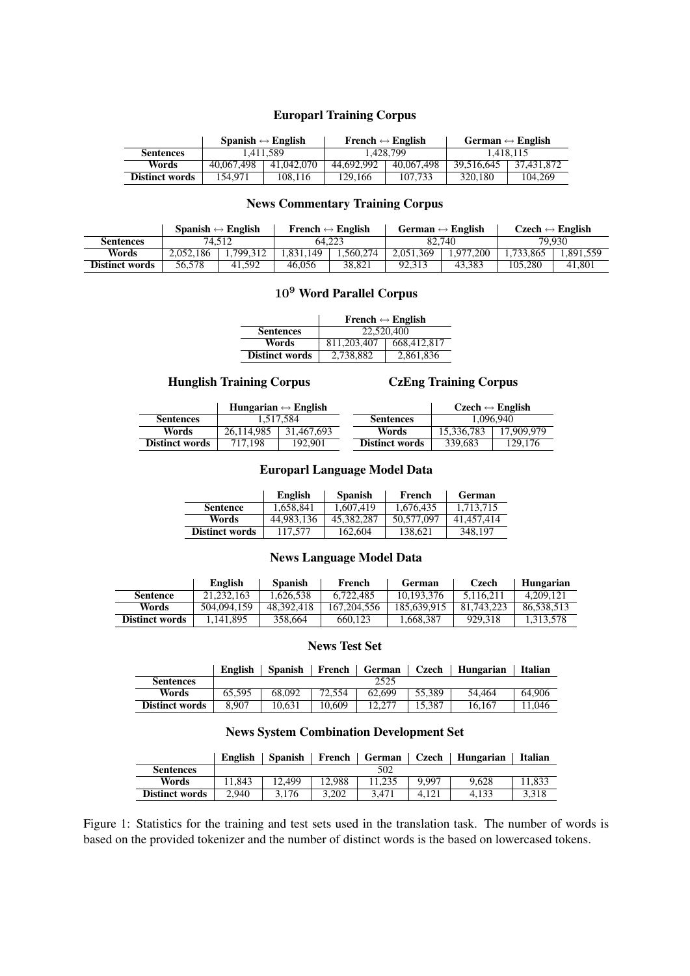## Europarl Training Corpus

|                       | Spanish $\leftrightarrow$ English |            |            | French $\leftrightarrow$ English | German $\leftrightarrow$ English |            |
|-----------------------|-----------------------------------|------------|------------|----------------------------------|----------------------------------|------------|
| <b>Sentences</b>      | 1.411.589                         |            | 1.428.799  |                                  | 1.418.115                        |            |
| Words                 | 40,067,498                        | 41,042,070 | 44,692,992 | 40,067,498                       | 39.516.645                       | 37.431.872 |
| <b>Distinct words</b> | 154.971                           | 108.116    | 129.166    | 107.733                          | 320,180                          | 104.269    |

## News Commentary Training Corpus

|                       |           | Spanish $\leftrightarrow$ English | French $\leftrightarrow$ English |            | German $\leftrightarrow$ English |          | $Czech \leftrightarrow English$ |          |
|-----------------------|-----------|-----------------------------------|----------------------------------|------------|----------------------------------|----------|---------------------------------|----------|
| <b>Sentences</b>      |           | 74.512                            |                                  | 64.223     |                                  | 82.740   |                                 | 79.930   |
| Words                 | 2.052.186 | .799.312                          | .831.149                         | . .560.274 | 2.051.369                        | .977.200 | .733.865                        | .891.559 |
| <b>Distinct words</b> | 56.578    | 41.592                            | 46.056                           | 38.821     | 92.313                           | 43.383   | 105.280                         | 41.801   |

# 10<sup>9</sup> Word Parallel Corpus

|                       | French $\leftrightarrow$ English |             |  |  |  |
|-----------------------|----------------------------------|-------------|--|--|--|
| <b>Sentences</b>      | 22,520,400                       |             |  |  |  |
| Words                 | 811.203.407                      | 668,412,817 |  |  |  |
| <b>Distinct words</b> | 2,738,882                        | 2,861,836   |  |  |  |

## Hunglish Training Corpus CzEng Training Corpus

|                       |            | Hungarian $\leftrightarrow$ English |                       | $Czech \leftrightarrow English$ |            |  |
|-----------------------|------------|-------------------------------------|-----------------------|---------------------------------|------------|--|
| <b>Sentences</b>      | 1.517.584  |                                     | <b>Sentences</b>      | 1.096.940                       |            |  |
| Words                 | 26.114.985 | 31.467.693                          | Words                 | 15.336.783                      | 17.909.979 |  |
| <b>Distinct words</b> | 717.198    | 192.901                             | <b>Distinct words</b> | 339.683                         | 129,176    |  |

## Europarl Language Model Data

|                       | English    | <b>Spanish</b> | French     | <b>German</b> |
|-----------------------|------------|----------------|------------|---------------|
| <b>Sentence</b>       | 1.658.841  | 1.607.419      | 1.676.435  | 1.713.715     |
| Words                 | 44.983.136 | 45,382,287     | 50,577,097 | 41.457.414    |
| <b>Distinct words</b> | 117,577    | 162,604        | 138.621    | 348.197       |

## News Language Model Data

|                       | English     | <b>Spanish</b> | French      | German      | Czech      | Hungarian  |
|-----------------------|-------------|----------------|-------------|-------------|------------|------------|
| <b>Sentence</b>       | 21.232.163  | .626.538       | 6.722.485   | 10.193.376  | 5.116.211  | 4.209.121  |
| Words                 | 504.094.159 | 48.392.418     | 167.204.556 | 185,639,915 | 81.743.223 | 86.538.513 |
| <b>Distinct words</b> | 1.141.895   | 358.664        | 660.123     | .668,387    | 929.318    | 1.313.578  |

# News Test Set

|                  |  |      | English   Spanish   French   German   Czech   Hungarian   Italian |  |
|------------------|--|------|-------------------------------------------------------------------|--|
| <b>Sentences</b> |  | 2525 |                                                                   |  |

| sentences             |        |        |        | ر ے رے |        |        |        |
|-----------------------|--------|--------|--------|--------|--------|--------|--------|
| Words                 | 65.595 | 68,092 | 72,554 | 62.699 | 55.389 | 54.464 | 64,906 |
| <b>Distinct words</b> | 8.907  | 10.631 | 10.609 | 12.277 | 15.387 | 16.167 | 11.046 |

# News System Combination Development Set

|                       | <b>English</b> | <b>Spanish</b> | French | German | Czech | Hungarian | Italian |
|-----------------------|----------------|----------------|--------|--------|-------|-----------|---------|
| <b>Sentences</b>      |                |                |        | 502    |       |           |         |
| Words                 | 11.843         | 12.499         | 12.988 |        | 9.997 | 9.628     | 1.833   |
| <b>Distinct words</b> | 2.940          | 3.176          | 3.202  | 3.471  | 4.121 | 4.133     | 3.318   |

Figure 1: Statistics for the training and test sets used in the translation task. The number of words is based on the provided tokenizer and the number of distinct words is the based on lowercased tokens.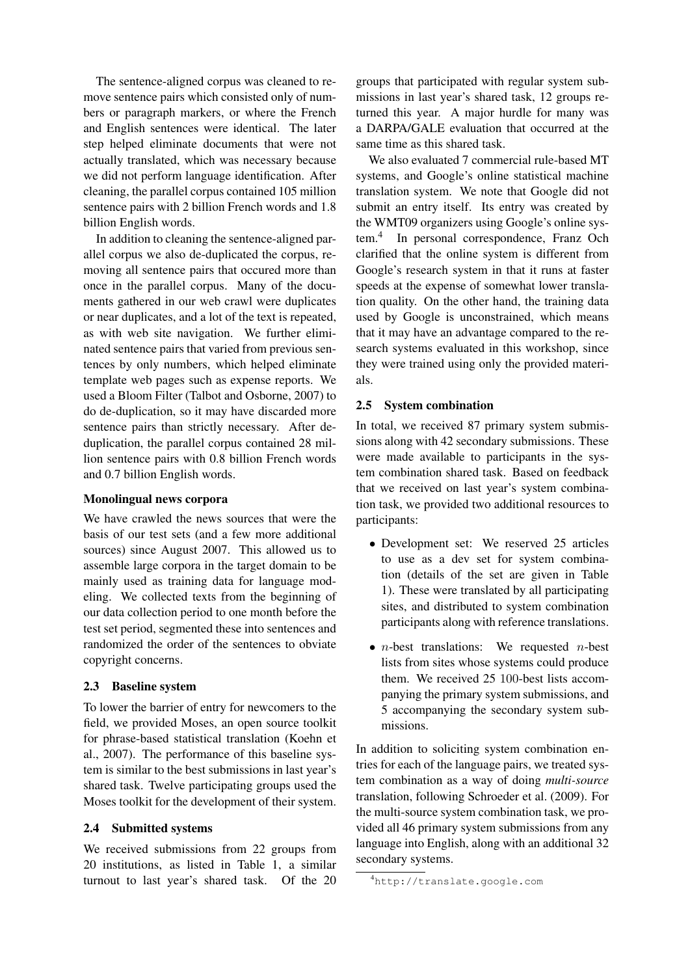The sentence-aligned corpus was cleaned to remove sentence pairs which consisted only of numbers or paragraph markers, or where the French and English sentences were identical. The later step helped eliminate documents that were not actually translated, which was necessary because we did not perform language identification. After cleaning, the parallel corpus contained 105 million sentence pairs with 2 billion French words and 1.8 billion English words.

In addition to cleaning the sentence-aligned parallel corpus we also de-duplicated the corpus, removing all sentence pairs that occured more than once in the parallel corpus. Many of the documents gathered in our web crawl were duplicates or near duplicates, and a lot of the text is repeated, as with web site navigation. We further eliminated sentence pairs that varied from previous sentences by only numbers, which helped eliminate template web pages such as expense reports. We used a Bloom Filter (Talbot and Osborne, 2007) to do de-duplication, so it may have discarded more sentence pairs than strictly necessary. After deduplication, the parallel corpus contained 28 million sentence pairs with 0.8 billion French words and 0.7 billion English words.

## Monolingual news corpora

We have crawled the news sources that were the basis of our test sets (and a few more additional sources) since August 2007. This allowed us to assemble large corpora in the target domain to be mainly used as training data for language modeling. We collected texts from the beginning of our data collection period to one month before the test set period, segmented these into sentences and randomized the order of the sentences to obviate copyright concerns.

## 2.3 Baseline system

To lower the barrier of entry for newcomers to the field, we provided Moses, an open source toolkit for phrase-based statistical translation (Koehn et al., 2007). The performance of this baseline system is similar to the best submissions in last year's shared task. Twelve participating groups used the Moses toolkit for the development of their system.

#### 2.4 Submitted systems

We received submissions from 22 groups from 20 institutions, as listed in Table 1, a similar turnout to last year's shared task. Of the 20

groups that participated with regular system submissions in last year's shared task, 12 groups returned this year. A major hurdle for many was a DARPA/GALE evaluation that occurred at the same time as this shared task.

We also evaluated 7 commercial rule-based MT systems, and Google's online statistical machine translation system. We note that Google did not submit an entry itself. Its entry was created by the WMT09 organizers using Google's online system.<sup>4</sup> In personal correspondence, Franz Och clarified that the online system is different from Google's research system in that it runs at faster speeds at the expense of somewhat lower translation quality. On the other hand, the training data used by Google is unconstrained, which means that it may have an advantage compared to the research systems evaluated in this workshop, since they were trained using only the provided materials.

## 2.5 System combination

In total, we received 87 primary system submissions along with 42 secondary submissions. These were made available to participants in the system combination shared task. Based on feedback that we received on last year's system combination task, we provided two additional resources to participants:

- Development set: We reserved 25 articles to use as a dev set for system combination (details of the set are given in Table 1). These were translated by all participating sites, and distributed to system combination participants along with reference translations.
- $n$ -best translations: We requested  $n$ -best lists from sites whose systems could produce them. We received 25 100-best lists accompanying the primary system submissions, and 5 accompanying the secondary system submissions.

In addition to soliciting system combination entries for each of the language pairs, we treated system combination as a way of doing *multi-source* translation, following Schroeder et al. (2009). For the multi-source system combination task, we provided all 46 primary system submissions from any language into English, along with an additional 32 secondary systems.

<sup>4</sup>http://translate.google.com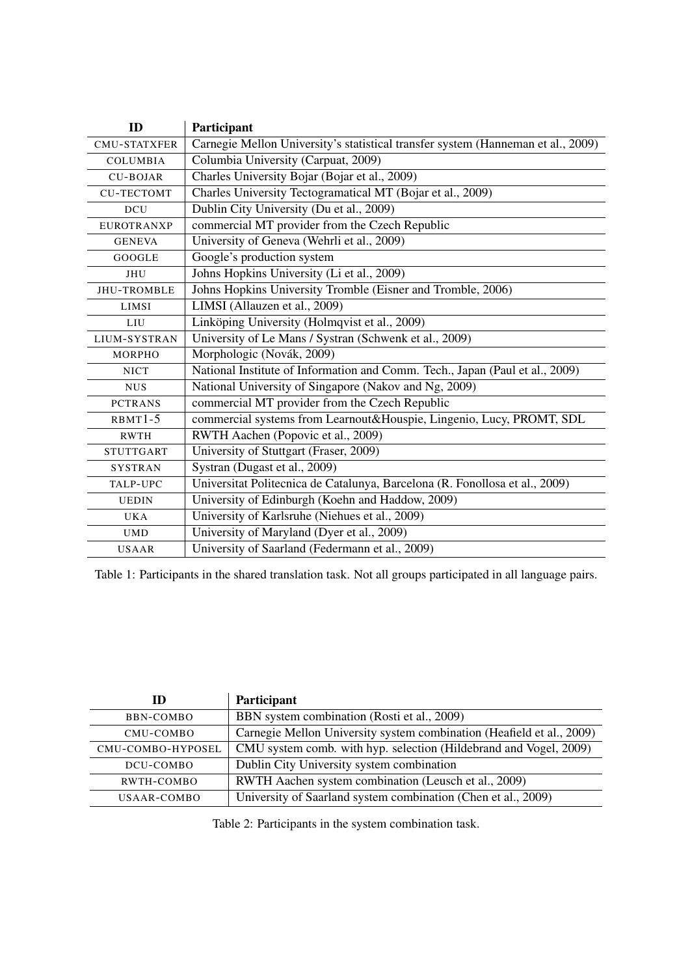| ID                  | Participant                                                                      |
|---------------------|----------------------------------------------------------------------------------|
| <b>CMU-STATXFER</b> | Carnegie Mellon University's statistical transfer system (Hanneman et al., 2009) |
| <b>COLUMBIA</b>     | Columbia University (Carpuat, 2009)                                              |
| <b>CU-BOJAR</b>     | Charles University Bojar (Bojar et al., 2009)                                    |
| <b>CU-TECTOMT</b>   | Charles University Tectogramatical MT (Bojar et al., 2009)                       |
| <b>DCU</b>          | Dublin City University (Du et al., 2009)                                         |
| <b>EUROTRANXP</b>   | commercial MT provider from the Czech Republic                                   |
| <b>GENEVA</b>       | University of Geneva (Wehrli et al., 2009)                                       |
| <b>GOOGLE</b>       | Google's production system                                                       |
| JHU                 | Johns Hopkins University (Li et al., 2009)                                       |
| <b>JHU-TROMBLE</b>  | Johns Hopkins University Tromble (Eisner and Tromble, 2006)                      |
| LIMSI               | LIMSI (Allauzen et al., 2009)                                                    |
| LIU                 | Linköping University (Holmqvist et al., 2009)                                    |
| LIUM-SYSTRAN        | University of Le Mans / Systran (Schwenk et al., 2009)                           |
| <b>MORPHO</b>       | Morphologic (Novák, 2009)                                                        |
| <b>NICT</b>         | National Institute of Information and Comm. Tech., Japan (Paul et al., 2009)     |
| <b>NUS</b>          | National University of Singapore (Nakov and Ng, 2009)                            |
| <b>PCTRANS</b>      | commercial MT provider from the Czech Republic                                   |
| $RBMT1-5$           | commercial systems from Learnout&Houspie, Lingenio, Lucy, PROMT, SDL             |
| <b>RWTH</b>         | RWTH Aachen (Popovic et al., 2009)                                               |
| <b>STUTTGART</b>    | University of Stuttgart (Fraser, 2009)                                           |
| <b>SYSTRAN</b>      | Systran (Dugast et al., 2009)                                                    |
| TALP-UPC            | Universitat Politecnica de Catalunya, Barcelona (R. Fonollosa et al., 2009)      |
| <b>UEDIN</b>        | University of Edinburgh (Koehn and Haddow, 2009)                                 |
| <b>UKA</b>          | University of Karlsruhe (Niehues et al., 2009)                                   |
| <b>UMD</b>          | University of Maryland (Dyer et al., 2009)                                       |
| <b>USAAR</b>        | University of Saarland (Federmann et al., 2009)                                  |

Table 1: Participants in the shared translation task. Not all groups participated in all language pairs.

| ID                | Participant                                                           |
|-------------------|-----------------------------------------------------------------------|
| BBN-COMBO         | BBN system combination (Rosti et al., 2009)                           |
| CMU-COMBO         | Carnegie Mellon University system combination (Heafield et al., 2009) |
| CMU-COMBO-HYPOSEL | CMU system comb. with hyp. selection (Hildebrand and Vogel, 2009)     |
| DCU-COMBO         | Dublin City University system combination                             |
| RWTH-COMBO        | RWTH Aachen system combination (Leusch et al., 2009)                  |
| USAAR-COMBO       | University of Saarland system combination (Chen et al., 2009)         |

Table 2: Participants in the system combination task.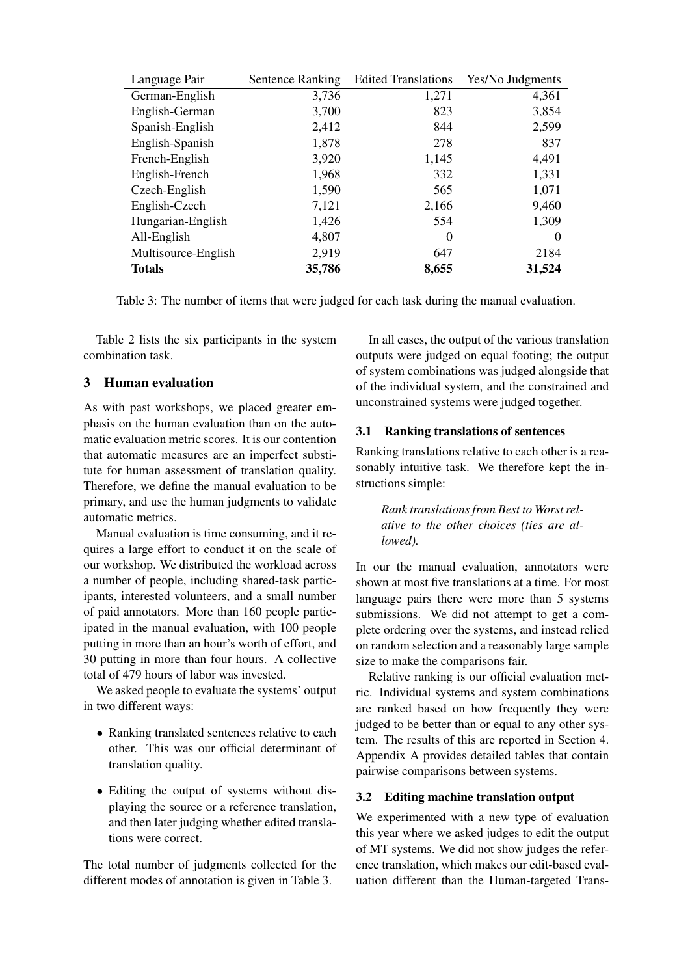| Language Pair       | <b>Sentence Ranking</b> | <b>Edited Translations</b> | Yes/No Judgments |
|---------------------|-------------------------|----------------------------|------------------|
| German-English      | 3,736                   | 1,271                      | 4,361            |
| English-German      | 3,700                   | 823                        | 3,854            |
| Spanish-English     | 2,412                   | 844                        | 2,599            |
| English-Spanish     | 1,878                   | 278                        | 837              |
| French-English      | 3,920                   | 1,145                      | 4,491            |
| English-French      | 1,968                   | 332                        | 1,331            |
| Czech-English       | 1,590                   | 565                        | 1,071            |
| English-Czech       | 7,121                   | 2,166                      | 9,460            |
| Hungarian-English   | 1,426                   | 554                        | 1,309            |
| All-English         | 4,807                   | $\theta$                   | $\Omega$         |
| Multisource-English | 2,919                   | 647                        | 2184             |
| <b>Totals</b>       | 35,786                  | 8,655                      | 31,524           |

Table 3: The number of items that were judged for each task during the manual evaluation.

Table 2 lists the six participants in the system combination task.

# 3 Human evaluation

As with past workshops, we placed greater emphasis on the human evaluation than on the automatic evaluation metric scores. It is our contention that automatic measures are an imperfect substitute for human assessment of translation quality. Therefore, we define the manual evaluation to be primary, and use the human judgments to validate automatic metrics.

Manual evaluation is time consuming, and it requires a large effort to conduct it on the scale of our workshop. We distributed the workload across a number of people, including shared-task participants, interested volunteers, and a small number of paid annotators. More than 160 people participated in the manual evaluation, with 100 people putting in more than an hour's worth of effort, and 30 putting in more than four hours. A collective total of 479 hours of labor was invested.

We asked people to evaluate the systems' output in two different ways:

- Ranking translated sentences relative to each other. This was our official determinant of translation quality.
- Editing the output of systems without displaying the source or a reference translation, and then later judging whether edited translations were correct.

The total number of judgments collected for the different modes of annotation is given in Table 3.

In all cases, the output of the various translation outputs were judged on equal footing; the output of system combinations was judged alongside that of the individual system, and the constrained and unconstrained systems were judged together.

#### 3.1 Ranking translations of sentences

Ranking translations relative to each other is a reasonably intuitive task. We therefore kept the instructions simple:

*Rank translations from Best to Worst relative to the other choices (ties are allowed).*

In our the manual evaluation, annotators were shown at most five translations at a time. For most language pairs there were more than 5 systems submissions. We did not attempt to get a complete ordering over the systems, and instead relied on random selection and a reasonably large sample size to make the comparisons fair.

Relative ranking is our official evaluation metric. Individual systems and system combinations are ranked based on how frequently they were judged to be better than or equal to any other system. The results of this are reported in Section 4. Appendix A provides detailed tables that contain pairwise comparisons between systems.

#### 3.2 Editing machine translation output

We experimented with a new type of evaluation this year where we asked judges to edit the output of MT systems. We did not show judges the reference translation, which makes our edit-based evaluation different than the Human-targeted Trans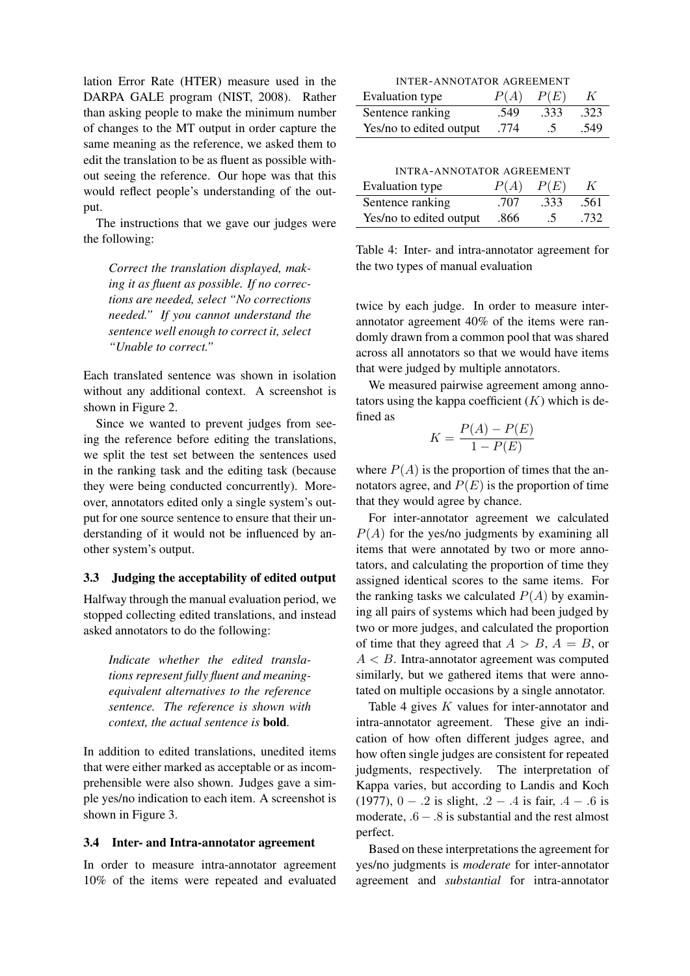lation Error Rate (HTER) measure used in the DARPA GALE program (NIST, 2008). Rather than asking people to make the minimum number of changes to the MT output in order capture the same meaning as the reference, we asked them to edit the translation to be as fluent as possible without seeing the reference. Our hope was that this would reflect people's understanding of the output.

The instructions that we gave our judges were the following:

*Correct the translation displayed, making it as fluent as possible. If no corrections are needed, select "No corrections needed." If you cannot understand the sentence well enough to correct it, select "Unable to correct."*

Each translated sentence was shown in isolation without any additional context. A screenshot is shown in Figure 2.

Since we wanted to prevent judges from seeing the reference before editing the translations, we split the test set between the sentences used in the ranking task and the editing task (because they were being conducted concurrently). Moreover, annotators edited only a single system's output for one source sentence to ensure that their understanding of it would not be influenced by another system's output.

## 3.3 Judging the acceptability of edited output

Halfway through the manual evaluation period, we stopped collecting edited translations, and instead asked annotators to do the following:

*Indicate whether the edited translations represent fully fluent and meaningequivalent alternatives to the reference sentence. The reference is shown with context, the actual sentence is* bold*.*

In addition to edited translations, unedited items that were either marked as acceptable or as incomprehensible were also shown. Judges gave a simple yes/no indication to each item. A screenshot is shown in Figure 3.

#### 3.4 Inter- and Intra-annotator agreement

In order to measure intra-annotator agreement 10% of the items were repeated and evaluated

| <b>INTER-ANNOTATOR AGREEMENT</b>     |      |          |      |  |
|--------------------------------------|------|----------|------|--|
| P(A)<br>Evaluation type<br>P(E)<br>K |      |          |      |  |
| Sentence ranking                     | .549 | .333     | .323 |  |
| Yes/no to edited output              | .774 | $\Delta$ | .549 |  |

INTRA-ANNOTATOR AGREEMENT

| Evaluation type         | P(A) | P(E) |      |
|-------------------------|------|------|------|
| Sentence ranking        | .707 | .333 | .561 |
| Yes/no to edited output | .866 | .5   | .732 |

Table 4: Inter- and intra-annotator agreement for the two types of manual evaluation

twice by each judge. In order to measure interannotator agreement 40% of the items were randomly drawn from a common pool that was shared across all annotators so that we would have items that were judged by multiple annotators.

We measured pairwise agreement among annotators using the kappa coefficient  $(K)$  which is defined as

$$
K = \frac{P(A) - P(E)}{1 - P(E)}
$$

where  $P(A)$  is the proportion of times that the annotators agree, and  $P(E)$  is the proportion of time that they would agree by chance.

For inter-annotator agreement we calculated  $P(A)$  for the yes/no judgments by examining all items that were annotated by two or more annotators, and calculating the proportion of time they assigned identical scores to the same items. For the ranking tasks we calculated  $P(A)$  by examining all pairs of systems which had been judged by two or more judges, and calculated the proportion of time that they agreed that  $A > B$ ,  $A = B$ , or  $A < B$ . Intra-annotator agreement was computed similarly, but we gathered items that were annotated on multiple occasions by a single annotator.

Table 4 gives K values for inter-annotator and intra-annotator agreement. These give an indication of how often different judges agree, and how often single judges are consistent for repeated judgments, respectively. The interpretation of Kappa varies, but according to Landis and Koch (1977),  $0 - .2$  is slight,  $.2 - .4$  is fair,  $.4 - .6$  is moderate,  $.6 - .8$  is substantial and the rest almost perfect.

Based on these interpretations the agreement for yes/no judgments is *moderate* for inter-annotator agreement and *substantial* for intra-annotator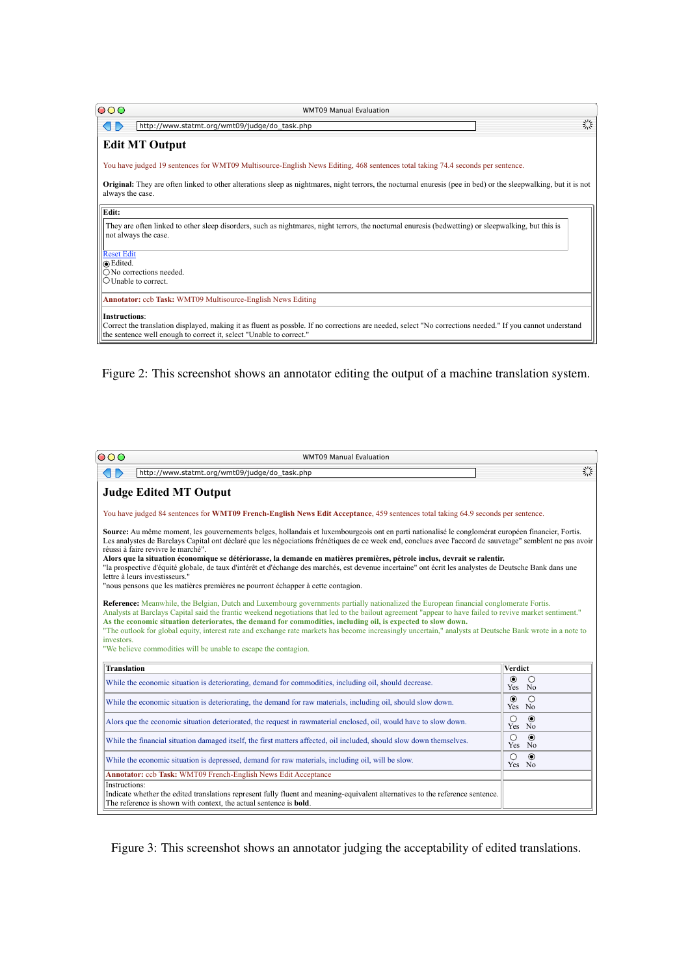| 000                           | <b>WMT09 Manual Evaluation</b>                                                                                                                                                                                                   |   |
|-------------------------------|----------------------------------------------------------------------------------------------------------------------------------------------------------------------------------------------------------------------------------|---|
|                               | http://www.statmt.org/wmt09/judge/do_task.php                                                                                                                                                                                    | 禁 |
|                               | <b>Edit MT Output</b>                                                                                                                                                                                                            |   |
|                               | You have judged 19 sentences for WMT09 Multisource-English News Editing, 468 sentences total taking 74.4 seconds per sentence.                                                                                                   |   |
| always the case.              | <b>Original:</b> They are often linked to other alterations sleep as nightmares, night terrors, the nocturnal enuresis (pee in bed) or the sleepwalking, but it is not                                                           |   |
| Edit:                         |                                                                                                                                                                                                                                  |   |
|                               | They are often linked to other sleep disorders, such as nightmares, night terrors, the nocturnal enuresis (bedwetting) or sleepwalking, but this is<br>not always the case.                                                      |   |
| <b>Reset Edit</b><br>⊙Edited. |                                                                                                                                                                                                                                  |   |
|                               | $\bigcirc$ No corrections needed.                                                                                                                                                                                                |   |
| $\bigcirc$ Unable to correct. |                                                                                                                                                                                                                                  |   |
|                               | Annotator: ccb Task: WMT09 Multisource-English News Editing                                                                                                                                                                      |   |
| <b>Instructions:</b>          |                                                                                                                                                                                                                                  |   |
|                               | Correct the translation displayed, making it as fluent as possble. If no corrections are needed, select "No corrections needed." If you cannot understand<br>the sentence well enough to correct it, select "Unable to correct." |   |

Figure 2: This screenshot shows an annotator editing the output of a machine translation system.

|                                                                                                                                                                                                                                                                                                                                                                                                                                                                                                                                                                                                                                                                                                                                                                     | <b>WMT09 Manual Evaluation</b>                                                                                                                                                                                                                                                                                                                                                                                                                                                                          |                                 |
|---------------------------------------------------------------------------------------------------------------------------------------------------------------------------------------------------------------------------------------------------------------------------------------------------------------------------------------------------------------------------------------------------------------------------------------------------------------------------------------------------------------------------------------------------------------------------------------------------------------------------------------------------------------------------------------------------------------------------------------------------------------------|---------------------------------------------------------------------------------------------------------------------------------------------------------------------------------------------------------------------------------------------------------------------------------------------------------------------------------------------------------------------------------------------------------------------------------------------------------------------------------------------------------|---------------------------------|
| $\langle \vert \; \vert \; \rangle$                                                                                                                                                                                                                                                                                                                                                                                                                                                                                                                                                                                                                                                                                                                                 | http://www.statmt.org/wmt09/judge/do_task.php                                                                                                                                                                                                                                                                                                                                                                                                                                                           | 禁                               |
|                                                                                                                                                                                                                                                                                                                                                                                                                                                                                                                                                                                                                                                                                                                                                                     | <b>Judge Edited MT Output</b>                                                                                                                                                                                                                                                                                                                                                                                                                                                                           |                                 |
|                                                                                                                                                                                                                                                                                                                                                                                                                                                                                                                                                                                                                                                                                                                                                                     | You have judged 84 sentences for WMT09 French-English News Edit Acceptance, 459 sentences total taking 64.9 seconds per sentence.                                                                                                                                                                                                                                                                                                                                                                       |                                 |
| Source: Au même moment, les gouvernements belges, hollandais et luxembourgeois ont en parti nationalisé le conglomérat européen financier, Fortis.<br>Les analystes de Barclays Capital ont déclaré que les négociations frénétiques de ce week end, conclues avec l'accord de sauvetage" semblent ne pas avoir<br>réussi à faire revivre le marché".<br>Alors que la situation économique se détériorasse, la demande en matières premières, pétrole inclus, devrait se ralentir.<br>"la prospective d'équité globale, de taux d'intérêt et d'échange des marchés, est devenue incertaine" ont écrit les analystes de Deutsche Bank dans une<br>lettre à leurs investisseurs."<br>"nous pensons que les matières premières ne pourront échapper à cette contagion. |                                                                                                                                                                                                                                                                                                                                                                                                                                                                                                         |                                 |
|                                                                                                                                                                                                                                                                                                                                                                                                                                                                                                                                                                                                                                                                                                                                                                     | Reference: Meanwhile, the Belgian, Dutch and Luxembourg governments partially nationalized the European financial conglomerate Fortis.                                                                                                                                                                                                                                                                                                                                                                  |                                 |
|                                                                                                                                                                                                                                                                                                                                                                                                                                                                                                                                                                                                                                                                                                                                                                     | Analysts at Barclays Capital said the frantic weekend negotiations that led to the bailout agreement "appear to have failed to revive market sentiment."<br>As the economic situation deteriorates, the demand for commodities, including oil, is expected to slow down.<br>"The outlook for global equity, interest rate and exchange rate markets has become increasingly uncertain," analysts at Deutsche Bank wrote in a note to<br>"We believe commodities will be unable to escape the contagion. |                                 |
| <b>Translation</b>                                                                                                                                                                                                                                                                                                                                                                                                                                                                                                                                                                                                                                                                                                                                                  |                                                                                                                                                                                                                                                                                                                                                                                                                                                                                                         | <b>Verdict</b>                  |
|                                                                                                                                                                                                                                                                                                                                                                                                                                                                                                                                                                                                                                                                                                                                                                     | While the economic situation is deteriorating, demand for commodities, including oil, should decrease.                                                                                                                                                                                                                                                                                                                                                                                                  | $\odot$<br>$\bigcirc$<br>Yes No |
|                                                                                                                                                                                                                                                                                                                                                                                                                                                                                                                                                                                                                                                                                                                                                                     | While the economic situation is deteriorating, the demand for raw materials, including oil, should slow down.                                                                                                                                                                                                                                                                                                                                                                                           | $\odot$<br>$\bigcirc$<br>Yes No |
|                                                                                                                                                                                                                                                                                                                                                                                                                                                                                                                                                                                                                                                                                                                                                                     | Alors que the economic situation deteriorated, the request in rawmaterial enclosed, oil, would have to slow down.                                                                                                                                                                                                                                                                                                                                                                                       | $\bigcirc$<br>$\odot$<br>Yes No |
|                                                                                                                                                                                                                                                                                                                                                                                                                                                                                                                                                                                                                                                                                                                                                                     | While the financial situation damaged itself, the first matters affected, oil included, should slow down themselves.                                                                                                                                                                                                                                                                                                                                                                                    | $\bigcirc$<br>$\odot$<br>Yes No |
|                                                                                                                                                                                                                                                                                                                                                                                                                                                                                                                                                                                                                                                                                                                                                                     | While the economic situation is depressed, demand for raw materials, including oil, will be slow.                                                                                                                                                                                                                                                                                                                                                                                                       | $\bigcirc$<br>$\odot$<br>Yes No |
| investors.                                                                                                                                                                                                                                                                                                                                                                                                                                                                                                                                                                                                                                                                                                                                                          | Annotator: ccb Task: WMT09 French-English News Edit Acceptance                                                                                                                                                                                                                                                                                                                                                                                                                                          |                                 |

Figure 3: This screenshot shows an annotator judging the acceptability of edited translations.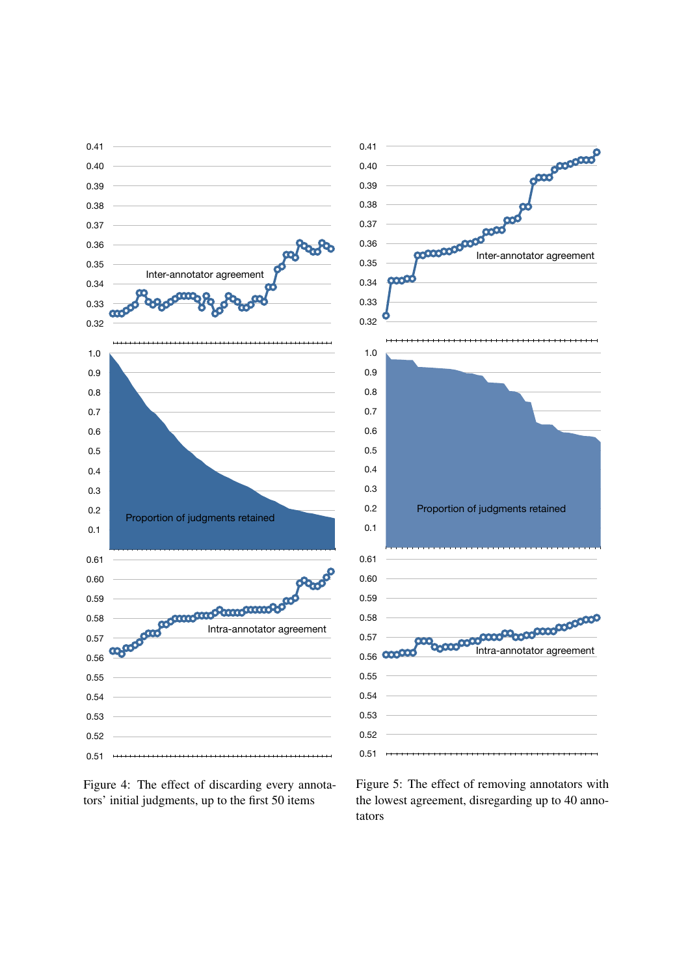



Figure 5: The effect of removing annotators with the lowest agreement, disregarding up to 40 annotators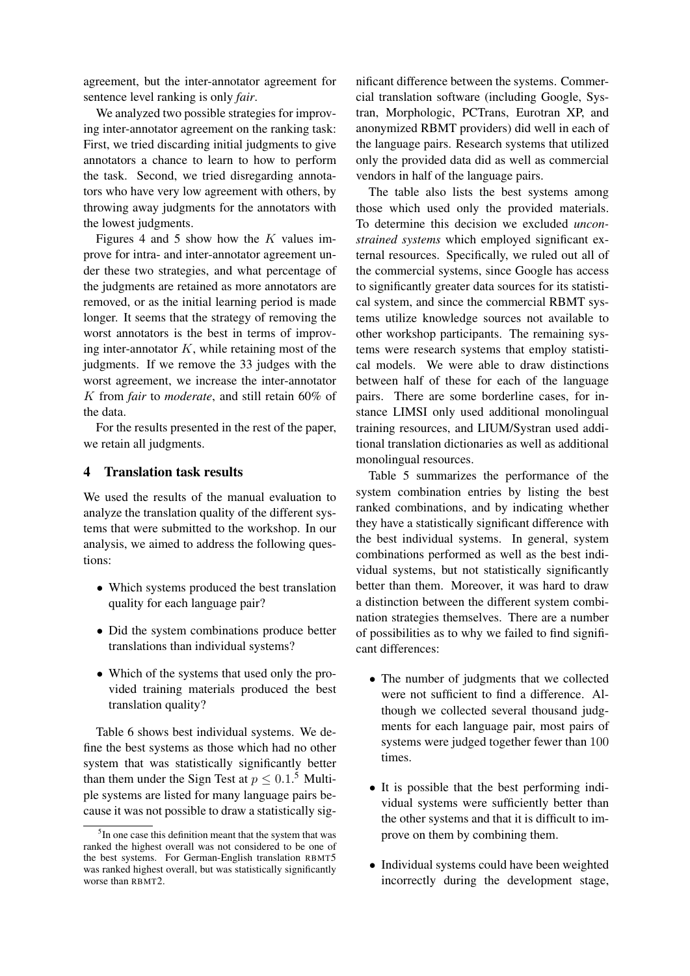agreement, but the inter-annotator agreement for sentence level ranking is only *fair*.

We analyzed two possible strategies for improving inter-annotator agreement on the ranking task: First, we tried discarding initial judgments to give annotators a chance to learn to how to perform the task. Second, we tried disregarding annotators who have very low agreement with others, by throwing away judgments for the annotators with the lowest judgments.

Figures 4 and 5 show how the  $K$  values improve for intra- and inter-annotator agreement under these two strategies, and what percentage of the judgments are retained as more annotators are removed, or as the initial learning period is made longer. It seems that the strategy of removing the worst annotators is the best in terms of improving inter-annotator  $K$ , while retaining most of the judgments. If we remove the 33 judges with the worst agreement, we increase the inter-annotator K from *fair* to *moderate*, and still retain 60% of the data.

For the results presented in the rest of the paper, we retain all judgments.

#### 4 Translation task results

We used the results of the manual evaluation to analyze the translation quality of the different systems that were submitted to the workshop. In our analysis, we aimed to address the following questions:

- Which systems produced the best translation quality for each language pair?
- Did the system combinations produce better translations than individual systems?
- Which of the systems that used only the provided training materials produced the best translation quality?

Table 6 shows best individual systems. We define the best systems as those which had no other system that was statistically significantly better than them under the Sign Test at  $p \leq 0.1$ .<sup>5</sup> Multiple systems are listed for many language pairs because it was not possible to draw a statistically significant difference between the systems. Commercial translation software (including Google, Systran, Morphologic, PCTrans, Eurotran XP, and anonymized RBMT providers) did well in each of the language pairs. Research systems that utilized only the provided data did as well as commercial vendors in half of the language pairs.

The table also lists the best systems among those which used only the provided materials. To determine this decision we excluded *unconstrained systems* which employed significant external resources. Specifically, we ruled out all of the commercial systems, since Google has access to significantly greater data sources for its statistical system, and since the commercial RBMT systems utilize knowledge sources not available to other workshop participants. The remaining systems were research systems that employ statistical models. We were able to draw distinctions between half of these for each of the language pairs. There are some borderline cases, for instance LIMSI only used additional monolingual training resources, and LIUM/Systran used additional translation dictionaries as well as additional monolingual resources.

Table 5 summarizes the performance of the system combination entries by listing the best ranked combinations, and by indicating whether they have a statistically significant difference with the best individual systems. In general, system combinations performed as well as the best individual systems, but not statistically significantly better than them. Moreover, it was hard to draw a distinction between the different system combination strategies themselves. There are a number of possibilities as to why we failed to find significant differences:

- The number of judgments that we collected were not sufficient to find a difference. Although we collected several thousand judgments for each language pair, most pairs of systems were judged together fewer than 100 times.
- It is possible that the best performing individual systems were sufficiently better than the other systems and that it is difficult to improve on them by combining them.
- Individual systems could have been weighted incorrectly during the development stage,

<sup>&</sup>lt;sup>5</sup>In one case this definition meant that the system that was ranked the highest overall was not considered to be one of the best systems. For German-English translation RBMT5 was ranked highest overall, but was statistically significantly worse than RBMT2.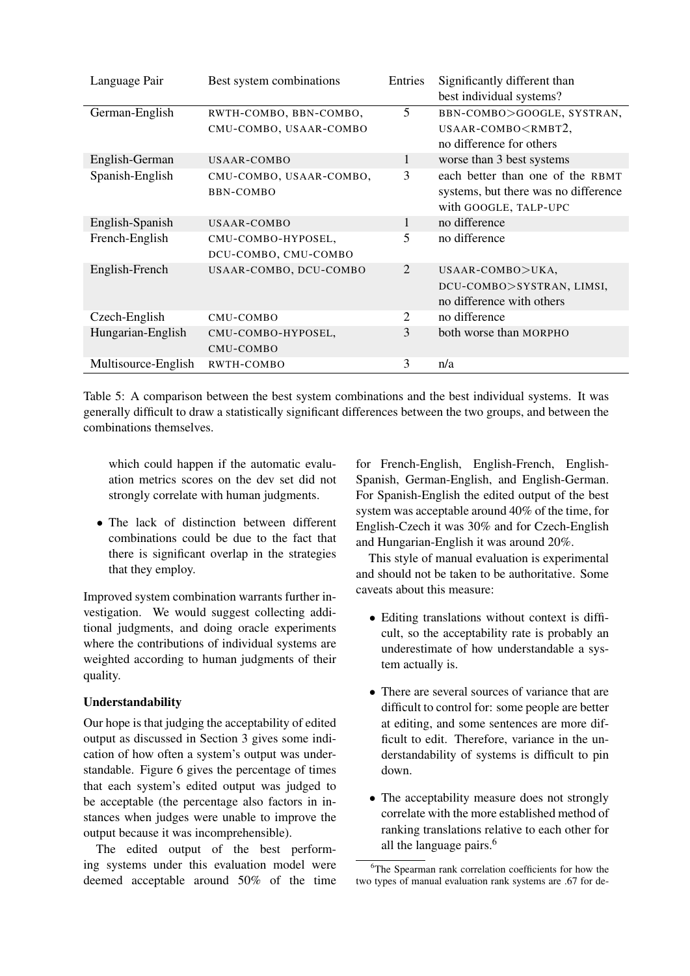| Language Pair       | Best system combinations | Entries | Significantly different than<br>best individual systems? |
|---------------------|--------------------------|---------|----------------------------------------------------------|
| German-English      | RWTH-COMBO, BBN-COMBO,   | 5       | BBN-COMBO>GOOGLE, SYSTRAN,                               |
|                     | CMU-COMBO, USAAR-COMBO   |         | USAAR-COMBO <rmbt2,< td=""></rmbt2,<>                    |
|                     |                          |         | no difference for others                                 |
| English-German      | USAAR-COMBO              | 1       | worse than 3 best systems                                |
| Spanish-English     | CMU-COMBO, USAAR-COMBO,  | 3       | each better than one of the RBMT                         |
|                     | BBN-COMBO                |         | systems, but there was no difference                     |
|                     |                          |         | with GOOGLE, TALP-UPC                                    |
| English-Spanish     | USAAR-COMBO              | 1       | no difference                                            |
| French-English      | CMU-COMBO-HYPOSEL,       | 5       | no difference                                            |
|                     | DCU-COMBO, CMU-COMBO     |         |                                                          |
| English-French      | USAAR-COMBO, DCU-COMBO   | 2       | USAAR-COMBO>UKA,                                         |
|                     |                          |         | DCU-COMBO>SYSTRAN, LIMSI,                                |
|                     |                          |         | no difference with others                                |
| Czech-English       | CMU-COMBO                | 2       | no difference                                            |
| Hungarian-English   | CMU-COMBO-HYPOSEL,       | 3       | both worse than MORPHO                                   |
|                     | CMU-COMBO                |         |                                                          |
| Multisource-English | RWTH-COMBO               | 3       | n/a                                                      |

Table 5: A comparison between the best system combinations and the best individual systems. It was generally difficult to draw a statistically significant differences between the two groups, and between the combinations themselves.

which could happen if the automatic evaluation metrics scores on the dev set did not strongly correlate with human judgments.

• The lack of distinction between different combinations could be due to the fact that there is significant overlap in the strategies that they employ.

Improved system combination warrants further investigation. We would suggest collecting additional judgments, and doing oracle experiments where the contributions of individual systems are weighted according to human judgments of their quality.

## Understandability

Our hope is that judging the acceptability of edited output as discussed in Section 3 gives some indication of how often a system's output was understandable. Figure 6 gives the percentage of times that each system's edited output was judged to be acceptable (the percentage also factors in instances when judges were unable to improve the output because it was incomprehensible).

The edited output of the best performing systems under this evaluation model were deemed acceptable around 50% of the time for French-English, English-French, English-Spanish, German-English, and English-German. For Spanish-English the edited output of the best system was acceptable around 40% of the time, for English-Czech it was 30% and for Czech-English and Hungarian-English it was around 20%.

This style of manual evaluation is experimental and should not be taken to be authoritative. Some caveats about this measure:

- Editing translations without context is difficult, so the acceptability rate is probably an underestimate of how understandable a system actually is.
- There are several sources of variance that are difficult to control for: some people are better at editing, and some sentences are more difficult to edit. Therefore, variance in the understandability of systems is difficult to pin down.
- The acceptability measure does not strongly correlate with the more established method of ranking translations relative to each other for all the language pairs. $6$

<sup>&</sup>lt;sup>6</sup>The Spearman rank correlation coefficients for how the two types of manual evaluation rank systems are .67 for de-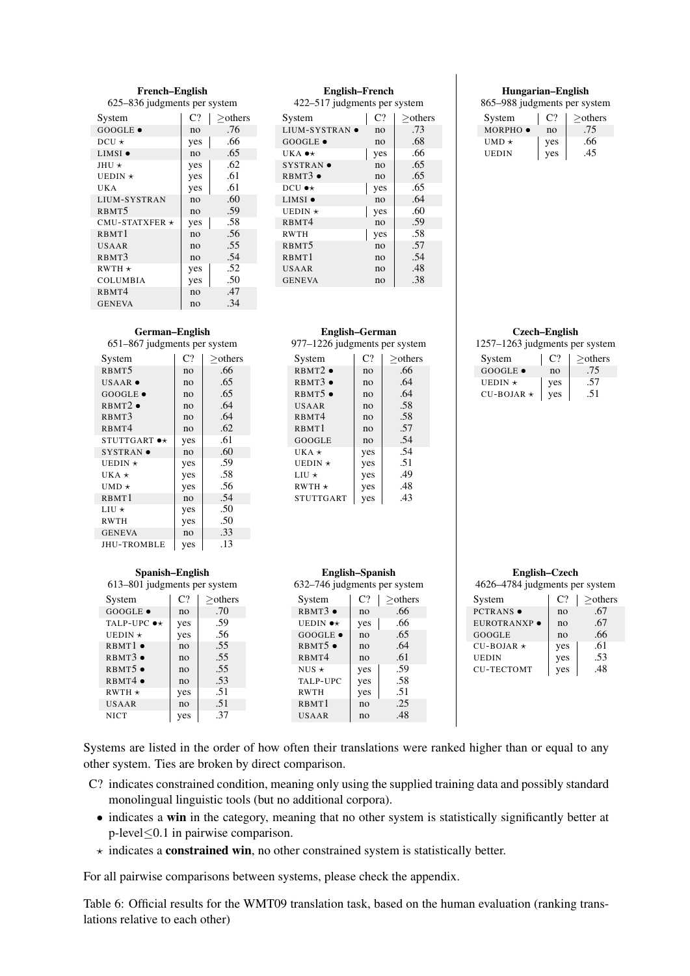#### French–English 625–836 judgments per system

| System               | $C$ ? | $>$ others |
|----------------------|-------|------------|
| $GOOGLE \bullet$     | no    | .76        |
| $DCU \star$          | yes   | .66        |
| $LIMSI$ $\bullet$    | no    | .65        |
| $JHIJ +$             | yes   | .62        |
| UEDIN $\star$        | yes   | .61        |
| UK A                 | yes   | .61        |
| LIUM-SYSTRAN         | no    | .60        |
| RBMT <sub>5</sub>    | no    | .59        |
| CMU-STATXFER $\star$ | yes   | .58        |
| RBMT1                | no    | .56        |
| <b>USAAR</b>         | no    | .55        |
| RBMT3                | no    | .54        |
| $RWTH*$              | yes   | .52        |
| <b>COLUMBIA</b>      | yes   | .50        |
| R <sub>BMT4</sub>    | no    | .47        |
| <b>GENEVA</b>        | no    | .34        |

# English–French

422–517 judgments per system

| System                 | C <sub>2</sub> | $>$ others |
|------------------------|----------------|------------|
| LIUM-SYSTRAN $\bullet$ | no             | .73        |
| $GOOGLE \bullet$       | no             | .68        |
| UKA $\bullet\star$     | yes            | .66        |
| $SYSTRAN$ $\bullet$    | no             | .65        |
| $RBMT3$ $\bullet$      | no             | .65        |
| DCU $\bullet\star$     | yes            | .65        |
| LIMSI $\bullet$        | no             | .64        |
| UEDIN $\star$          | yes            | .60        |
| RBMT4                  | no             | .59        |
| <b>RWTH</b>            | yes            | .58        |
| RBMT <sub>5</sub>      | no             | .57        |
| RBMT1                  | no             | .54        |
| USAAR                  | no             | .48        |
| <b>GENEVA</b>          | no             | .38        |

# German–English

651–867 judgments per system

| System                        | C <sub>2</sub> | $>$ others |
|-------------------------------|----------------|------------|
| RBMT <sub>5</sub>             | no             | .66        |
| USAAR $\bullet$               | no             | .65        |
| $GOOGLE \bullet$              | no             | .65        |
| RBMT2                         | no             | .64        |
| RBMT3                         | no             | .64        |
| R <sub>BMT4</sub>             | no             | .62        |
| $STUTTGART \rightarrow \star$ | yes            | .61        |
| SYSTRAN $\bullet$             | no             | .60        |
| UEDIN $\star$                 | yes            | .59        |
| UKA $\star$                   | yes            | .58        |
| UMD $\star$                   | yes            | .56        |
| RBMT1                         | no             | .54        |
| $LIU*$                        | yes            | .50        |
| <b>RWTH</b>                   | yes            | .50        |
| <b>GENEVA</b>                 | no             | .33        |
| <b>JHU-TROMBLE</b>            | yes            | .13        |

#### Spanish–English 613–801 judgments per system

| System                  | C <sub>2</sub> | $>$ others |
|-------------------------|----------------|------------|
| $GOOGLE \bullet$        | n <sub>0</sub> | .70        |
| TALP-UPC $\bullet\star$ | yes            | .59        |
| UEDIN $\star$           | yes            | .56        |
| RBMT1                   | n <sub>O</sub> | .55        |
| $RBMT3$ $\bullet$       | no             | .55        |
| RBMT5                   | n <sub>O</sub> | .55        |
| RBMT4                   | n <sub>O</sub> | .53        |
| $RWTH*$                 | yes            | .51        |
| USAAR                   | n <sub>O</sub> | .51        |
| <b>NICT</b>             | ves            | .37        |

#### 977–1226 judgments per system System  $|C?| \geq$ others RBMT2 •  $\qquad$  no  $\qquad$  .66 RBMT3 •  $\vert$  no  $\vert$  .64 RBMT5 •  $\vert$  no  $\vert$  .64 USAAR no .58<br>RBMT4 no .58  $RBMT4$   $\qquad$  no RBMT1 no .57<br>GOOGLE no .54 GOOGLE no 54<br>UKA  $\star$  yes 54 UKA  $\star$  yes .54<br>UEDIN  $\star$  yes .51 UEDIN  $\star$  | yes | .51<br>LIU  $\star$  | yes | .49 LIU  $\star$ RWTH  $\star$  yes 48<br>STUTTGART yes 43  $STUTTGART$  yes  $.43$

English–German

#### English–Spanish 632–746 judgments per system

| System               | C?             | $>$ others |
|----------------------|----------------|------------|
| RBMT3                | n <sub>O</sub> | .66        |
| UEDIN $\bullet\star$ | yes            | .66        |
| GOOGLE .             | no             | .65        |
| $RBMT5$ $\bullet$    | no             | .64        |
| RBMT4                | n <sub>O</sub> | .61        |
| NUS $\star$          | yes            | .59        |
| TALP-UPC             | yes            | .58        |
| <b>RWTH</b>          | yes            | .51        |
| RBMT1                | no             | .25        |
| <b>USAAR</b>         | no             | .48        |

#### Hungarian–English

865–988 judgments per system

| System             | $\mathsf{C}^{\eta}$ | $>$ others |
|--------------------|---------------------|------------|
| $MORPHO$ $\bullet$ | no                  | .75        |
| UMD $\star$        | yes                 | .66        |
| UEDIN              | yes                 | .45        |

#### Czech–English

1257–1263 judgments per system

| System           | $\mathsf{C}^{\eta}$ | $>$ others |
|------------------|---------------------|------------|
| $GOOGLE \bullet$ | no                  | 15         |
| UEDIN $\star$    | ves                 | .57        |
| $CU-BOJAR*$      | ves                 | .51        |

| English–Czech                  |
|--------------------------------|
| 4626-4784 judgments per system |
| $\sim$ $\sim$ $\sim$ $\sim$    |

| System            | C <sub>2</sub> | >others |
|-------------------|----------------|---------|
| <b>PCTRANS</b> •  | no             | .67     |
| EUROTRANXP ·      | no             | .67     |
| GOOGLE            | no             | .66     |
| $CU-BOJAR \star$  | yes            | .61     |
| UEDIN             | yes            | .53     |
| <b>CU-TECTOMT</b> | yes            | .48     |

Systems are listed in the order of how often their translations were ranked higher than or equal to any other system. Ties are broken by direct comparison.

- C? indicates constrained condition, meaning only using the supplied training data and possibly standard monolingual linguistic tools (but no additional corpora).
	- indicates a win in the category, meaning that no other system is statistically significantly better at p-level≤0.1 in pairwise comparison.
	- $\star$  indicates a **constrained win**, no other constrained system is statistically better.

For all pairwise comparisons between systems, please check the appendix.

Table 6: Official results for the WMT09 translation task, based on the human evaluation (ranking translations relative to each other)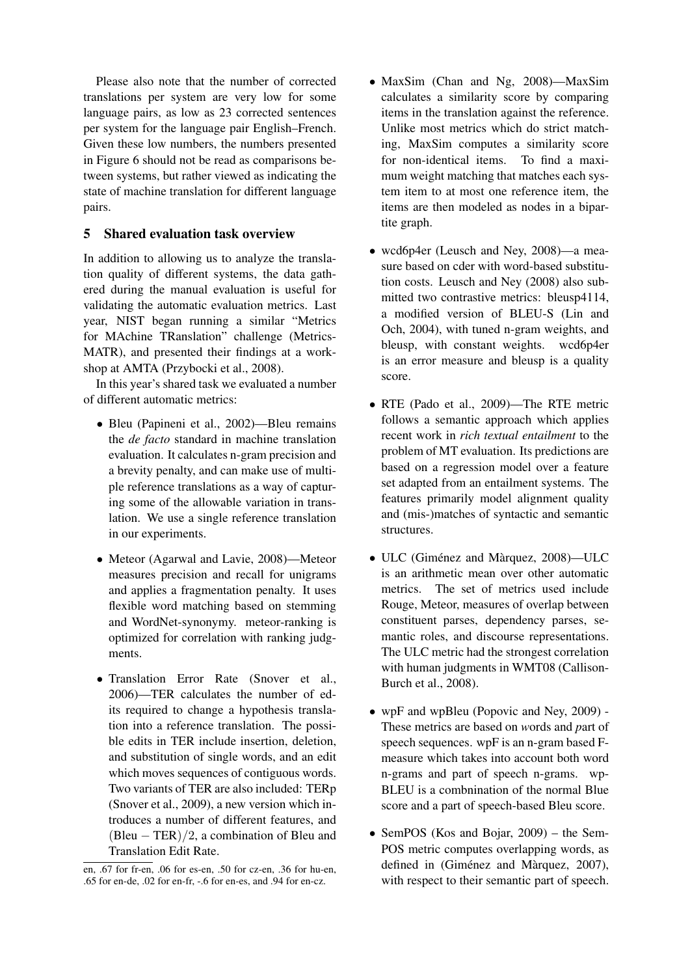Please also note that the number of corrected translations per system are very low for some language pairs, as low as 23 corrected sentences per system for the language pair English–French. Given these low numbers, the numbers presented in Figure 6 should not be read as comparisons between systems, but rather viewed as indicating the state of machine translation for different language pairs.

## 5 Shared evaluation task overview

In addition to allowing us to analyze the translation quality of different systems, the data gathered during the manual evaluation is useful for validating the automatic evaluation metrics. Last year, NIST began running a similar "Metrics for MAchine TRanslation" challenge (Metrics-MATR), and presented their findings at a workshop at AMTA (Przybocki et al., 2008).

In this year's shared task we evaluated a number of different automatic metrics:

- Bleu (Papineni et al., 2002)—Bleu remains the *de facto* standard in machine translation evaluation. It calculates n-gram precision and a brevity penalty, and can make use of multiple reference translations as a way of capturing some of the allowable variation in translation. We use a single reference translation in our experiments.
- Meteor (Agarwal and Lavie, 2008)—Meteor measures precision and recall for unigrams and applies a fragmentation penalty. It uses flexible word matching based on stemming and WordNet-synonymy. meteor-ranking is optimized for correlation with ranking judgments.
- Translation Error Rate (Snover et al., 2006)—TER calculates the number of edits required to change a hypothesis translation into a reference translation. The possible edits in TER include insertion, deletion, and substitution of single words, and an edit which moves sequences of contiguous words. Two variants of TER are also included: TERp (Snover et al., 2009), a new version which introduces a number of different features, and  $(Bleu - TER)/2$ , a combination of Bleu and Translation Edit Rate.
- MaxSim (Chan and Ng, 2008)—MaxSim calculates a similarity score by comparing items in the translation against the reference. Unlike most metrics which do strict matching, MaxSim computes a similarity score for non-identical items. To find a maximum weight matching that matches each system item to at most one reference item, the items are then modeled as nodes in a bipartite graph.
- wcd6p4er (Leusch and Ney, 2008)—a measure based on cder with word-based substitution costs. Leusch and Ney (2008) also submitted two contrastive metrics: bleusp4114, a modified version of BLEU-S (Lin and Och, 2004), with tuned n-gram weights, and bleusp, with constant weights. wcd6p4er is an error measure and bleusp is a quality score.
- RTE (Pado et al., 2009)—The RTE metric follows a semantic approach which applies recent work in *rich textual entailment* to the problem of MT evaluation. Its predictions are based on a regression model over a feature set adapted from an entailment systems. The features primarily model alignment quality and (mis-)matches of syntactic and semantic structures.
- $\bullet$  ULC (Giménez and Màrquez, 2008)—ULC is an arithmetic mean over other automatic metrics. The set of metrics used include Rouge, Meteor, measures of overlap between constituent parses, dependency parses, semantic roles, and discourse representations. The ULC metric had the strongest correlation with human judgments in WMT08 (Callison-Burch et al., 2008).
- wpF and wpBleu (Popovic and Ney, 2009) These metrics are based on *w*ords and *p*art of speech sequences. wpF is an n-gram based Fmeasure which takes into account both word n-grams and part of speech n-grams. wp-BLEU is a combnination of the normal Blue score and a part of speech-based Bleu score.
- SemPOS (Kos and Bojar, 2009) the Sem-POS metric computes overlapping words, as defined in (Giménez and Màrquez, 2007), with respect to their semantic part of speech.

en, .67 for fr-en, .06 for es-en, .50 for cz-en, .36 for hu-en, .65 for en-de, .02 for en-fr, -.6 for en-es, and .94 for en-cz.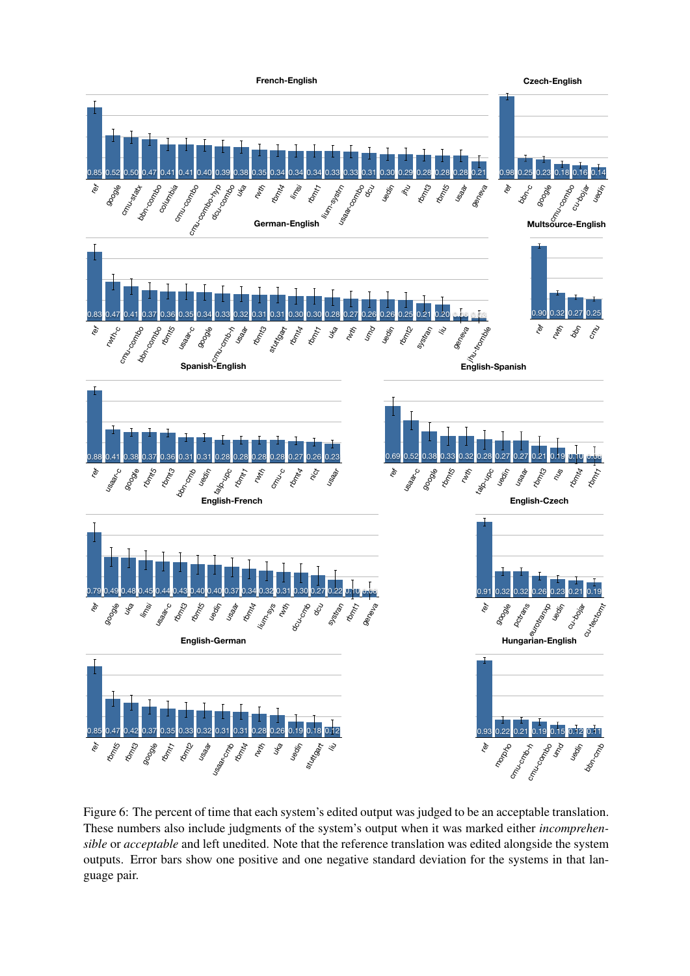

Figure 6: The percent of time that each system's edited output was judged to be an acceptable translation. These numbers also include judgments of the system's output when it was marked either *incomprehensible* or *acceptable* and left unedited. Note that the reference translation was edited alongside the system outputs. Error bars show one positive and one negative standard deviation for the systems in that language pair.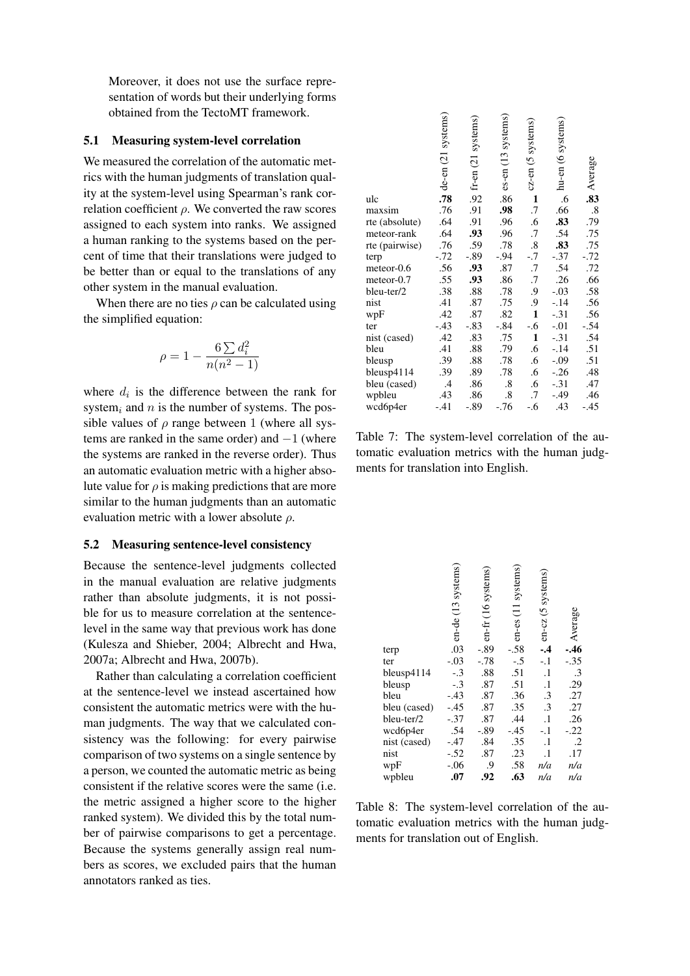Moreover, it does not use the surface representation of words but their underlying forms obtained from the TectoMT framework.

#### 5.1 Measuring system-level correlation

We measured the correlation of the automatic metrics with the human judgments of translation quality at the system-level using Spearman's rank correlation coefficient  $\rho$ . We converted the raw scores assigned to each system into ranks. We assigned a human ranking to the systems based on the percent of time that their translations were judged to be better than or equal to the translations of any other system in the manual evaluation.

When there are no ties  $\rho$  can be calculated using the simplified equation:

$$
\rho = 1 - \frac{6 \sum d_i^2}{n(n^2 - 1)}
$$

where  $d_i$  is the difference between the rank for system<sub>i</sub> and n is the number of systems. The possible values of  $\rho$  range between 1 (where all systems are ranked in the same order) and  $-1$  (where the systems are ranked in the reverse order). Thus an automatic evaluation metric with a higher absolute value for  $\rho$  is making predictions that are more similar to the human judgments than an automatic evaluation metric with a lower absolute  $\rho$ .

#### 5.2 Measuring sentence-level consistency

Because the sentence-level judgments collected in the manual evaluation are relative judgments rather than absolute judgments, it is not possible for us to measure correlation at the sentencelevel in the same way that previous work has done (Kulesza and Shieber, 2004; Albrecht and Hwa, 2007a; Albrecht and Hwa, 2007b).

Rather than calculating a correlation coefficient at the sentence-level we instead ascertained how consistent the automatic metrics were with the human judgments. The way that we calculated consistency was the following: for every pairwise comparison of two systems on a single sentence by a person, we counted the automatic metric as being consistent if the relative scores were the same (i.e. the metric assigned a higher score to the higher ranked system). We divided this by the total number of pairwise comparisons to get a percentage. Because the systems generally assign real numbers as scores, we excluded pairs that the human annotators ranked as ties.

|                | de-en (21 systems) | $\frac{1}{2}$ fr-en (21 systems) | es-en (13 systems) | cz-en (5 systems) | hu-en (6 systems) | Average           |
|----------------|--------------------|----------------------------------|--------------------|-------------------|-------------------|-------------------|
| ulc            | .78                |                                  | .86                | $\mathbf{1}$      | .6                | .83               |
| maxsim         | .76                | .91                              | .98                | $\cdot$ 7         | .66               | $\boldsymbol{.8}$ |
| rte (absolute) | .64                | .91                              | .96                | .6                | .83               | .79               |
| meteor-rank    | .64                | .93                              | .96                | .7                | .54               | .75               |
| rte (pairwise) | .76                | .59                              | .78                | $\boldsymbol{.8}$ | .83               | .75               |
| terp           | $-.72$             | $-.89$                           | $-.94$             | $-.7$             | $-.37$            | $-.72$            |
| meteor-0.6     | .56                | .93                              | .87                | .7                | .54               | .72               |
| meteor-0.7     | .55                | .93                              | .86                | .7                | .26               | .66               |
| bleu-ter/2     | .38                | .88                              | .78                | .9                | $-.03$            | .58               |
| nist           | .41                | .87                              | .75                | .9                | $-.14$            | .56               |
| wpF            | .42                | .87                              | .82                | $\mathbf{1}$      | $-.31$            | .56               |
| ter            | $-.43$             | $-.83$                           | $-.84$             | $-.6$             | $-.01$            | $-.54$            |
| nist (cased)   | .42                | .83                              | .75                | 1                 | $-.31$            | .54               |
| bleu           | .41                | .88                              | .79                | .6                | $-.14$            | .51               |
| bleusp         | .39                | .88                              | .78                | .6                | $-0.09$           | .51               |
| bleusp4114     | .39                | .89                              | .78                | .6                | $-.26$            | .48               |
| bleu (cased)   | $\mathcal{A}$      | .86                              | $\boldsymbol{.8}$  | .6                | $-.31$            | .47               |
| wpbleu         | .43                | .86                              | $\boldsymbol{.8}$  | .7                | $-.49$            | .46               |
| wcd6p4er       | $-.41$             | $-.89$                           | $-.76$             | $-.6$             | .43               | $-.45$            |

Table 7: The system-level correlation of the automatic evaluation metrics with the human judgments for translation into English.

|              | en-de (13 systems) | en-fr (16 systems) | en-es (11 systems) | en-cz (5 systems | -Average      |
|--------------|--------------------|--------------------|--------------------|------------------|---------------|
| terp         | .03                | $-.89$             | $-.58$             | $-4$             |               |
| ter          | $-.03$             | $-.78$             | $-.5$              | $-.1$            | $-.35$        |
| bleusp4114   | $-.3$              | .88                | .51                | $\cdot$          | $\cdot$ 3     |
| bleusp       | $-.3$              | .87                | .51                | $\cdot$          | $\frac{1}{2}$ |
| bleu         | $-.43$             | .87                | .36                | .3               | .27           |
| bleu (cased) | $-.45$             | .87                | .35                | $\cdot$ 3        | .27           |
| bleu-ter/2   | $-.37$             | .87                | .44                | $\cdot$          | .26           |
| wcd6p4er     | .54                | $-.89$             | $-.45$             | $-.1$            | $-.22$        |
| nist (cased) | $-.47$             | .84                | .35                | $\cdot$          | $\cdot$ .2    |
| nist         | $-.52$             | $.87\,$            | .23                | $\cdot$          | .17           |
| wpF          | $-.06$             | .9                 | .58                | n/a              | n/a           |
| wpbleu       | .07                | .92                | .63                | n/a              | n/a           |

Table 8: The system-level correlation of the automatic evaluation metrics with the human judgments for translation out of English.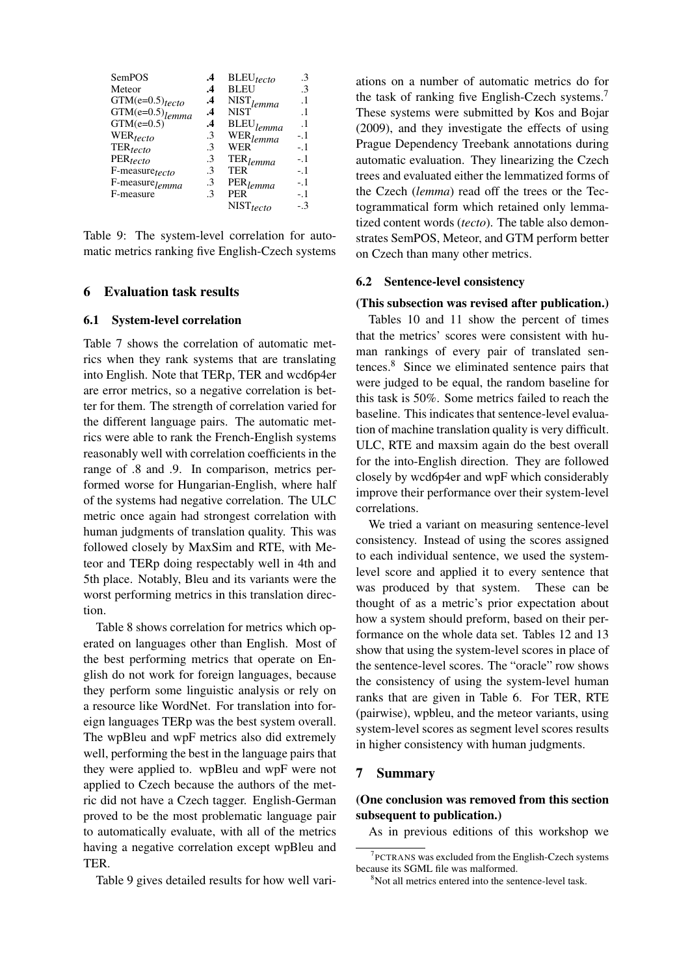| SemPOS                        | .4            | $BLEU_{tecto}$          | .3        |
|-------------------------------|---------------|-------------------------|-----------|
| Meteor                        | $\cdot^4$     | <b>BLEU</b>             | .3        |
| $GTM(e=0.5)$ tecto            | $\cdot^4$     | $NIST$ <sub>lemma</sub> | $\cdot$ 1 |
| $GTM(e=0.5)$ <sub>lemma</sub> | .4            | <b>NIST</b>             | $\cdot$ 1 |
| $GTM(e=0.5)$                  | $\cdot$       | $\mathrm{BLEU}_{lemma}$ | $\cdot$ 1 |
| WER <sub>tecto</sub>          | .3            | WER <sub>lemma</sub>    | $-1$      |
| $\mathrm{TER}_{tecto}$        | $\mathcal{E}$ | WER                     | $-1$      |
| $PER_{tecto}$                 | .3            | $TER$ <sub>lemma</sub>  | $-1$      |
| F-measure <sub>tecto</sub>    | .3            | TER                     | $-1$      |
| F-measure <sub>lemma</sub>    | .3            | $PER$ <sub>lemma</sub>  | $-1$      |
| F-measure                     | .3            | <b>PER</b>              | $-1$      |
|                               |               | $NIST_{tecto}$          | - 3       |

Table 9: The system-level correlation for automatic metrics ranking five English-Czech systems

#### 6 Evaluation task results

#### 6.1 System-level correlation

Table 7 shows the correlation of automatic metrics when they rank systems that are translating into English. Note that TERp, TER and wcd6p4er are error metrics, so a negative correlation is better for them. The strength of correlation varied for the different language pairs. The automatic metrics were able to rank the French-English systems reasonably well with correlation coefficients in the range of .8 and .9. In comparison, metrics performed worse for Hungarian-English, where half of the systems had negative correlation. The ULC metric once again had strongest correlation with human judgments of translation quality. This was followed closely by MaxSim and RTE, with Meteor and TERp doing respectably well in 4th and 5th place. Notably, Bleu and its variants were the worst performing metrics in this translation direction.

Table 8 shows correlation for metrics which operated on languages other than English. Most of the best performing metrics that operate on English do not work for foreign languages, because they perform some linguistic analysis or rely on a resource like WordNet. For translation into foreign languages TERp was the best system overall. The wpBleu and wpF metrics also did extremely well, performing the best in the language pairs that they were applied to. wpBleu and wpF were not applied to Czech because the authors of the metric did not have a Czech tagger. English-German proved to be the most problematic language pair to automatically evaluate, with all of the metrics having a negative correlation except wpBleu and TER.

Table 9 gives detailed results for how well vari-

ations on a number of automatic metrics do for the task of ranking five English-Czech systems.<sup>7</sup> These systems were submitted by Kos and Bojar (2009), and they investigate the effects of using Prague Dependency Treebank annotations during automatic evaluation. They linearizing the Czech trees and evaluated either the lemmatized forms of the Czech (*lemma*) read off the trees or the Tectogrammatical form which retained only lemmatized content words (*tecto*). The table also demonstrates SemPOS, Meteor, and GTM perform better on Czech than many other metrics.

#### 6.2 Sentence-level consistency

#### (This subsection was revised after publication.)

Tables 10 and 11 show the percent of times that the metrics' scores were consistent with human rankings of every pair of translated sentences.<sup>8</sup> Since we eliminated sentence pairs that were judged to be equal, the random baseline for this task is 50%. Some metrics failed to reach the baseline. This indicates that sentence-level evaluation of machine translation quality is very difficult. ULC, RTE and maxsim again do the best overall for the into-English direction. They are followed closely by wcd6p4er and wpF which considerably improve their performance over their system-level correlations.

We tried a variant on measuring sentence-level consistency. Instead of using the scores assigned to each individual sentence, we used the systemlevel score and applied it to every sentence that was produced by that system. These can be thought of as a metric's prior expectation about how a system should preform, based on their performance on the whole data set. Tables 12 and 13 show that using the system-level scores in place of the sentence-level scores. The "oracle" row shows the consistency of using the system-level human ranks that are given in Table 6. For TER, RTE (pairwise), wpbleu, and the meteor variants, using system-level scores as segment level scores results in higher consistency with human judgments.

#### 7 Summary

## (One conclusion was removed from this section subsequent to publication.)

As in previous editions of this workshop we

<sup>7</sup> PCTRANS was excluded from the English-Czech systems because its SGML file was malformed.

<sup>&</sup>lt;sup>8</sup>Not all metrics entered into the sentence-level task.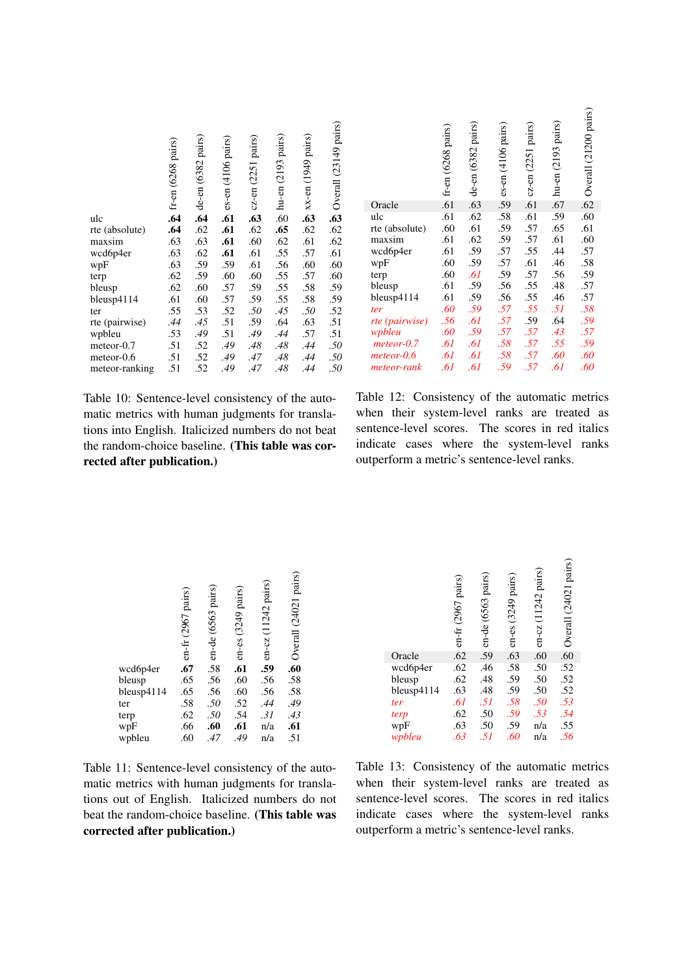|                | $\hat{\mathbf{r}}$ fr-en (6268 pairs) | de-en (6382 pairs) | es-en (4106 pairs) | cz-en (2251 pairs) | hu-en (2193 pairs) | xx-en (1949 pairs) | <b>2</b> Overall (23149 pairs) |
|----------------|---------------------------------------|--------------------|--------------------|--------------------|--------------------|--------------------|--------------------------------|
| ulc            |                                       | .64                | .61                | .63                | .60                | .63                |                                |
| rte (absolute) | .64                                   | .62                | .61                | .62                | .65                | .62                | .62                            |
| maxsim         | .63                                   | .63                | .61                | .60                | .62                | .61                | .62                            |
| wcd6p4er       | .63                                   | .62                | .61                | .61                | .55                | .57                | .61                            |
| wpF            | .63                                   | .59                | .59                | .61                | .56                | .60                | .60                            |
| terp           | .62                                   | .59                | .60                | .60                | .55                | .57                | .60                            |
| bleusp         | .62                                   | .60                | .57                | .59                | .55                | .58                | .59                            |
| bleusp4114     | .61                                   | .60                | .57                | .59                | .55                | .58                | .59                            |
| ter            | .55                                   | .53                | .52                | $.50\,$            | .45                | $.50\,$            | .52                            |
| rte (pairwise) | .44                                   | .45                | .51                | .59                | .64                | .63                | .51                            |
| wpbleu         | .53                                   | .49                | .51                | .49                | .44                | .57                | .51                            |
| meteor-0.7     | .51                                   | .52                | .49                | .48                | .48                | .44                | $.50\,$                        |
| meteor-0.6     | .51                                   | .52                | .49                | .47                | .48                | .44                | $.50\,$                        |
| meteor-ranking | .51                                   | .52                | .49                | .47                | .48                | .44                | .50                            |

|                | fr-en (6268 pairs) | de-en (6382 pairs) | es-en (4106 pairs) | cz-en (2251 pairs) | hu-en (2193 pairs) | Overall (21200 pairs) |
|----------------|--------------------|--------------------|--------------------|--------------------|--------------------|-----------------------|
| Oracle         | .61                | .63                | .59                | .61                | .67                | .62                   |
| ulc            | .61                | .62                | .58                | .61                | .59                | .60                   |
| rte (absolute) | .60                | .61                | .59                | .57                | .65                | .61                   |
| maxsim         | .61                | .62                | .59                | .57                | .61                | .60                   |
| wcd6p4er       | .61                | .59                | .57                | .55                | .44                | .57                   |
| wpF            | .60                | .59                | .57                | .61                | .46                | .58                   |
| terp           | .60                | .61                | .59                | .57                | .56                | .59                   |
| bleusp         | .61                | .59                | .56                | .55                | .48                | .57                   |
| bleusp4114     | .61                | .59                | .56                | .55                | .46                | .57                   |
| ter            | .60                | .59                | .57                | .55                | .51                | .58                   |
| rte (pairwise) | .56                | .61                | .57                | .59                | .64                | .59                   |
| wpbleu         | .60                | .59                | .57                | .57                | .43                | .57                   |
| $meteor-0.7$   | .61                | .61                | .58                | .57                | .55                | .59                   |
| $meteor-0.6$   | .61                | .61                | .58                | .57                | .60                | .60                   |
| meteor-rank    | .61                | .61                | .59                | .57                | .61                | .60                   |

Table 10: Sentence-level consistency of the automatic metrics with human judgments for translations into English. Italicized numbers do not beat the random-choice baseline. (This table was corrected after publication.)

Table 12: Consistency of the automatic metrics when their system-level ranks are treated as sentence-level scores. The scores in red italics indicate cases where the system-level ranks outperform a metric's sentence-level ranks.

|            | en-fr (2967 pairs) | $\frac{1}{2}$ on-de (6563 pairs) | en-es (3249 pairs) | en-cz (11242 pairs) | Overall (24021 pairs) |
|------------|--------------------|----------------------------------|--------------------|---------------------|-----------------------|
| wcd6p4er   | $.67$<br>$.65$     |                                  | .61                | .59                 | $.60$<br>$.58$        |
| bleusp     |                    |                                  | .60                | .56                 |                       |
| bleusp4114 | .65                | .56                              | .60                | .56                 |                       |
| ter        | .58                | .50                              | .52                | .44                 | .58<br>.49<br>.43     |
| terp       | .62                | .50                              | .54                | .31                 |                       |
| wpF        | .66                | .60                              | .61                | n/a                 | .61                   |
| wpbleu     | .60                | .47                              | .49                | n/a                 | .51                   |

Table 11: Sentence-level consistency of the automatic metrics with human judgments for translations out of English. Italicized numbers do not beat the random-choice baseline. (This table was corrected after publication.)

|            | en-fr (2967 pairs) | $\frac{1}{9}$ en-de (6563 pairs) | en-es (3249 pairs) | en-cz (11242 pairs) | Overall (24021 pairs) |
|------------|--------------------|----------------------------------|--------------------|---------------------|-----------------------|
| Oracle     | .62                |                                  | .63                | .60                 | .60                   |
| wcd6p4er   | .62                | .46                              | .58                | .50                 | .52                   |
| bleusp     | .62                | .48                              | .59                | .50                 | $.52$<br>$.52$        |
| bleusp4114 | .63                | .48                              | .59                | .50                 |                       |
| ter        | .61                | .51                              | .58                | .50                 | .53                   |
| terp       | .62                | .50                              |                    | .53                 |                       |
| wpF        | .63                | .50                              | .59<br>.59         | n/a                 | $.54$<br>$.55$        |
| wpbleu     | .63                | .51                              | .60                | n/a                 | .56                   |

Table 13: Consistency of the automatic metrics when their system-level ranks are treated as sentence-level scores. The scores in red italics indicate cases where the system-level ranks outperform a metric's sentence-level ranks.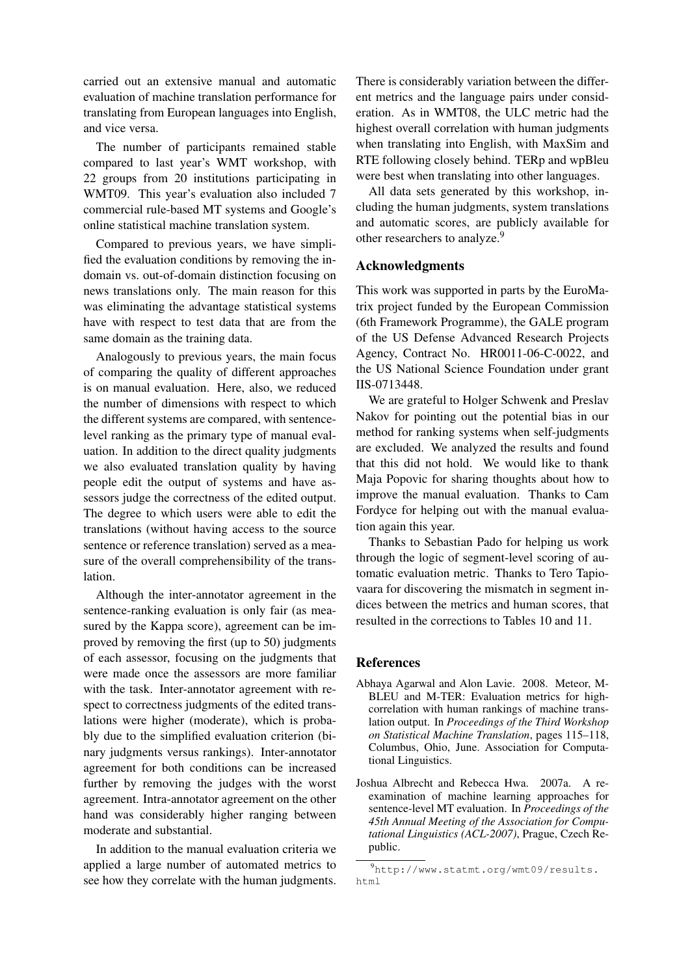carried out an extensive manual and automatic evaluation of machine translation performance for translating from European languages into English, and vice versa.

The number of participants remained stable compared to last year's WMT workshop, with 22 groups from 20 institutions participating in WMT09. This year's evaluation also included 7 commercial rule-based MT systems and Google's online statistical machine translation system.

Compared to previous years, we have simplified the evaluation conditions by removing the indomain vs. out-of-domain distinction focusing on news translations only. The main reason for this was eliminating the advantage statistical systems have with respect to test data that are from the same domain as the training data.

Analogously to previous years, the main focus of comparing the quality of different approaches is on manual evaluation. Here, also, we reduced the number of dimensions with respect to which the different systems are compared, with sentencelevel ranking as the primary type of manual evaluation. In addition to the direct quality judgments we also evaluated translation quality by having people edit the output of systems and have assessors judge the correctness of the edited output. The degree to which users were able to edit the translations (without having access to the source sentence or reference translation) served as a measure of the overall comprehensibility of the translation.

Although the inter-annotator agreement in the sentence-ranking evaluation is only fair (as measured by the Kappa score), agreement can be improved by removing the first (up to 50) judgments of each assessor, focusing on the judgments that were made once the assessors are more familiar with the task. Inter-annotator agreement with respect to correctness judgments of the edited translations were higher (moderate), which is probably due to the simplified evaluation criterion (binary judgments versus rankings). Inter-annotator agreement for both conditions can be increased further by removing the judges with the worst agreement. Intra-annotator agreement on the other hand was considerably higher ranging between moderate and substantial.

In addition to the manual evaluation criteria we applied a large number of automated metrics to see how they correlate with the human judgments.

There is considerably variation between the different metrics and the language pairs under consideration. As in WMT08, the ULC metric had the highest overall correlation with human judgments when translating into English, with MaxSim and RTE following closely behind. TERp and wpBleu were best when translating into other languages.

All data sets generated by this workshop, including the human judgments, system translations and automatic scores, are publicly available for other researchers to analyze.<sup>9</sup>

## Acknowledgments

This work was supported in parts by the EuroMatrix project funded by the European Commission (6th Framework Programme), the GALE program of the US Defense Advanced Research Projects Agency, Contract No. HR0011-06-C-0022, and the US National Science Foundation under grant IIS-0713448.

We are grateful to Holger Schwenk and Preslav Nakov for pointing out the potential bias in our method for ranking systems when self-judgments are excluded. We analyzed the results and found that this did not hold. We would like to thank Maja Popovic for sharing thoughts about how to improve the manual evaluation. Thanks to Cam Fordyce for helping out with the manual evaluation again this year.

Thanks to Sebastian Pado for helping us work through the logic of segment-level scoring of automatic evaluation metric. Thanks to Tero Tapiovaara for discovering the mismatch in segment indices between the metrics and human scores, that resulted in the corrections to Tables 10 and 11.

#### References

- Abhaya Agarwal and Alon Lavie. 2008. Meteor, M-BLEU and M-TER: Evaluation metrics for highcorrelation with human rankings of machine translation output. In *Proceedings of the Third Workshop on Statistical Machine Translation*, pages 115–118, Columbus, Ohio, June. Association for Computational Linguistics.
- Joshua Albrecht and Rebecca Hwa. 2007a. A reexamination of machine learning approaches for sentence-level MT evaluation. In *Proceedings of the 45th Annual Meeting of the Association for Computational Linguistics (ACL-2007)*, Prague, Czech Republic.

<sup>9</sup>http://www.statmt.org/wmt09/results. html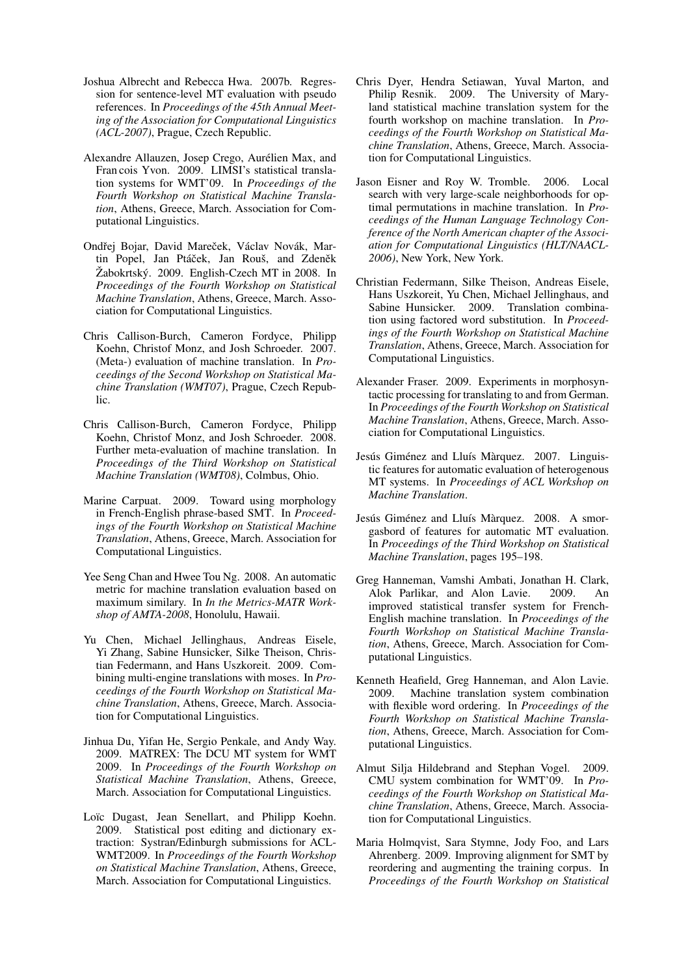- Joshua Albrecht and Rebecca Hwa. 2007b. Regression for sentence-level MT evaluation with pseudo references. In *Proceedings of the 45th Annual Meeting of the Association for Computational Linguistics (ACL-2007)*, Prague, Czech Republic.
- Alexandre Allauzen, Josep Crego, Aurelien Max, and ´ Fran cois Yvon. 2009. LIMSI's statistical translation systems for WMT'09. In *Proceedings of the Fourth Workshop on Statistical Machine Translation*, Athens, Greece, March. Association for Computational Linguistics.
- Ondřej Bojar, David Mareček, Václav Novák, Martin Popel, Jan Ptáček, Jan Rouš, and Zdeněk Žabokrtský. 2009. English-Czech MT in  $2008$ . In *Proceedings of the Fourth Workshop on Statistical Machine Translation*, Athens, Greece, March. Association for Computational Linguistics.
- Chris Callison-Burch, Cameron Fordyce, Philipp Koehn, Christof Monz, and Josh Schroeder. 2007. (Meta-) evaluation of machine translation. In *Proceedings of the Second Workshop on Statistical Machine Translation (WMT07)*, Prague, Czech Republic.
- Chris Callison-Burch, Cameron Fordyce, Philipp Koehn, Christof Monz, and Josh Schroeder. 2008. Further meta-evaluation of machine translation. In *Proceedings of the Third Workshop on Statistical Machine Translation (WMT08)*, Colmbus, Ohio.
- Marine Carpuat. 2009. Toward using morphology in French-English phrase-based SMT. In *Proceedings of the Fourth Workshop on Statistical Machine Translation*, Athens, Greece, March. Association for Computational Linguistics.
- Yee Seng Chan and Hwee Tou Ng. 2008. An automatic metric for machine translation evaluation based on maximum similary. In *In the Metrics-MATR Workshop of AMTA-2008*, Honolulu, Hawaii.
- Yu Chen, Michael Jellinghaus, Andreas Eisele, Yi Zhang, Sabine Hunsicker, Silke Theison, Christian Federmann, and Hans Uszkoreit. 2009. Combining multi-engine translations with moses. In *Proceedings of the Fourth Workshop on Statistical Machine Translation*, Athens, Greece, March. Association for Computational Linguistics.
- Jinhua Du, Yifan He, Sergio Penkale, and Andy Way. 2009. MATREX: The DCU MT system for WMT 2009. In *Proceedings of the Fourth Workshop on Statistical Machine Translation*, Athens, Greece, March. Association for Computational Linguistics.
- Loïc Dugast, Jean Senellart, and Philipp Koehn. 2009. Statistical post editing and dictionary extraction: Systran/Edinburgh submissions for ACL-WMT2009. In *Proceedings of the Fourth Workshop on Statistical Machine Translation*, Athens, Greece, March. Association for Computational Linguistics.
- Chris Dyer, Hendra Setiawan, Yuval Marton, and Philip Resnik. 2009. The University of Maryland statistical machine translation system for the fourth workshop on machine translation. In *Proceedings of the Fourth Workshop on Statistical Machine Translation*, Athens, Greece, March. Association for Computational Linguistics.
- Jason Eisner and Roy W. Tromble. 2006. Local search with very large-scale neighborhoods for optimal permutations in machine translation. In *Proceedings of the Human Language Technology Conference of the North American chapter of the Association for Computational Linguistics (HLT/NAACL-2006)*, New York, New York.
- Christian Federmann, Silke Theison, Andreas Eisele, Hans Uszkoreit, Yu Chen, Michael Jellinghaus, and Sabine Hunsicker. 2009. Translation combination using factored word substitution. In *Proceedings of the Fourth Workshop on Statistical Machine Translation*, Athens, Greece, March. Association for Computational Linguistics.
- Alexander Fraser. 2009. Experiments in morphosyntactic processing for translating to and from German. In *Proceedings of the Fourth Workshop on Statistical Machine Translation*, Athens, Greece, March. Association for Computational Linguistics.
- Jesús Giménez and Lluís Màrquez. 2007. Linguistic features for automatic evaluation of heterogenous MT systems. In *Proceedings of ACL Workshop on Machine Translation*.
- Jesús Giménez and Lluís Màrquez. 2008. A smorgasbord of features for automatic MT evaluation. In *Proceedings of the Third Workshop on Statistical Machine Translation*, pages 195–198.
- Greg Hanneman, Vamshi Ambati, Jonathan H. Clark, Alok Parlikar, and Alon Lavie. 2009. An improved statistical transfer system for French-English machine translation. In *Proceedings of the Fourth Workshop on Statistical Machine Translation*, Athens, Greece, March. Association for Computational Linguistics.
- Kenneth Heafield, Greg Hanneman, and Alon Lavie. 2009. Machine translation system combination with flexible word ordering. In *Proceedings of the Fourth Workshop on Statistical Machine Translation*, Athens, Greece, March. Association for Computational Linguistics.
- Almut Silja Hildebrand and Stephan Vogel. 2009. CMU system combination for WMT'09. In *Proceedings of the Fourth Workshop on Statistical Machine Translation*, Athens, Greece, March. Association for Computational Linguistics.
- Maria Holmqvist, Sara Stymne, Jody Foo, and Lars Ahrenberg. 2009. Improving alignment for SMT by reordering and augmenting the training corpus. In *Proceedings of the Fourth Workshop on Statistical*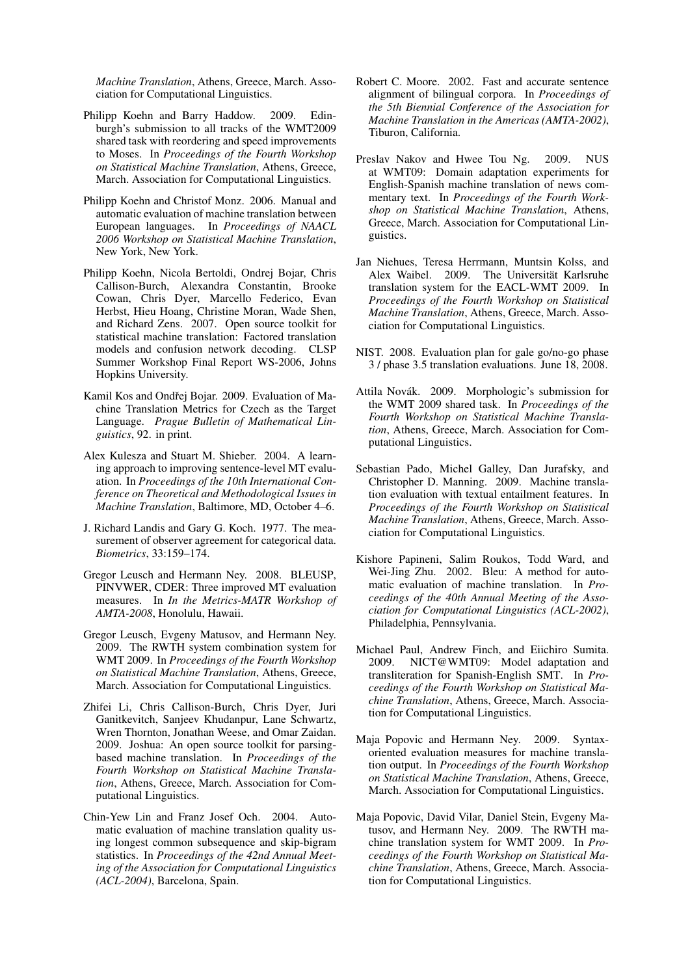*Machine Translation*, Athens, Greece, March. Association for Computational Linguistics.

- Philipp Koehn and Barry Haddow. 2009. Edinburgh's submission to all tracks of the WMT2009 shared task with reordering and speed improvements to Moses. In *Proceedings of the Fourth Workshop on Statistical Machine Translation*, Athens, Greece, March. Association for Computational Linguistics.
- Philipp Koehn and Christof Monz. 2006. Manual and automatic evaluation of machine translation between European languages. In *Proceedings of NAACL 2006 Workshop on Statistical Machine Translation*, New York, New York.
- Philipp Koehn, Nicola Bertoldi, Ondrej Bojar, Chris Callison-Burch, Alexandra Constantin, Brooke Cowan, Chris Dyer, Marcello Federico, Evan Herbst, Hieu Hoang, Christine Moran, Wade Shen, and Richard Zens. 2007. Open source toolkit for statistical machine translation: Factored translation models and confusion network decoding. CLSP Summer Workshop Final Report WS-2006, Johns Hopkins University.
- Kamil Kos and Ondřej Bojar. 2009. Evaluation of Machine Translation Metrics for Czech as the Target Language. *Prague Bulletin of Mathematical Linguistics*, 92. in print.
- Alex Kulesza and Stuart M. Shieber. 2004. A learning approach to improving sentence-level MT evaluation. In *Proceedings of the 10th International Conference on Theoretical and Methodological Issues in Machine Translation*, Baltimore, MD, October 4–6.
- J. Richard Landis and Gary G. Koch. 1977. The measurement of observer agreement for categorical data. *Biometrics*, 33:159–174.
- Gregor Leusch and Hermann Ney. 2008. BLEUSP, PINVWER, CDER: Three improved MT evaluation measures. In *In the Metrics-MATR Workshop of AMTA-2008*, Honolulu, Hawaii.
- Gregor Leusch, Evgeny Matusov, and Hermann Ney. 2009. The RWTH system combination system for WMT 2009. In *Proceedings of the Fourth Workshop on Statistical Machine Translation*, Athens, Greece, March. Association for Computational Linguistics.
- Zhifei Li, Chris Callison-Burch, Chris Dyer, Juri Ganitkevitch, Sanjeev Khudanpur, Lane Schwartz, Wren Thornton, Jonathan Weese, and Omar Zaidan. 2009. Joshua: An open source toolkit for parsingbased machine translation. In *Proceedings of the Fourth Workshop on Statistical Machine Translation*, Athens, Greece, March. Association for Computational Linguistics.
- Chin-Yew Lin and Franz Josef Och. 2004. Automatic evaluation of machine translation quality using longest common subsequence and skip-bigram statistics. In *Proceedings of the 42nd Annual Meeting of the Association for Computational Linguistics (ACL-2004)*, Barcelona, Spain.
- Robert C. Moore. 2002. Fast and accurate sentence alignment of bilingual corpora. In *Proceedings of the 5th Biennial Conference of the Association for Machine Translation in the Americas (AMTA-2002)*, Tiburon, California.
- Preslav Nakov and Hwee Tou Ng. 2009. NUS at WMT09: Domain adaptation experiments for English-Spanish machine translation of news commentary text. In *Proceedings of the Fourth Workshop on Statistical Machine Translation*, Athens, Greece, March. Association for Computational Linguistics.
- Jan Niehues, Teresa Herrmann, Muntsin Kolss, and Alex Waibel. 2009. The Universität Karlsruhe translation system for the EACL-WMT 2009. In *Proceedings of the Fourth Workshop on Statistical Machine Translation*, Athens, Greece, March. Association for Computational Linguistics.
- NIST. 2008. Evaluation plan for gale go/no-go phase 3 / phase 3.5 translation evaluations. June 18, 2008.
- Attila Novák. 2009. Morphologic's submission for the WMT 2009 shared task. In *Proceedings of the Fourth Workshop on Statistical Machine Translation*, Athens, Greece, March. Association for Computational Linguistics.
- Sebastian Pado, Michel Galley, Dan Jurafsky, and Christopher D. Manning. 2009. Machine translation evaluation with textual entailment features. In *Proceedings of the Fourth Workshop on Statistical Machine Translation*, Athens, Greece, March. Association for Computational Linguistics.
- Kishore Papineni, Salim Roukos, Todd Ward, and Wei-Jing Zhu. 2002. Bleu: A method for automatic evaluation of machine translation. In *Proceedings of the 40th Annual Meeting of the Association for Computational Linguistics (ACL-2002)*, Philadelphia, Pennsylvania.
- Michael Paul, Andrew Finch, and Eiichiro Sumita. 2009. NICT@WMT09: Model adaptation and transliteration for Spanish-English SMT. In *Proceedings of the Fourth Workshop on Statistical Machine Translation*, Athens, Greece, March. Association for Computational Linguistics.
- Maja Popovic and Hermann Ney. 2009. Syntaxoriented evaluation measures for machine translation output. In *Proceedings of the Fourth Workshop on Statistical Machine Translation*, Athens, Greece, March. Association for Computational Linguistics.
- Maja Popovic, David Vilar, Daniel Stein, Evgeny Matusov, and Hermann Ney. 2009. The RWTH machine translation system for WMT 2009. In *Proceedings of the Fourth Workshop on Statistical Machine Translation*, Athens, Greece, March. Association for Computational Linguistics.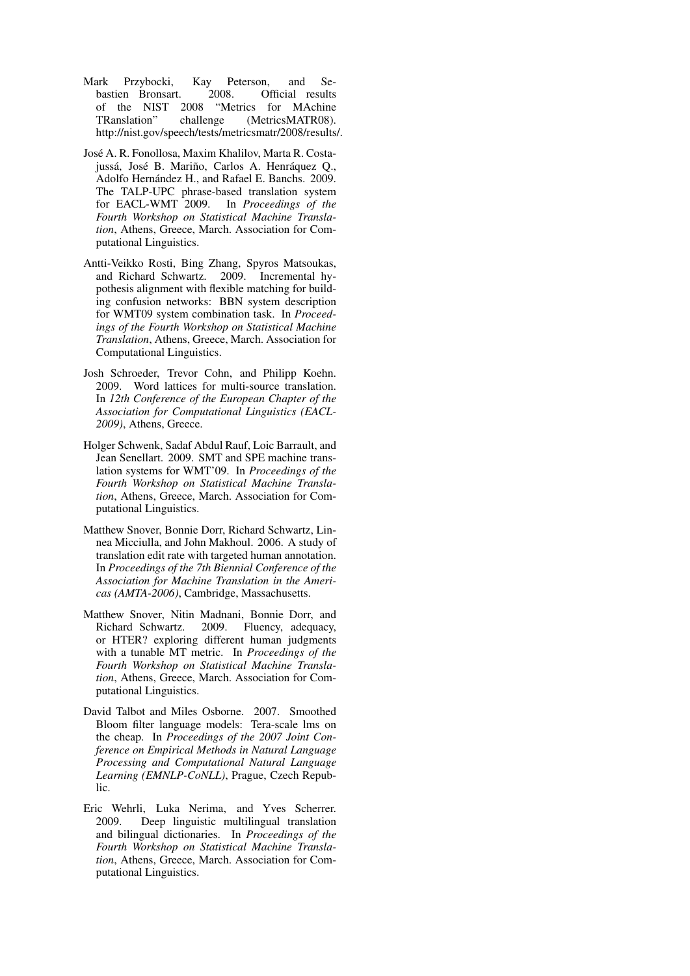- Mark Przybocki, Kay Peterson, and Sebastien Bronsart. 2008. Official results of the NIST 2008 "Metrics for MAchine TRanslation" challenge (MetricsMATR08). http://nist.gov/speech/tests/metricsmatr/2008/results/.
- Jose A. R. Fonollosa, Maxim Khalilov, Marta R. Costa- ´ jussá, José B. Mariño, Carlos A. Henráquez Q., Adolfo Hernández H., and Rafael E. Banchs. 2009. The TALP-UPC phrase-based translation system for EACL-WMT 2009. In *Proceedings of the Fourth Workshop on Statistical Machine Translation*, Athens, Greece, March. Association for Computational Linguistics.
- Antti-Veikko Rosti, Bing Zhang, Spyros Matsoukas, and Richard Schwartz. 2009. Incremental hypothesis alignment with flexible matching for building confusion networks: BBN system description for WMT09 system combination task. In *Proceedings of the Fourth Workshop on Statistical Machine Translation*, Athens, Greece, March. Association for Computational Linguistics.
- Josh Schroeder, Trevor Cohn, and Philipp Koehn. 2009. Word lattices for multi-source translation. In *12th Conference of the European Chapter of the Association for Computational Linguistics (EACL-2009)*, Athens, Greece.
- Holger Schwenk, Sadaf Abdul Rauf, Loic Barrault, and Jean Senellart. 2009. SMT and SPE machine translation systems for WMT'09. In *Proceedings of the Fourth Workshop on Statistical Machine Translation*, Athens, Greece, March. Association for Computational Linguistics.
- Matthew Snover, Bonnie Dorr, Richard Schwartz, Linnea Micciulla, and John Makhoul. 2006. A study of translation edit rate with targeted human annotation. In *Proceedings of the 7th Biennial Conference of the Association for Machine Translation in the Americas (AMTA-2006)*, Cambridge, Massachusetts.
- Matthew Snover, Nitin Madnani, Bonnie Dorr, and Richard Schwartz. 2009. Fluency, adequacy, or HTER? exploring different human judgments with a tunable MT metric. In *Proceedings of the Fourth Workshop on Statistical Machine Translation*, Athens, Greece, March. Association for Computational Linguistics.
- David Talbot and Miles Osborne. 2007. Smoothed Bloom filter language models: Tera-scale lms on the cheap. In *Proceedings of the 2007 Joint Conference on Empirical Methods in Natural Language Processing and Computational Natural Language Learning (EMNLP-CoNLL)*, Prague, Czech Republic.
- Eric Wehrli, Luka Nerima, and Yves Scherrer. 2009. Deep linguistic multilingual translation and bilingual dictionaries. In *Proceedings of the Fourth Workshop on Statistical Machine Translation*, Athens, Greece, March. Association for Computational Linguistics.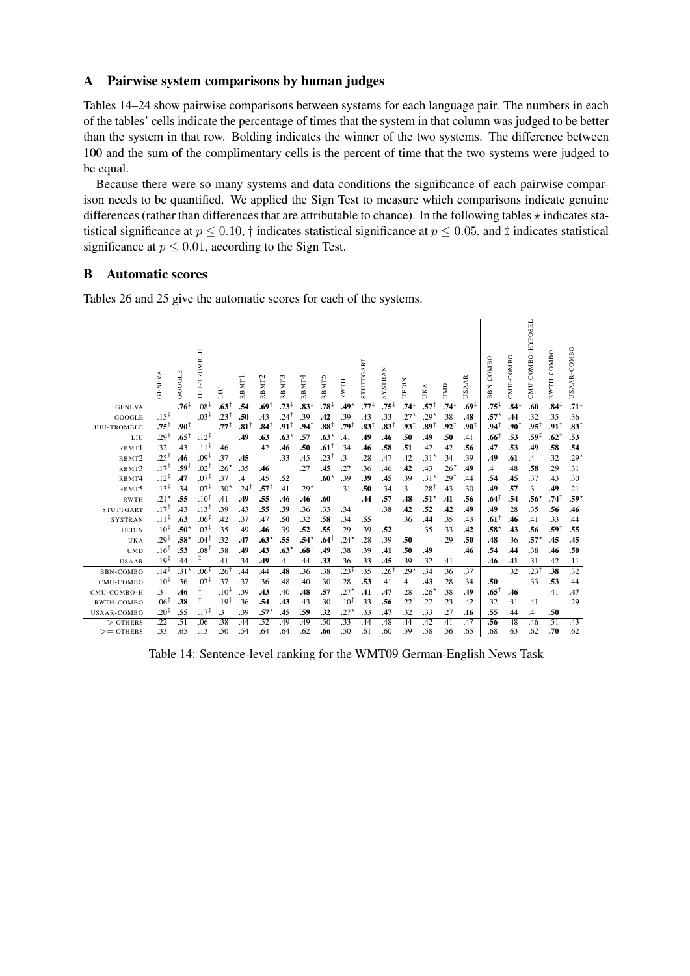## A Pairwise system comparisons by human judges

Tables 14–24 show pairwise comparisons between systems for each language pair. The numbers in each of the tables' cells indicate the percentage of times that the system in that column was judged to be better than the system in that row. Bolding indicates the winner of the two systems. The difference between 100 and the sum of the complimentary cells is the percent of time that the two systems were judged to be equal.

Because there were so many systems and data conditions the significance of each pairwise comparison needs to be quantified. We applied the Sign Test to measure which comparisons indicate genuine differences (rather than differences that are attributable to chance). In the following tables  $\star$  indicates statistical significance at  $p \le 0.10$ ,  $\dagger$  indicates statistical significance at  $p \le 0.05$ , and  $\dagger$  indicates statistical significance at  $p \leq 0.01$ , according to the Sign Test.

# B Automatic scores

Tables 26 and 25 give the automatic scores for each of the systems.

|                            | GENEVA                              | GOOGLE                 | <b>IHU-TROMBLE</b> | ПLI              | RBMT1            | RBMT <sub>2</sub> | RBMT3           | RBMT4            | RBMT5                     | <b>RWTH</b>          | STUTTGART        | <b>SYSTRAN</b>   | UEDIN            | UKA             | UMD              | <b>USAAR</b>     | BBN-COMBO        | CMU-COMBO        | CMU-COMBO-HYPOSEL       | RWTH-COMBO                | USAAR-COMBO      |
|----------------------------|-------------------------------------|------------------------|--------------------|------------------|------------------|-------------------|-----------------|------------------|---------------------------|----------------------|------------------|------------------|------------------|-----------------|------------------|------------------|------------------|------------------|-------------------------|---------------------------|------------------|
| <b>GENEVA</b>              |                                     | $.76^{\ddagger}$       | $.08^{\ddagger}$   | $.63^{\dagger}$  | .54              | $.69^{\dagger}$   | $.73^+$         | $.83^{\ddagger}$ | $.78^{\ddagger}$          | $.49*$               | $.77^{\ddagger}$ | $.75^{\ddagger}$ | .74‡             | $.57^{\dagger}$ | .74‡             | .69‡             | $.75^{\ddagger}$ | $.84^{\ddagger}$ | .60                     | $.84^{\ddagger}$          | $.71^{\ddagger}$ |
| GOOGLE                     | $.15^{\ddagger}$                    |                        | $.03^{\ddagger}$   | $.23^{\dagger}$  | .50              | .43               | $.24^{\dagger}$ | .39              | .42                       | .39                  | .43              | .33              | $.27*$           | $.29*$          | .38              | .48              | $.57*$           | .44              | .32                     | .35                       | .36              |
| JHU-TROMBLE                | $.75^{\ddagger}$<br>$.29^{\dagger}$ | $.90^{\ddagger}$       | $.12^{\ddagger}$   | $.77^{\ddagger}$ | $.81^{\ddagger}$ | $.84^{\ddagger}$  | ‡91.            | $.94^{\ddagger}$ | $.88^{\ddagger}$          | $.79^{\ddagger}$     | $.83^{\ddagger}$ | $.83^{\ddagger}$ | $.93^{\ddagger}$ | .89‡            | $.92^{\ddagger}$ | $.90^{\ddagger}$ | $.94^{\ddagger}$ | $.90^{\ddagger}$ | $.95^{\ddagger}$        | $.91^{\ddagger}$          | $.83^{\ddagger}$ |
| LIU                        | .32                                 | $.65^{\dagger}$<br>.43 | $.11^{\ddagger}$   |                  | .49              | .63<br>.42        | $.63*$          | .57<br>.50       | $.63*$<br>$.61^{\dagger}$ | .41<br>.34           | .49              | .46<br>.58       | .50<br>.51       | .49             | .50              | .41              | .66              | .53<br>.53       | $.59^{\ddagger}$<br>.49 | $.62$ <sup>1</sup><br>.58 | .53<br>.54       |
| RBMT1                      | $.25^{\dagger}$                     | .46                    | $.09^{\ddagger}$   | .46<br>.37       | .45              |                   | .46<br>.33      | .45              | 23.                       | $\cdot$ <sup>3</sup> | .46<br>.28       | .47              | .42              | .42<br>$.31*$   | .42<br>.34       | .56<br>.39       | .47<br>.49       |                  |                         | .32                       |                  |
| RBMT <sub>2</sub><br>RBMT3 | $.17^{\ddagger}$                    | .591                   | $.02^{\ddagger}$   | $.26*$           | .35              | .46               |                 | .27              | .45                       | .27                  | .36              | .46              | .42              | .43             | $.26*$           | .49              | .4               | .61<br>.48       | $\mathcal{A}$<br>.58    | .29                       | $.29*$<br>.31    |
| RBMT4                      | $.12^{\ddagger}$                    | .47                    | $.07^{\ddagger}$   | .37              | $\cdot$ 4        | .45               | .52             |                  | $.60*$                    | .39                  | .39              | .45              | .39              | $.31*$          | $.29^{\circ}$    | .44              | .54              | .45              | .37                     | .43                       | .30              |
| RBMT5                      | $.13^{\ddagger}$                    | .34                    | $.07^{\ddagger}$   | $.30*$           | $.24^{\dagger}$  | $.57^{\dagger}$   | .41             | $.29*$           |                           | .31                  | .50              | .34              | .3               | .281            | .43              | .30              | .49              | .57              | .3                      | .49                       | .21              |
| <b>RWTH</b>                | $.21*$                              | .55                    | $.10^{\ddagger}$   | .41              | .49              | .55               | .46             | .46              | .60                       |                      | .44              | .57              | .48              | $.51*$          | .41              | .56              | $.64^{\ddagger}$ | .54              | $.56*$                  | $.74^{\ddagger}$          | .59*             |
| <b>STUTTGART</b>           | $.17^{\ddagger}$                    | .43                    | $.13^{\ddagger}$   | .39              | .43              | .55               | .39             | .36              | .33                       | .34                  |                  | .38              | .42              | .52             | .42              | .49              | .49              | .28              | .35                     | .56                       | .46              |
| <b>SYSTRAN</b>             | $.11^{\ddagger}$                    | .63                    | $.06^{\ddagger}$   | .42              | .37              | .47               | .50             | .32              | .58                       | .34                  | .55              |                  | .36              | .44             | .35              | .43              | $.61^{\dagger}$  | .46              | .41                     | .33                       | .44              |
| <b>UEDIN</b>               | $.10^{\ddagger}$                    | $.50^*$                | $.03^{\ddagger}$   | .35              | .49              | .46               | .39             | .52              | .55                       | .29                  | .39              | .52              |                  | .35             | .33              | .42              | $.58^{\star}$    | .43              | .56                     | .59                       | .55              |
| UKA                        | $.29^{\dagger}$                     | $.58*$                 | $.04^{\ddagger}$   | .32              | .47              | $.63*$            | .55             | $.54*$           | .641                      | $.24*$               | .28              | .39              | .50              |                 | .29              | .50              | .48              | .36              | $.57*$                  | .45                       | .45              |
| <b>UMD</b>                 | $.16^{\ddagger}$                    | .53                    | $.08^{\ddagger}$   | .38              | .49              | .43               | $.63*$          | $.68^{\dagger}$  | .49                       | .38                  | .39              | .41              | .50              | .49             |                  | .46              | .54              | .44              | .38                     | .46                       | .50              |
| <b>USAAR</b>               | .19 $\ddagger$                      | .44                    | ‡.                 | .41              | .34              | .49               | $\mathcal{A}$   | .44              | .33                       | .36                  | .33              | .45              | .39              | .32             | .41              |                  | .46              | .41              | .31                     | .42                       | .11              |
| <b>BBN-COMBO</b>           | $.14^{\ddagger}$                    | $.31*$                 | $.06^{\ddagger}$   | $.26^{\dagger}$  | .44              | .44               | .48             | .36              | .38                       | $.23^{\ddagger}$     | .35              | $.26^{\dagger}$  | $.29*$           | .34             | .36              | .37              |                  | .32              | $.23^{\dagger}$         | .38                       | .32              |
| CMU-COMBO                  | $.10^{\ddagger}$                    | .36                    | $.07^{\ddagger}$   | .37              | .37              | .36               | .48             | .40              | .30                       | .28                  | .53              | .41              | .4               | .43             | .28              | .34              | .50              |                  | .33                     | .53                       | .44              |
| CMU-COMBO-H                | .3                                  | .46                    | ŧ                  | $.10^{1}$        | .39              | .43               | .40             | .48              | .57                       | $.27*$               | .41              | .47              | .28              | $.26*$          | .38              | .49              | $.65^{\dagger}$  | .46              |                         | .41                       | .47              |
| RWTH-COMBO                 | $.06^{\ddagger}$                    | .38                    | ŧ                  | $.19^{\dagger}$  | .36              | .54               | .43             | .43              | .30                       | $.10^{\ddagger}$     | .33              | .56              | 221.             | .27             | .23              | .42              | .32              | .31              | .41                     |                           | .29              |
| <b>USAAR-COMBO</b>         | $.20^{\ddagger}$                    | .55                    | $.17^{\ddagger}$   | $\cdot$ 3        | .39              | $.57*$            | .45             | .59              | .32                       | $.27*$               | .33              | .47              | .32              | .33             | .27              | .16              | .55              | .44              | .4                      | .50                       |                  |
| $>$ OTHERS                 | $\overline{.22}$                    | $\overline{.51}$       | .06                | .38              | .44              | .52               | .49             | .49              | .50                       | 33                   | .44              | .48              | .44              | .42             | .41              | .47              | .56              | .48              | .46                     | .51                       | .43              |
| $>=$ OTHERS                | .33                                 | .65                    | .13                | .50              | .54              | .64               | .64             | .62              | .66                       | .50                  | .61              | .60              | .59              | .58             | .56              | .65              | .68              | .63              | .62                     | .70                       | .62              |

Table 14: Sentence-level ranking for the WMT09 German-English News Task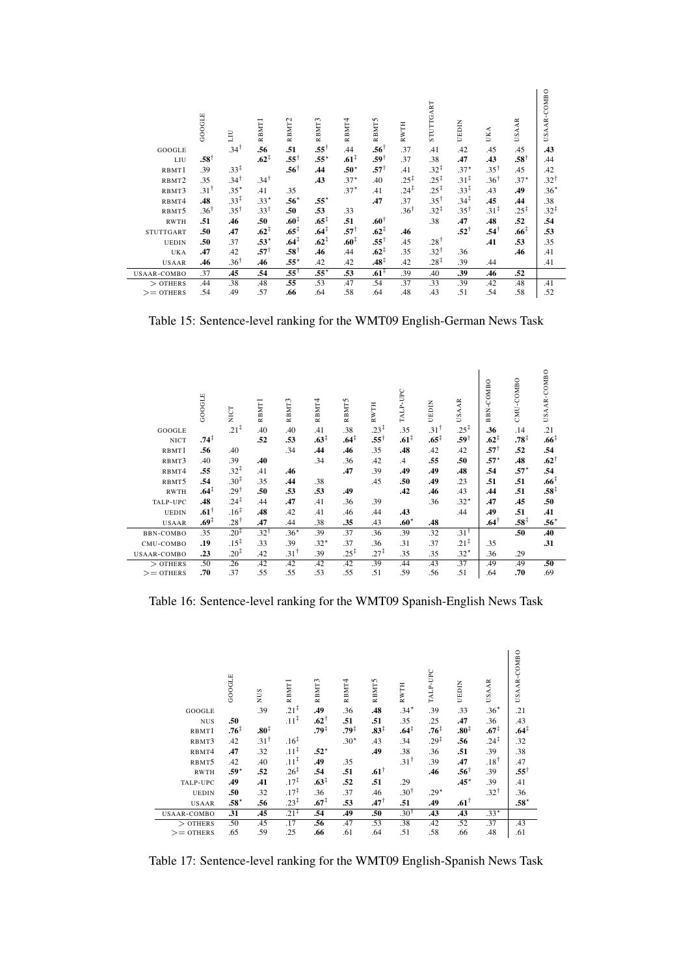|                    | GOOGLE          | ΠI               | RBMT <sub>1</sub> | RBMT <sub>2</sub> | RBMT3            | RBMT4            | RBMT5            | <b>RWTH</b>      | STUTTGART        | UEDIN            | UKA              | <b>USAAR</b>     | USAAR-COMBO      |
|--------------------|-----------------|------------------|-------------------|-------------------|------------------|------------------|------------------|------------------|------------------|------------------|------------------|------------------|------------------|
| GOOGLE             |                 | $.34^{\dagger}$  | .56               | .51               | $.55^{\dagger}$  | .44              | $.56^{\dagger}$  | .37              | .41              | .42              | .45              | .45              | .43              |
| LIU                | $.58^{\dagger}$ |                  | $.62^{\ddagger}$  | $.55^{\dagger}$   | $.55*$           | $.61^{\ddagger}$ | $.59^{\dagger}$  | .37              | .38              | .47              | .43              | $.58^{\dagger}$  | .44              |
| RBMT1              | .39             | $.33^{\ddagger}$ |                   | $.56^{\dagger}$   | .44              | $.50^*$          | $.57^{\dagger}$  | .41              | $.32^{\ddagger}$ | $.37*$           | $.35^{\dagger}$  | .45              | .42              |
| RBMT2              | .35             | $.34^{\dagger}$  | $.34^{\dagger}$   |                   | .43              | $.37*$           | .40              | $.25^{\ddagger}$ | $.25^{\ddagger}$ | $.31^{\ddagger}$ | $.36^{\dagger}$  | $.37*$           | $.32^{\dagger}$  |
| RBMT3              | $.31^{\dagger}$ | $.35*$           | .41               | .35               |                  | $.37*$           | .41              | $.24^{\ddagger}$ | $.25^{\ddagger}$ | $.33^{\ddagger}$ | .43              | .49              | $.36*$           |
| RBMT4              | .48             | $.33^{\ddagger}$ | $.33*$            | $.56*$            | $.55*$           |                  | .47              | .37              | $.35^{\dagger}$  | $.34^{\ddagger}$ | .45              | .44              | .38              |
| RBMT5              | $.36^{\dagger}$ | $.35^{\dagger}$  | $.33^{\dagger}$   | .50               | .53              | .33              |                  | $.36^{\dagger}$  | $.32^{\ddagger}$ | $.35^{\dagger}$  | $.31^{\ddagger}$ | $.25^{\ddagger}$ | $.32^{\ddagger}$ |
| <b>RWTH</b>        | .51             | .46              | .50               | .60 <sup>‡</sup>  | $.65^{\ddagger}$ | .51              | $.60^{\dagger}$  |                  | .38              | .47              | .48              | .52              | .54              |
| <b>STUTTGART</b>   | .50             | .47              | $.62^{\ddagger}$  | $.65^{\ddagger}$  | .64 <sup>†</sup> | $.57^+$          | $.62^{\ddagger}$ | .46              |                  | $.52^{\dagger}$  | $.54^{\dagger}$  | $.66^{\ddagger}$ | .53              |
| <b>UEDIN</b>       | .50             | .37              | $.53*$            | $.64^{\ddagger}$  | $.62^{\ddagger}$ | $.60^{\ddagger}$ | $.55^{\dagger}$  | .45              | $.28^{\dagger}$  |                  | .41              | .53              | .35              |
| UKA                | .47             | .42              | $.57^{\dagger}$   | $.58^{\dagger}$   | .46              | .44              | $.62^{\ddagger}$ | .35              | $.32^{\dagger}$  | .36              |                  | .46              | .41              |
| <b>USAAR</b>       | .46             | $.36^{\dagger}$  | .46               | $.55*$            | .42              | .42              | $.48^{\ddagger}$ | .42              | $.28^{\ddagger}$ | .39              | .44              |                  | .41              |
| <b>USAAR-COMBO</b> | .37             | .45              | .54               | $.55^{\dagger}$   | $.55*$           | .53              | $.61^{\ddagger}$ | .39              | .40              | .39              | .46              | .52              |                  |
| $>$ OTHERS         | .44             | .38              | .48               | .55               | .53              | .47              | .54              | .37              | .33              | .39              | .42              | .48              | .41              |
| $>=$ OTHERS        | .54             | .49              | .57               | .66               | .64              | .58              | .64              | .48              | .43              | .51              | .54              | .58              | .52              |

Table 15: Sentence-level ranking for the WMT09 English-German News Task

|              | GOOGLE           | <b>NICT</b><br>$.21^{\ddagger}$ | RBMT1           | RBMT3           | RBMT4            | RBMT5            | <b>RWTH</b>      | TALP-UPC         | UEDIN            | <b>USAAR</b><br>$.25^{\ddagger}$ | BBN-COMBO        | CMU-COMBO        | USAAR-COMBO      |
|--------------|------------------|---------------------------------|-----------------|-----------------|------------------|------------------|------------------|------------------|------------------|----------------------------------|------------------|------------------|------------------|
| GOOGLE       |                  |                                 | .40             | .40             | .41              | .38              | $.23^{\ddagger}$ | .35              | $.31^{\dagger}$  |                                  | .36              | .14              | .21              |
| <b>NICT</b>  | $.74^{\ddagger}$ |                                 | .52             | .53             | $.63^{\ddagger}$ | $.64^{\ddagger}$ | $.55^{\dagger}$  | $.61^{\ddagger}$ | $.65^{\ddagger}$ | $.59^{\dagger}$                  | $.62^{\ddagger}$ | $.78^{\ddagger}$ | $.66^{\ddagger}$ |
| RBMT1        | .56              | .40                             |                 | .34             | .44              | .46              | .35              | .48              | .42              | .42                              | $.57^{\dagger}$  | .52              | .54              |
| RBMT3        | .40              | .39                             | .40             |                 | .34              | .36              | .42              | $\mathcal{A}$    | .55              | .50                              | $.57*$           | .48              | $.62^{\dagger}$  |
| RBMT4        | .55              | $.32^{\ddagger}$                | .41             | .46             |                  | .47              | .39              | .49              | .49              | .48                              | .54              | $.57*$           | .54              |
| RBMT5        | .54              | $.30^{\ddagger}$                | .35             | .44             | .38              |                  | .45              | .50              | .49              | .23                              | .51              | .51              | .66 <sup>†</sup> |
| <b>RWTH</b>  | $.64^{\ddagger}$ | $.29^{\dagger}$                 | .50             | .53             | .53              | .49              |                  | .42              | .46              | .43                              | .44              | .51              | $.58^{\ddagger}$ |
| TALP-UPC     | .48              | $.24^{\ddagger}$                | .44             | .47             | .41              | .36              | .39              |                  | .36              | $.32*$                           | .47              | .45              | .50              |
| <b>UEDIN</b> | $.61^{\dagger}$  | $.16^{\ddagger}$                | .48             | .42             | .41              | .46              | .44              | .43              |                  | .44                              | .49              | .51              | .41              |
| <b>USAAR</b> | $.69^{\ddagger}$ | $.28^{\dagger}$                 | .47             | .44             | .38              | .35              | .43              | $.60*$           | .48              |                                  | $.64^{\dagger}$  | $.58^{\ddagger}$ | $.56*$           |
| BBN-COMBO    | .35              | $.20^{+}$                       | $.32^{\dagger}$ | $.36*$          | .39              | .37              | .36              | .39              | .32              | $.31^{\dagger}$                  |                  | .50              | .40              |
| CMU-COMBO    | .19              | $.15^{\ddagger}$                | .33             | .39             | $.32*$           | .37              | .36              | .31              | .37              | $.21^{\ddagger}$                 | .35              |                  | .31              |
| USAAR-COMBO  | .23              | $.20^{\ddagger}$                | .42             | $.31^{\dagger}$ | .39              | $.25^{\ddagger}$ | $.27^{\ddagger}$ | .35              | .35              | $.32*$                           | .36              | .29              |                  |
| $>$ OTHERS   | .50              | .26                             | .42             | .42             | .42              | .42              | .39              | .44              | .43              | .37                              | .49              | .49              | .50              |
| $>=$ OTHERS  | .70              | .37                             | .55             | .55             | .53              | .55              | .51              | .59              | .56              | .51                              | .64              | .70              | .69              |

Table 16: Sentence-level ranking for the WMT09 Spanish-English News Task

|              | GOOGLE           | NUS              | RBMT <sup>1</sup> | RBMT3            | RBMT4            | RBMT5            | <b>RWTH</b>      | TALP-UPC         | UEDIN            | USAAR            | USAAR-COMBO      |
|--------------|------------------|------------------|-------------------|------------------|------------------|------------------|------------------|------------------|------------------|------------------|------------------|
| GOOGLE       |                  | .39              | $.21^{\ddagger}$  | .49              | .36              | .48              | $.34*$           | .39              | .33              | $.36*$           | .21              |
| <b>NUS</b>   | .50              |                  | $.11^{\ddagger}$  | $.62^{\dagger}$  | .51              | .51              | .35              | .25              | .47              | .36              | .43              |
| RBMT1        | $.76^{\ddagger}$ | $.80^{\ddagger}$ |                   | $.79^{\ddagger}$ | $.79^{\ddagger}$ | $.83^{\ddagger}$ | $.64^{\ddagger}$ | $.76^{\ddagger}$ | $.80^{\ddagger}$ | $.67^{\ddagger}$ | $.64^{\ddagger}$ |
| RBMT3        | .42              | $.31^{\dagger}$  | $.16^{\ddagger}$  |                  | $.30*$           | .43              | .34              | $.29^{\ddagger}$ | .56              | $.24^{\ddagger}$ | .32              |
| RBMT4        | .47              | .32              | $.11^{\ddagger}$  | $.52*$           |                  | .49              | .38              | .36              | .51              | .39              | .38              |
| RBMT5        | .42              | .40              | $.11^{\ddagger}$  | .49              | .35              |                  | $.31^{\dagger}$  | .39              | .47              | $.18^{\dagger}$  | .47              |
| <b>RWTH</b>  | $.59*$           | .52              | $.26^{\ddagger}$  | .54              | .51              | $.61^{\dagger}$  |                  | .46              | $.56^{\dagger}$  | .39              | $.55^{\dagger}$  |
| TALP-UPC     | .49              | .41              | $.17^{\ddagger}$  | $.63^{\ddagger}$ | .52              | .51              | .29              |                  | $.45*$           | .39              | .41              |
| <b>UEDIN</b> | .50              | .32              | $.17^{\ddagger}$  | .36              | .37              | .46              | $.30^{\dagger}$  | $.29*$           |                  | $.32^{\dagger}$  | .36              |
| <b>USAAR</b> | $.58*$           | .56              | $.23^{\ddagger}$  | $.67^{\ddagger}$ | .53              | $.47^{\dagger}$  | .51              | .49              | $.61^{\dagger}$  |                  | $.58*$           |
| USAAR-COMBO  | .31              | .45              | $.21^{\ddagger}$  | .54              | .49              | .50              | $.30^{\dagger}$  | .43              | .43              | $.33*$           |                  |
| $>$ OTHERS   | .50              | .45              | .17               | .56              | .47              | .53              | .38              | .42              | .52              | .37              | .43              |
| $>=$ OTHERS  | .65              | .59              | .25               | .66              | .61              | .64              | .51              | .58              | .66              | .48              | .61              |

Table 17: Sentence-level ranking for the WMT09 English-Spanish News Task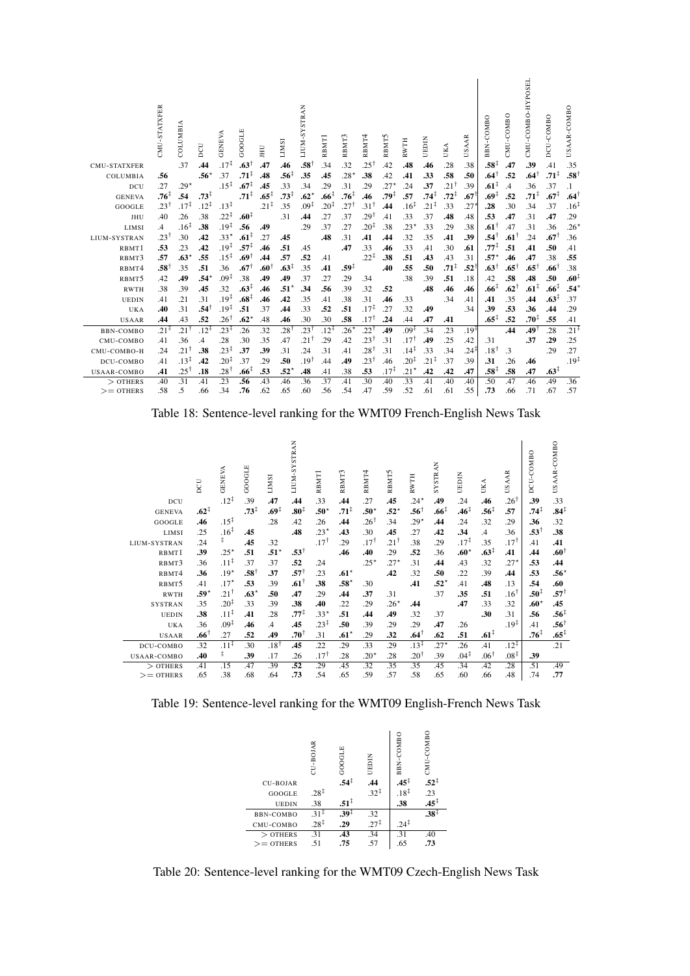| <b>CMU-STATXFER</b> | CMU-STATXFER     | COLUMBIA<br>.37  | DCU<br>.44       | <b>GENEVA</b><br>$.17^{\ddagger}$ | GOOGLE<br>$.63^{\dagger}$ | JНU<br>.47       | <b>LIMSI</b><br>.46 | LIUM-SYSTRAN<br>$.58^{\dagger}$ | RBMT1<br>.34     | 3<br>RBMT<br>.32 | RBMT <sup>4</sup><br>251. | n<br>RBMT<br>.42 | <b>RWTH</b><br>.48 | EDIN<br>ь<br>.46 | UKA<br>.28       | SAAR<br>Þ<br>.38 | <b>COMBO</b><br>BBN<br>$.58^{\ddagger}$ | CMU-COMBO<br>.47 | CMU-COMBO-HYPOSEL<br>.39 | DCU-COMBO<br>.41 | USAAR-COMBO<br>.35 |
|---------------------|------------------|------------------|------------------|-----------------------------------|---------------------------|------------------|---------------------|---------------------------------|------------------|------------------|---------------------------|------------------|--------------------|------------------|------------------|------------------|-----------------------------------------|------------------|--------------------------|------------------|--------------------|
| COLUMBIA            | .56              |                  | $.56*$           | .37                               | $.71^{\ddagger}$          | .48              | $.56^{\ddagger}$    | .35                             | .45              | $.28*$           | .38                       | .42              | .41                | .33              | .58              | .50              | $.64^{\dagger}$                         | .52              | $.64^{\dagger}$          | $.71^{\ddagger}$ | $.58^{\dagger}$    |
| DCU                 | .27              | $.29*$           |                  | $.15^{\ddagger}$                  | $.67^{\ddagger}$          | .45              | .33                 | .34                             | .29              | .31              | .29                       | $.27*$           | .24                | .37              | .211             | .39              | $.61^{\ddagger}$                        | $\mathcal{A}$    | .36                      | .37              | $\cdot$            |
| <b>GENEVA</b>       | $.76^{\ddagger}$ | .54              | $.73^{\ddagger}$ |                                   | $.71^{\ddagger}$          | $.65^{\ddagger}$ | $.73^{\ddagger}$    | $.62*$                          | $.66^{\ddagger}$ | $.76^{\ddagger}$ | .46                       | .79‡             | .57                | $.74^{\ddagger}$ | $.72^{\ddagger}$ | .67              | $.69^{\ddagger}$                        | .52              | $.71^{\ddagger}$         | $.67^{\ddagger}$ | $.64^{\dagger}$    |
| GOOGLE              | $.23^{\dagger}$  | $.17^{\ddagger}$ | $.12^{\ddagger}$ | $.13^{\ddagger}$                  |                           | $.21^{\ddagger}$ | .35                 | $.09^{\ddagger}$                | $.20^{\ddagger}$ | $.27^{\dagger}$  | $.31^{\dagger}$           | .44              | $.16^{\ddagger}$   | $.21^{\ddagger}$ | 33               | .27              | .28                                     | .30              | .34                      | .37              | $.16^{\ddagger}$   |
| JHU                 | .40              | .26              | .38              | $.22^{\ddagger}$                  | $.60^{\ddagger}$          |                  | .31                 | .44                             | .27              | .37              | $.29^{\dagger}$           | .41              | .33                | .37              | .48              | .48              | .53                                     | .47              | .31                      | .47              | .29                |
| LIMSI               | .4               | $.16^{\ddagger}$ | .38              | $.19^{\ddagger}$                  | .56                       | .49              |                     | .29                             | .37              | .27              | $.20^{\ddagger}$          | .38              | $.23*$             | .33              | .29              | .38              | $.61^{\dagger}$                         | .47              | .31                      | .36              | $.26*$             |
| LIUM-SYSTRAN        | $.23^{\dagger}$  | .30              | .42              | $.33*$                            | $.61^{\ddagger}$          | 27               | .45                 |                                 | .48              | .31              | .41                       | .44              | .32                | .35              | .41              | .39              | .541                                    | $.61^{\dagger}$  | .24                      | $.67^{\dagger}$  | .36                |
| RBMT1               | .53              | .23              | .42              | $.19^{\ddagger}$                  | $.57^{\ddagger}$          | .46              | .51                 | .45                             |                  | .47              | .33                       | .46              | .33                | .41              | .30              | .61              | $.77^{\ddagger}$                        | .51              | .41                      | .50              | .41                |
| RBMT3               | .57              | $.63*$           | .55              | $.15^{\ddagger}$                  | .69†                      | .44              | .57                 | .52                             | .41              |                  | $.22^{\ddagger}$          | .38              | .51                | .43              | .43              | .31              | $.57^*$                                 | .46              | .47                      | .38              | .55                |
| RBMT4               | $.58^{\dagger}$  | .35              | .51              | .36                               | $.67^{\dagger}$           | $.60^{\dagger}$  | $.63^{\ddagger}$    | .35                             | .41              | .59‡             |                           | .40              | .55                | .50              | $.71^{\ddagger}$ | .52              | $.63^{\dagger}$                         | $.65^{\dagger}$  | $.65^{\dagger}$          | $.66^{\dagger}$  | .38                |
| RBMT5               | .42              | .49              | $.54*$           | $.09^{\ddagger}$                  | .38                       | .49              | .49                 | .37                             | .27              | .29              | .34                       |                  | .38                | .39              | .51              | .18              | .42                                     | .58              | .48                      | .50              | $.60^{\ddagger}$   |
| <b>RWTH</b>         | .38              | .39              | .45              | .32                               | $.63^{\ddagger}$          | .46              | $.51^*$             | .34                             | .56              | .39              | .32                       | .52              |                    | .48              | .46              | .46              | $.66^{\ddagger}$                        | $.62^{\dagger}$  | $.61^{\ddagger}$         | .66 <sup>‡</sup> | .54*               |
| <b>UEDIN</b>        | .41              | .21              | .31              | $.19^{\ddagger}$                  | .68 <sup>‡</sup>          | .46              | .42                 | .35                             | .41              | .38              | .31                       | .46              | .33                |                  | .34              | .41              | .41                                     | .35              | .44                      | $.63^{\ddagger}$ | .37                |
| UKA                 | .40              | .31              | $.54^{\dagger}$  | $.19^{\ddagger}$                  | .51                       | .37              | .44                 | .33                             | .52              | .51              | $.17^{\ddagger}$          | .27              | .32                | .49              |                  | .34              | .39                                     | .53              | .36                      | .44              | .29                |
| <b>USAAR</b>        | .44              | .43              | .52              | $.26^{\dagger}$                   | $.62*$                    | .48              | .46                 | .30                             | .30              | .58              | $.17^{\dagger}$           | .24              | .44                | .47              | .41              |                  | $.65^{\ddagger}$                        | .52              | $.70^{\ddagger}$         | .55              | .41                |
| <b>BBN-COMBO</b>    | $.21^{\ddagger}$ | 21†              | $.12^{\ddagger}$ | $.23^{\ddagger}$                  | .26                       | .32              | 28†                 | $.23^{\dagger}$                 | $12^{\ddagger}$  | $26*$            | $.22^{\dagger}$           | .49              | $.09^{\ddagger}$   | .34              | .23              | $.19^{\ddagger}$ |                                         | .44              | 19†.                     | .28              | $.21^{\ddagger}$   |
| CMU-COMBO           | .41              | .36              | $\cdot$          | .28                               | .30                       | .35              | .47                 | 21,                             | .29              | .42              | .231                      | .31              | $.17^{\dagger}$    | .49              | .25              | .42              | .31                                     |                  | .37                      | .29              | .25                |
| CMU-COMBO-H         | .24              | $.21^{\dagger}$  | .38              | $.23^{\ddagger}$                  | .37                       | .39              | .31                 | .24                             | .31              | .41              | 281.                      | .31              | $.14^{\ddagger}$   | .33              | .34              | $.24^{\ddagger}$ | $.18^{\dagger}$                         | .3               |                          | .29              | .27                |
| DCU-COMBO           | .41              | $.13^{\ddagger}$ | .42              | $.20^{\ddagger}$                  | .37                       | .29              | .50                 | .19                             | .44              | .49              | $.23^{\dagger}$           | .46              | $.20^{\ddagger}$   | $.21^{\ddagger}$ | .37              | .39              | .31                                     | .26              | .46                      |                  | $.19^{\ddagger}$   |
| USAAR-COMBO         | .41              | $.25^{\dagger}$  | .18              | $.28^{\dagger}$                   | $.66^{\ddagger}$          | .53              | .52                 | .48                             | .41              | .38              | .53                       | $.17^{\ddagger}$ | $.21*$             | .42              | .42              | .47              | $.58^{\ddagger}$                        | .58              | .47                      | $.63^{\ddagger}$ |                    |
| $>$ OTHERS          | .40              | .31              | .41              | .23                               | .56                       | .43              | .46                 | .36                             | .37              | .41              | .30                       | .40              | .33                | .41              | .40              | .40              | .50                                     | .47              | .46                      | .49              | .36                |
| $>=$ OTHERS         | .58              | .5               | .66              | .34                               | .76                       | .62              | .65                 | .60                             | .56              | .54              | .47                       | .59              | .52                | .61              | .61              | .55              | .73                                     | .66              | .71                      | .67              | .57                |

Table 18: Sentence-level ranking for the WMT09 French-English News Task

|                    | DCU              | <b>GENEVA</b>    | GOOGLE           | <b>INSI</b>      | <b>SYSTRAN</b><br>LIUM- | Н<br>RBM <sup>'</sup> | $\sim$<br>RBMT | RBMT4           | RBMT5           | <b>RWTH</b>      | <b>STRAN</b><br>Σ | UEDIN            | UKA              | <b>AAR</b><br>S  | -COMBO<br>DCU    | USAAR-COMBO      |
|--------------------|------------------|------------------|------------------|------------------|-------------------------|-----------------------|----------------|-----------------|-----------------|------------------|-------------------|------------------|------------------|------------------|------------------|------------------|
| DCU                |                  | $.12^{+}$        | .39              | .47              | .44                     | .33                   | .44            | .27             | .45             | .24*             | .49               | .24              | .46              | $.26^{\dagger}$  | .39              | .33              |
| <b>GENEVA</b>      | $.62^{\ddagger}$ |                  | $.73^{\ddagger}$ | $.69^{\ddagger}$ | .80 <sup>‡</sup>        | $.50^*$               | $.71^+$        | $.50^*$         | $.52*$          | $.56^{\dagger}$  | .66 <sup>†</sup>  | .46‡             | $.56^{\ddagger}$ | .57              | $.74^{\ddagger}$ | $.84^{\ddagger}$ |
| GOOGLE             | .46              | $.15^{\ddagger}$ |                  | .28              | .42                     | .26                   | .44            | .26†            | .34             | $.29*$           | .44               | .24              | .32              | .29              | .36              | .32              |
| LIMSI              | .25              | $.16^{\ddagger}$ | .45              |                  | .48                     | $.23*$                | .43            | .30             | .45             | .27              | .42               | .34              | $\mathcal{A}$    | .36              | $.53^{\dagger}$  | .38              |
| LIUM-SYSTRAN       | .24              | $\ddagger$       | .45              | .32              |                         | $.17^{\dagger}$       | 29             | $.17^{\dagger}$ | $.21^{\dagger}$ | .38              | .29               | $.17^{\ddagger}$ | .35              | $.17^{\dagger}$  | .41              | .41              |
| RBMT1              | .39              | $.25*$           | .51              | $.51*$           | $.53^{\dagger}$         |                       | .46            | .40             | .29             | .52              | .36               | $.60*$           | $.63^{\ddagger}$ | .41              | .44              | $.60^{\dagger}$  |
| RBMT3              | .36              | $.11^{\ddagger}$ | .37              | .37              | .52                     | .24                   |                | $.25*$          | $.27*$          | .31              | .44               | .43              | .32              | $.27*$           | .53              | .44              |
| RBMT4              | .36              | $.19*$           | $.58^{\dagger}$  | .37              | $.57^+$                 | .23                   | $.61*$         |                 | .42             | .32              | .50               | .22              | .39              | .44              | .53              | $.56*$           |
| RBMT5              | .41              | $.17*$           | .53              | .39              | $.61^{\dagger}$         | .38                   | $.58*$         | .30             |                 | .41              | $.52*$            | .41              | .48              | .13              | .54              | .60              |
| <b>RWTH</b>        | .59*             | $.21^{\dagger}$  | $.63*$           | .50              | .47                     | .29                   | .44            | .37             | .31             |                  | .37               | .35              | .51              | $.16^{\dagger}$  | $.50^{\ddagger}$ | $.57^{\dagger}$  |
| <b>SYSTRAN</b>     | .35              | $.20^{\ddagger}$ | .33              | .39              | .38                     | .40                   | .22            | .29             | $.26*$          | .44              |                   | .47              | .33              | .32              | $.60*$           | .45              |
| <b>UEDIN</b>       | .38              | $.11^{\ddagger}$ | .41              | .28              | $.77^{\ddagger}$        | $.33*$                | .51            | .44             | .49             | .32              | .37               |                  | .30              | .31              | .56              | $.56^{\ddagger}$ |
| <b>UKA</b>         | .36              | $.09^{\ddagger}$ | .46              | $\mathcal{A}$    | .45                     | $.23^{\ddagger}$      | .50            | .39             | .29             | .29              | .47               | .26              |                  | $.19^{\ddagger}$ | .41              | $.56^{\dagger}$  |
| <b>USAAR</b>       | $.66^{\dagger}$  | .27              | .52              | .49              | $.70^{\dagger}$         | .31                   | $.61*$         | .29             | .32             | $.64^{\dagger}$  | .62               | .51              | $.61^{\ddagger}$ |                  | $.76^{\ddagger}$ | $.65^{\ddagger}$ |
| DCU-COMBO          | .32              | $.11^{\ddagger}$ | .30              | $.18^{\dagger}$  | .45                     | .22                   | .29            | .33             | .29             | $.13^{\ddagger}$ | $.27*$            | .26              | .41              | $.12^{\ddagger}$ |                  | .21              |
| <b>USAAR-COMBO</b> | .40              | ‡.               | .39              | .17              | .26                     | $.17^{\dagger}$       | .28            | $.20*$          | .28             | $.20^{\dagger}$  | .39               | $.04^{\ddagger}$ | $.06^{\dagger}$  | $.08^{\ddagger}$ | .39              |                  |
| $>$ OTHERS         | .41              | .15              | .47              | .39              | .52                     | .29                   | .45            | .32             | .35             | .35              | .45               | .34              | .42              | 28               | .51              | .49              |
| $>=$ OTHERS        | .65              | .38              | .68              | .64              | .73                     | .54                   | .65            | .59             | .57             | .58              | .65               | .60              | .66              | .48              | .74              | .77              |

Table 19: Sentence-level ranking for the WMT09 English-French News Task

|                 | CU-BOJAR         | GOOGLE           | UEDIN                     | BBN-COMBO        | CMU-COMBO        |  |
|-----------------|------------------|------------------|---------------------------|------------------|------------------|--|
| <b>CU-BOJAR</b> |                  | $.54^{\ddagger}$ | $.44$<br>$.32^{\ddagger}$ | $.45^{\ddagger}$ | $.52^{\ddagger}$ |  |
| GOOGLE          | $.28^{\ddagger}$ |                  |                           | $.18^{\ddagger}$ | .23              |  |
| <b>UEDIN</b>    | .38              | $.51^{\ddagger}$ |                           | .38              | $.45^{\ddagger}$ |  |
| BBN-COMBO       | $.31 +$          | $.39^{+}$        | .32                       |                  | $.38^{\ddagger}$ |  |
| CMU-COMBO       | $.28^{\ddagger}$ | .29              | $.27^{\ddagger}$          | $.24^{+}$        |                  |  |
| $>$ OTHERS      | .31              | .43              | .34                       | .31              | .40              |  |
| $>=$ OTHERS     | .51              | .75              | .57                       | .65              | .73              |  |
|                 |                  |                  |                           |                  |                  |  |

Table 20: Sentence-level ranking for the WMT09 Czech-English News Task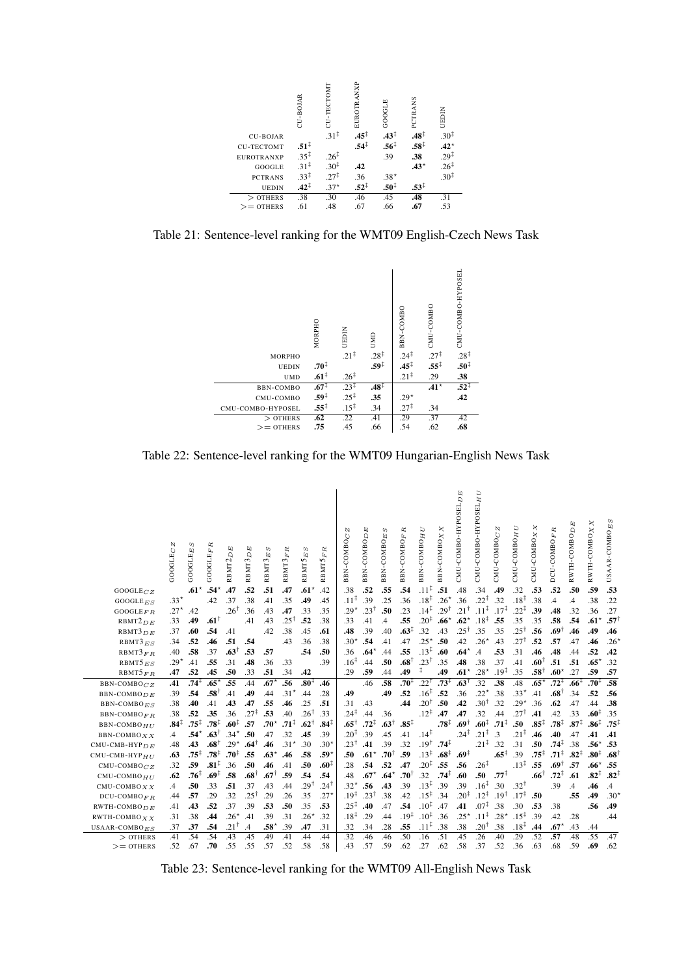

Table 21: Sentence-level ranking for the WMT09 English-Czech News Task



Table 22: Sentence-level ranking for the WMT09 Hungarian-English News Task

|                                   | N<br><b>GOOGLEC</b> | S<br>$\mathrm{GOGLE}_E$ | π<br>GOOGLEF     | 囟<br>Q<br>RBMT2   | 囟<br>$\overline{a}$<br>RBMT3 | RBMT3 <sub>ES</sub>  | RBMT3FR          | $_{ES}$<br>RBMT5 | α<br>Ŀ,<br>MT5<br>RB) | N<br>BBN-COMBOC                      | 囟<br>$\Box$<br>BBN-COMBO | w<br>回<br>BBN-COMBO | œ<br>Ŀ,<br>BBN-COMBO    | C<br>BBN-COMBO <sub>H</sub>         | ×<br>BBN-COMBO <sub>X</sub> | $CMU$ -COMBO-HYPOSEL $D \overline{E}$ | CMU-COMBO-HYPOSELHU                  | N<br>$CMU$ -COMBO $C$ | ₿<br>Ξ<br>CMU-COMBO     | X X<br>CMU-COMBO | DCU-COMBOFR                          | E<br>RWTH-COMBO <sub>D</sub> | $RWTH-COMBO X X$                     | USAAR-COMBO <sub>ES</sub> |
|-----------------------------------|---------------------|-------------------------|------------------|-------------------|------------------------------|----------------------|------------------|------------------|-----------------------|--------------------------------------|--------------------------|---------------------|-------------------------|-------------------------------------|-----------------------------|---------------------------------------|--------------------------------------|-----------------------|-------------------------|------------------|--------------------------------------|------------------------------|--------------------------------------|---------------------------|
| $GOOGLE_{CZ}$                     |                     | $.61*$                  | $.54*$           | .47               | .52                          | .51                  | .47              | $.61*$           | .42                   | .38                                  | .52                      | .55                 | .54                     | $.11^{\ddagger}$                    | .51                         | .48                                   | .34                                  | .49                   | .32                     | .53              | .52                                  | .50                          | .59                                  | .53                       |
| GOOGLEES                          | $.33*$              |                         | .42              | .37               | .38                          | .41                  | .35              | .49              | .45                   | $.11^{\ddagger}$                     | .39                      | .25                 | .36                     | $.18^{\ddagger}$                    | $.26*$                      | 36                                    | $.22^{\ddagger}$                     | .32                   | $.18^{\ddagger}$        | .38              | .4                                   | .4                           | .38                                  | .22                       |
| GOOGLE $FR$                       | $.27*$              | .42                     |                  | $.26^{\dagger}$   | .36                          | .43                  | .47              | .33              | .35                   | $.29*$                               | $.23^{\dagger}$          | .50                 | .23                     | $.14^{\ddagger}$                    | $.29^{\dagger}$             | $.21^{\dagger}$                       | $.11^{\ddagger}$                     | $.17^{\ddagger}$      | $.22^{\ddagger}$        | .39              | .48                                  | .32                          | .36                                  | .27                       |
| RBMT2 <sub>DE</sub>               | .33                 | .49                     | $.61^{\dagger}$  |                   | .41                          | .43                  | 25†              | .52              | .38                   | .33                                  | .41                      | $\overline{A}$      | .55                     | $.20^{\ddagger}$                    | $.66*$                      | $.62*$                                | $.18^{\ddagger}$                     | .55                   | .35                     | .35              | .58                                  | .54                          | $.61*$                               | .571                      |
| RBMT3 <sub>DE</sub>               | .37                 | .60                     | .54              | .41               |                              | .42                  | .38              | .45              | .61                   | .48                                  | .39                      | .40                 | $.63^{\ddagger}$        | .32                                 | .43                         | $.25^{\dagger}$                       | .35                                  | .35                   | $.25^{\dagger}$         | .56              | † 69.                                | .46                          | .49                                  | .46                       |
| $RBMT3_{ES}$                      | .34                 | .52                     | .46              | .51               | .54                          |                      | .43              | .36              | .38                   | $.30*$                               | .54                      | .41                 | .47                     | $.25*$                              | .50                         | .42                                   | $.26*$                               | .43                   | $.27^{\dagger}$         | .52              | .57                                  | .47                          | .46                                  | .26                       |
| RBMT3FR                           | .40                 | .58                     | .37              | $.63^{\dagger}$   | .53                          | .57                  |                  | .54              | .50                   | .36                                  | $.64*$                   | .44                 | .55                     | $.13^{\ddagger}$                    | .60                         | $.64*$                                | $\overline{A}$                       | .53                   | .31                     | .46              | .48                                  | .44                          | .52                                  | .42                       |
| $RBMT5_{ES}$                      | $.29*$              | .41                     | .55              | .31               | .48                          | .36                  | .33              |                  | .39                   | .16 <sup>‡</sup>                     | .44                      | .50                 | $.68^{\dagger}$         | $.23^{\dagger}$<br>ŧ                | .35                         | .48                                   | .38                                  | .37                   | .41                     | $.60^{\dagger}$  | .51                                  | .51                          | .65                                  | .32                       |
| $RBMT5_{FR}$                      | .47                 | .52                     | .45              | .50               | .33                          | .51                  | .34              | .42              |                       | .29                                  | .59                      | .44                 | .49                     |                                     | .49                         | $.61*$                                | $.28*$                               | $.19^{\ddagger}$      | .35                     | $.58^{\dagger}$  | $.60*$                               | .27                          | .59                                  | .57                       |
| $BBN-COMBOCZ$                     | .41                 | $.74^{\ddagger}$        | $.65*$           | .55               | .44                          | $.67*$               | .56              | $.80^{\ddagger}$ | .46                   |                                      | .46                      | .58                 | .70‡                    | $.22^{\dagger}$                     | $.73^+$                     | $.63^{\dagger}$                       | .32                                  | .38                   | .48                     | $.65*$           | $.72^{+}$                            | $.66^{\ddagger}$             | $.70^{1}$                            | .58                       |
| $BBN-COMBO$                       | .39                 | .54                     | $.58^{\dagger}$  | .41               | .49                          | .44                  | $.31*$           | .44              | .28                   | .49                                  |                          | .49                 | .52                     | $.16^{\ddagger}$                    | .52                         | 36                                    | $.22*$                               | .38                   | $.33*$                  | .41              | $.68^{\dagger}$                      | .34                          | .52                                  | .56                       |
| $BBN-COMBOES$                     | .38                 | .40                     | .41              | .43               | .47                          | .55                  | .46              | .25              | .51                   | .31                                  | .43                      |                     | .44                     | $.20^{\dagger}$                     | .50                         | .42                                   | $.30^{\dagger}$                      | .32                   | $.29*$                  | .36              | .62                                  | .47                          | .44                                  | .38                       |
| <b>BBN-COMBO</b> FR               | .38                 | .52                     | .35              | .36               | $.27^{\ddagger}$             | .53                  | .40              | $.26^{\dagger}$  | .33                   | $.24^{\ddagger}$                     | .44                      | .36                 |                         | $.12^{\ddagger}$                    | .47                         | .47                                   | .32                                  | .44                   | $.27^{\dagger}$         | .41              | .42                                  | .33                          | .60 <sup>‡</sup>                     | .35                       |
| BBN-COMBO <sub>HII</sub>          | $.84^{\ddagger}$    | $.75^{\ddagger}$        | $.78^{\ddagger}$ | .60‡              | .57                          | $.70^{\star}$        | $.71^{\ddagger}$ | $.62^{\dagger}$  | $.84^{\ddagger}$      | $.65^{\dagger}$                      | $.72^{\ddagger}$         | $.63^{\dagger}$     | $.85^{\ddagger}$        |                                     | $.78^{\ddagger}$            | $.69^{\dagger}$                       | $.60^{\ddagger}$                     | $.71^{\ddagger}$      | .50                     | $.85^{\ddagger}$ | $.78^{\ddagger}$                     | $.87^{\ddagger}$             | $.86^{\ddagger}$                     | $.75^{\frac{1}{2}}$       |
| $BBN-COMBOXX$                     | $\mathcal{A}$       | .54*                    | $.63^{\dagger}$  | $.34*$            | .50                          | .47                  | .32              | .45              | .39                   | $.20^{+}$                            | .39                      | .45                 | .41                     | $.14^{\ddagger}$                    |                             | $.24^{\ddagger}$                      | $.21^{\ddagger}$                     | $\overline{.}3$       | $.21^{\ddagger}$        | .46              | .40                                  | .47                          | .41                                  | .41                       |
| $CMU$ -CMB-HYP $DE$               | .48                 | .43                     | $.68^{\dagger}$  | $.29*$            | .64                          | .46                  | $.31*$           | .30              | $.30*$                | $.23^{\dagger}$                      | .41                      | .39                 | .32                     | $.19^{\dagger}$<br>$.13^{\ddagger}$ | $.74^{\ddagger}$            |                                       | $.21^{\ddagger}$                     | .32                   | .31                     | .50              | $.74^{\ddagger}$<br>$.71^{\ddagger}$ | .38                          | .56                                  | .53                       |
| $CMU$ -CMB-HYP $_{HII}$           | .63                 | $.75^{\ddagger}$        | $.78^{\ddagger}$ | $.70^{\ddagger}$  | .55                          | $.63*$               | .46              | .58              | $.59*$                | .50                                  | $.61*$                   | $.70^{\dagger}$     | .59                     |                                     | $.68^{\ddagger}$            | $.69^{\ddagger}$                      |                                      | $.65^{\ddagger}$      | .39                     | $.75^{\ddagger}$ |                                      | $.82^{\ddagger}$             | $.80^{\ddagger}$                     | .68                       |
| $CMU$ -COMBO $CZ$                 | .32                 | .59<br>$.76^{\ddagger}$ | $.81^{\ddagger}$ | .36<br>.58        | .50<br>$.68^{\dagger}$       | .46                  | .41<br>.59       | .50              | .60 <sup>‡</sup>      | .28                                  | .54                      | .52                 | .47<br>$.70^{\dagger}$  | $.20^{\ddagger}$                    | .55<br>$.74^{\ddagger}$     | .56                                   | $.26^{\ddagger}$<br>.50              | $.77^{\ddagger}$      | $.13^{\ddagger}$        | .55              | $.69^{\dagger}$<br>$.72^{+}$         | .57                          | .66 <sup>°</sup><br>$.82^{\ddagger}$ | .55<br>$.82^{\ddagger}$   |
| $CMU$ -COMBO $HII$                | .62                 |                         | .69 $\ddagger$   |                   |                              | $.67^{\dagger}$      |                  | .54              | .54                   | .48                                  | $.67*$                   | $.64*$              |                         | .32<br>$.13^{\ddagger}$             |                             | .60                                   | $.16^{\ddagger}$                     |                       |                         | $.66^{\dagger}$  |                                      | .61                          |                                      |                           |
| $CMU$ -COMBO $X X$                | $\cdot$             | .50                     | .33              | .51               | .37                          | .43                  | .44              | 29†              | $.24^{\dagger}$       | $.32*$                               | .56                      | .43                 | .39                     |                                     | .39                         | .39<br>$.20^{\ddagger}$               |                                      | .30                   | $.32^+$                 |                  | .39                                  | $\mathcal{A}$                | .46                                  | $\cdot$                   |
| $DCU$ -COMBO <sub>FR</sub>        | .44                 | .57                     | .29              | .32               | $.25^{\dagger}$              | 29                   | .26              | .35              | $.27*$                | $.19^{\ddagger}$<br>$.25^{\ddagger}$ | $.23^{\dagger}$          | .38                 | .42<br>.54              | $.15^{\ddagger}$<br>$.10^{1}$       | .34                         |                                       | $.12^{\ddagger}$<br>$.07^{\ddagger}$ | 19†.                  | $.17^{\ddagger}$        | .50              |                                      | .55                          | .49                                  | .30 <sup>2</sup>          |
| $RWTH-COMBODE$                    | .41                 | .43                     | .52              | .37               | .39                          | .53                  | .50              | .35              | .53                   |                                      | .40                      | .47                 |                         |                                     | .47                         | .41                                   | $.11^{\ddagger}$                     | .38                   | .30<br>$.15^{\ddagger}$ | .53              | .38                                  |                              | .56                                  | .49                       |
| RWTH-COMBO $X X$                  | .31                 | .38                     | .44<br>.54       | $.26*$<br>$.21^+$ | .41                          | .39<br>$.58^{\star}$ | .31              | $.26*$           | .32<br>.31            | $.18^{\ddagger}$<br>.32              | .29<br>.34               | .44<br>.28          | $.19^{\ddagger}$<br>.55 | $.10^{1}$<br>$.11^{\ddagger}$       | .36<br>.38                  | $.25*$<br>.38                         | $.20^{\dagger}$                      | $.28*$<br>.38         | $.18^{\ddagger}$        | .39<br>.44       | .42<br>$.67*$                        | .28                          |                                      | .44                       |
| USAAR-COMBO $_{ES}$<br>$>$ OTHERS | .37<br>.41          | .37<br>.54              | .54              | .43               | $\cdot$ 4<br>.45             | .49                  | .39<br>.41       | .47<br>.44       | .44                   | .32                                  | .46                      | .46                 | .50                     | .16                                 | .51                         | .45                                   | .26                                  | .40                   | .29                     | .52              | .57                                  | .43<br>.48                   | .44<br>.55                           | .47                       |
| $>=$ OTHERS                       | .52                 | .67                     | .70              | .55               | .55                          | .57                  | .52              | .58              | .58                   | .43                                  | .57                      | .59                 | .62                     | .27                                 | .62                         | .58                                   | .37                                  | .52                   | .36                     | .63              | .68                                  | .59                          | .69                                  | .62                       |
|                                   |                     |                         |                  |                   |                              |                      |                  |                  |                       |                                      |                          |                     |                         |                                     |                             |                                       |                                      |                       |                         |                  |                                      |                              |                                      |                           |

Table 23: Sentence-level ranking for the WMT09 All-English News Task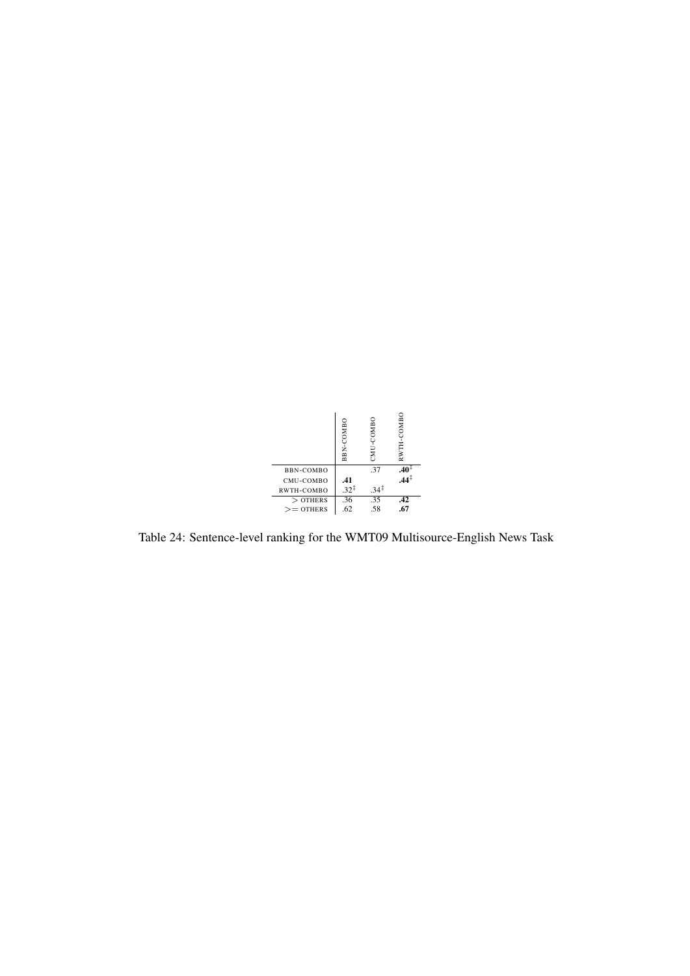

Table 24: Sentence-level ranking for the WMT09 Multisource-English News Task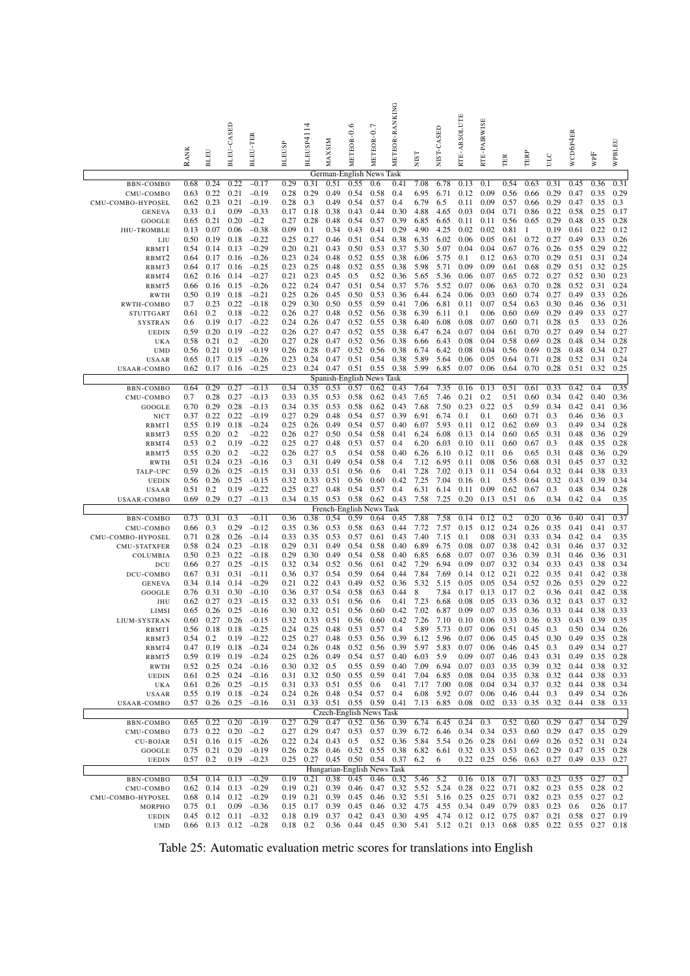|                                 | <b>RANK</b>  | <b>BLEU</b>  | BLEU-CASED   | BLEU-TER                     | <b>BLEUSP</b> | BLEUSP4114   | MAXSIM       | METEOR-0.6                        | METEOR-0.7   | METEOR-RANKING                     | NIST                          | NIST-CASED   | RTE-ABSOLUTE | RTE-PAIRWISE | TER          | TERP                     | ULC          | WCD6P4ER     | WPF          | WPBLEU       |
|---------------------------------|--------------|--------------|--------------|------------------------------|---------------|--------------|--------------|-----------------------------------|--------------|------------------------------------|-------------------------------|--------------|--------------|--------------|--------------|--------------------------|--------------|--------------|--------------|--------------|
|                                 | 0.68         | 0.24         | 0.22         | $-0.17$                      | 0.29          | 0.31         | 0.51         | German-English News<br>0.55       | 0.6          | Task<br>0.41                       | 7.08                          | 6.78         | 0.13         | 0.1          | 0.54         | 0.63                     | 0.31         | 0.45         | 0.36         | 0.31         |
| BBN-COMBO<br>CMU-COMBO          | 0.63         | 0.22         | 0.21         | $-0.19$                      | 0.28          | 0.29         | 0.49         | 0.54                              | 0.58         | 0.4                                | 6.95                          | 6.71         | 0.12         | 0.09         | 0.56         | 0.66                     | 0.29         | 0.47         | 0.35         | 0.29         |
| CMU-COMBO-HYPOSEL               | 0.62         | 0.23         | 0.21         | $-0.19$                      | 0.28          | 0.3          | 0.49         | 0.54                              | 0.57         | 0.4                                | 6.79                          | 6.5          | 0.11         | 0.09         | 0.57         | 0.66                     | 0.29         | 0.47         | 0.35         | 0.3          |
| <b>GENEVA</b>                   | 0.33         | 0.1          | 0.09         | $-0.33$                      | 0.17          | 0.18         | 0.38         | 0.43                              | 0.44         | 0.30                               | 4.88                          | 4.65         | 0.03         | 0.04         | 0.71         | 0.86                     | 0.22         | 0.58         | 0.25         | 0.17         |
| GOOGLE                          | 0.65         | 0.21         | 0.20         | $-0.2$                       | 0.27          | 0.28         | 0.48         | 0.54                              | 0.57         | 0.39                               | 6.85                          | 6.65         | 0.11         | 0.11         | 0.56         | 0.65                     | 0.29         | 0.48         | 0.35         | 0.28         |
| <b>JHU-TROMBLE</b>              | 0.13         | 0.07         | 0.06         | $-0.38$                      | 0.09          | 0.1          | 0.34         | 0.43                              | 0.41         | 0.29                               | 4.90                          | 4.25         | 0.02         | 0.02         | 0.81         | $\mathbf{1}$             | 0.19         | 0.61         | 0.22         | 0.12         |
| LIU                             | 0.50         | 0.19         | 0.18         | $-0.22$                      | 0.25          | 0.27         | 0.46         | 0.51                              | 0.54         | 0.38                               | 6.35                          | 6.02         | 0.06         | 0.05         | 0.61         | 0.72                     | 0.27         | 0.49         | 0.33         | 0.26         |
| RBMT1<br>RBMT <sub>2</sub>      | 0.54<br>0.64 | 0.14<br>0.17 | 0.13<br>0.16 | $-0.29$<br>$-0.26$           | 0.20<br>0.23  | 0.21<br>0.24 | 0.43<br>0.48 | 0.50<br>0.52                      | 0.53<br>0.55 | 0.37<br>0.38                       | 5.30<br>6.06                  | 5.07<br>5.75 | 0.04<br>0.1  | 0.04<br>0.12 | 0.67<br>0.63 | 0.76<br>0.70             | 0.26<br>0.29 | 0.55<br>0.51 | 0.29<br>0.31 | 0.22<br>0.24 |
| RBMT3                           | 0.64         | 0.17         | 0.16         | $-0.25$                      | 0.23          | 0.25         | 0.48         | 0.52                              | 0.55         | 0.38                               | 5.98                          | 5.71         | 0.09         | 0.09         | 0.61         | 0.68                     | 0.29         | 0.51         | 0.32         | 0.25         |
| RBMT4                           | 0.62         | 0.16         | 0.14         | $-0.27$                      | 0.21          | 0.23         | 0.45         | 0.5                               | 0.52         | 0.36                               | 5.65                          | 5.36         | 0.06         | 0.07         | 0.65         | 0.72                     | 0.27         | 0.52         | 0.30         | 0.23         |
| RBMT5                           | 0.66         | 0.16         | 0.15         | $-0.26$                      | 0.22          | 0.24         | 0.47         | 0.51                              | 0.54         | 0.37                               | 5.76                          | 5.52         | 0.07         | 0.06         | 0.63         | 0.70                     | 0.28         | 0.52         | 0.31         | 0.24         |
| <b>RWTH</b>                     | 0.50         | 0.19         | 0.18         | $-0.21$                      | 0.25          | 0.26         | 0.45         | 0.50                              | 0.53         | 0.36                               | 6.44                          | 6.24         | 0.06         | 0.03         | 0.60         | 0.74                     | 0.27         | 0.49         | 0.33         | 0.26         |
| RWTH-COMBO                      | 0.7          | 0.23         | 0.22         | $-0.18$                      | 0.29          | 0.30         | 0.50         | 0.55                              | 0.59         | 0.41                               | 7.06                          | 6.81         | 0.11         | 0.07         | 0.54         | 0.63                     | 0.30         | 0.46         | 0.36         | 0.31         |
| STUTTGART<br>SYSTRAN            | 0.61<br>0.6  | 0.2<br>0.19  | 0.18<br>0.17 | $-0.22$<br>$-0.22$           | 0.26<br>0.24  | 0.27<br>0.26 | 0.48<br>0.47 | 0.52<br>0.52                      | 0.56<br>0.55 | 0.38<br>0.38                       | 6.39<br>6.40                  | 6.11<br>6.08 | 0.1<br>0.08  | 0.06<br>0.07 | 0.60<br>0.60 | 0.69<br>0.71             | 0.29<br>0.28 | 0.49<br>0.5  | 0.33<br>0.33 | 0.27<br>0.26 |
| <b>UEDIN</b>                    | 0.59         | 0.20         | 0.19         | $-0.22$                      | 0.26          | 0.27         | 0.47         | 0.52                              | 0.55         | 0.38                               | 6.47                          | 6.24         | 0.07         | 0.04         | 0.61         | 0.70                     | 0.27         | 0.49         | 0.34         | 0.27         |
| UKA                             | 0.58         | 0.21         | 0.2          | $-0.20$                      | 0.27          | 0.28         | 0.47         | 0.52                              | 0.56         | 0.38                               | 6.66                          | 6.43         | 0.08         | 0.04         | 0.58         | 0.69                     | 0.28         | 0.48         | 0.34         | 0.28         |
| <b>UMD</b>                      | 0.56         | 0.21         | 0.19         | $-0.19$                      | 0.26          | 0.28         | 0.47         | 0.52                              | 0.56         | 0.38                               | 6.74                          | 6.42         | 0.08         | 0.04         | 0.56         | 0.69                     | 0.28         | 0.48         | 0.34         | 0.27         |
| <b>USAAR</b>                    | 0.65         | 0.17         | 0.15         | $-0.26$                      | 0.23          | 0.24         | 0.47         | 0.51                              | 0.54         | 0.38                               | 5.89                          | 5.64         | 0.06         | 0.05         | 0.64         | 0.71                     | 0.28         | 0.52         | 0.31         | 0.24         |
| USAAR-COMBO                     | 0.62         | 0.17         | 0.16         | $-0.25$                      | 0.23          | 0.24         | 0.47         | 0.51<br>Spanish-English News Task | 0.55         | 0.38                               | 5.99                          | 6.85         | 0.07         | 0.06         | 0.64         | 0.70                     | 0.28         | 0.51         | 0.32         | 0.25         |
| <b>BBN-COMBO</b>                | 0.64         | 0.29         | 0.27         | $-0.13$                      | 0.34          | 0.35         | 0.53         | 0.57                              | 0.62         | 0.43                               | 7.64                          | 7.35         | 0.16         | 0.13         | 0.51         | 0.61                     | 0.33         | 0.42         | 0.4          | 0.35         |
| CMU-COMBO                       | 0.7          | 0.28         | 0.27         | $-0.13$                      | 0.33          | 0.35         | 0.53         | 0.58                              | 0.62         | 0.43                               | 7.65                          | 7.46         | 0.21         | 0.2          | 0.51         | 0.60                     | 0.34         | 0.42         | 0.40         | 0.36         |
| GOOGLE                          | 0.70         | 0.29         | 0.28         | $-0.13$                      | 0.34          | 0.35         | 0.53         | 0.58                              | 0.62         | 0.43                               | 7.68                          | 7.50         | 0.23         | 0.22         | 0.5          | 0.59                     | 0.34         | 0.42         | 0.41         | 0.36         |
| NICT                            | 0.37         | 0.22         | 0.22         | $-0.19$                      | 0.27          | 0.29         | 0.48         | 0.54                              | 0.57         | 0.39                               | 6.91                          | 6.74         | 0.1          | 0.1          | $_{0.60}$    | 0.71                     | 0.3          | 0.46         | 0.36         | 0.3          |
| RBMT1                           | 0.55         | 0.19         | 0.18         | $-0.24$                      | 0.25          | 0.26         | 0.49         | 0.54                              | 0.57         | 0.40                               | 6.07                          | 5.93         | 0.11         | 0.12         | 0.62         | 0.69                     | 0.3          | 0.49         | 0.34         | 0.28         |
| RBMT3<br>RBMT4                  | 0.55<br>0.53 | 0.20<br>0.2  | 0.2<br>0.19  | $-0.22$<br>$-0.22$           | 0.26<br>0.25  | 0.27<br>0.27 | 0.50<br>0.48 | 0.54<br>0.53                      | 0.58<br>0.57 | 0.41<br>0.4                        | 6.24<br>6.20                  | 6.08<br>6.03 | 0.13<br>0.10 | 0.14<br>0.11 | 0.60<br>0.60 | 0.65<br>0.67             | 0.31<br>0.3  | 0.48<br>0.48 | 0.36<br>0.35 | 0.29<br>0.28 |
| RBMT5                           | 0.55         | 0.20         | 0.2          | $-0.22$                      | 0.26          | 0.27         | 0.5          | 0.54                              | 0.58         | 0.40                               | 6.26                          | 6.10         | 0.12         | 0.11         | 0.6          | 0.65                     | 0.31         | 0.48         | 0.36         | 0.29         |
| <b>RWTH</b>                     | 0.51         | 0.24         | 0.23         | $-0.16$                      | 0.3           | 0.31         | 0.49         | 0.54                              | 0.58         | 0.4                                | 7.12                          | 6.95         | 0.11         | 0.08         | 0.56         | 0.68                     | 0.31         | 0.45         | 0.37         | 0.32         |
| TALP-UPC                        | 0.59         | 0.26         | 0.25         | $-0.15$                      | 0.31          | 0.33         | 0.51         | 0.56                              | 0.6          | 0.41                               | 7.28                          | 7.02         | 0.13         | 0.11         | 0.54         | 0.64                     | 0.32         | 0.44         | 0.38         | 0.33         |
| <b>UEDIN</b>                    | 0.56         | 0.26         | 0.25         | $-0.15$                      | 0.32          | 0.33         | 0.51         | 0.56                              | 0.60         | 0.42                               | 7.25                          | 7.04         | 0.16         | 0.1          | 0.55         | 0.64                     | 0.32         | 0.43         | 0.39         | 0.34         |
| USAAR<br>USAAR-COMBO            | 0.51<br>0.69 | 0.2<br>0.29  | 0.19<br>0.27 | $-0.22$<br>$-0.13$           | 0.25<br>0.34  | 0.27<br>0.35 | 0.48<br>0.53 | 0.54<br>0.58                      | 0.57<br>0.62 | 0.4<br>0.43                        | 6.31<br>7.58                  | 6.14<br>7.25 | 0.11<br>0.20 | 0.09<br>0.13 | 0.62<br>0.51 | 0.67<br>0.6              | 0.3<br>0.34  | 0.48<br>0.42 | 0.34<br>0.4  | 0.28<br>0.35 |
|                                 |              |              |              |                              |               |              |              | French-English News Task          |              |                                    |                               |              |              |              |              |                          |              |              |              |              |
| BBN-COMBO                       | 0.73         | 0.31         | 0.3          | $-0.11$                      | 0.36          | 0.38         | 0.54         | 0.59                              | 0.64         | 0.45                               | 7.88                          | 7.58         | 0.14         | 0.12         | 0.2          | 0.20                     | 0.36         | 0.40         | 0.41         | 0.37         |
| CMU-COMBO                       | 0.66         | 0.3          | 0.29         | $-0.12$                      | 0.35          | 0.36         | 0.53         | 0.58                              | 0.63         | 0.44                               | 7.72                          | 7.57         | 0.15         | 0.12         | 0.24         | 0.26                     | 0.35         | 0.41         | 0.41         | 0.37         |
| CMU-COMBO-HYPOSEL               | 0.71         | 0.28         | 0.26         | $-0.14$                      | 0.33          | 0.35         | 0.53         | 0.57                              | 0.61         | 0.43                               | 7.40                          | 7.15         | 0.1          | 0.08         | 0.31         | 0.33                     | 0.34         | 0.42         | 0.4          | 0.35         |
| <b>CMU-STATXFER</b><br>COLUMBIA | 0.58<br>0.50 | 0.24<br>0.23 | 0.23<br>0.22 | $-0.18$<br>$-0.18$           | 0.29<br>0.29  | 0.31<br>0.30 | 0.49<br>0.49 | 0.54<br>0.54                      | 0.58<br>0.58 | 0.40<br>0.40                       | 6.89<br>6.85                  | 6.75<br>6.68 | 0.08<br>0.07 | 0.07<br>0.07 | 0.38<br>0.36 | 0.42<br>0.39             | 0.31<br>0.31 | 0.46<br>0.46 | 0.37<br>0.36 | 0.32<br>0.31 |
| DCU                             | 0.66         | 0.27         | 0.25         | $-0.15$                      | 0.32          | 0.34         | 0.52         | 0.56                              | 0.61         | 0.42                               | 7.29                          | 6.94         | 0.09         | 0.07         | 0.32         | 0.34                     | 0.33         | 0.43         | 0.38         | 0.34         |
| DCU-COMBO                       | 0.67         | 0.31         | 0.31         | $-0.11$                      | 0.36          | 0.37         | 0.54         | 0.59                              | 0.64         | 0.44                               | 7.84                          | 7.69         | 0.14         | 0.12         | 0.21         | 0.22                     | 0.35         | 0.41         | 0.42         | 0.38         |
| <b>GENEVA</b>                   | 0.34         | 0.14         | 0.14         | $-0.29$                      | 0.21          | 0.22         | 0.43         | 0.49                              | 0.52         | 0.36                               | 5.32                          | 5.15         | 0.05         | 0.05         | 0.54         | 0.52                     | 0.26         | 0.53         | 0.29         | 0.22         |
| GOOGLE                          | 0.76         | 0.31         | 0.30         | $-0.10$                      | 0.36          | 0.37         | 0.54         | 0.58                              | 0.63         | 0.44                               | 8                             | 7.84         | 0.17         | 0.13         | 0.17         | 0.2                      | 0.36         | 0.41         | 0.42         | 0.38         |
| JHU                             | 0.62         | 0.27         | 0.23         | $-0.15$                      | 0.32          | 0.33         | 0.51         | 0.56                              | 0.6          | 0.41                               | 7.23                          | 6.68         | 0.08         | 0.05         | 0.33         | 0.36                     | 0.32         | 0.43         | 0.37         | 0.32         |
| LIMSI                           | 0.65<br>0.60 | 0.26<br>0.27 | 0.25<br>0.26 | $-0.16$<br>$-0.15$           | 0.30<br>0.32  | 0.32<br>0.33 | 0.51<br>0.51 | 0.56<br>0.56                      | 0.60<br>0.60 | 0.42<br>0.42                       | 7.02<br>7.26                  | 6.87<br>7.10 | 0.09<br>0.10 | 0.07<br>0.06 | 0.35<br>0.33 | 0.36<br>0.36             | 0.33<br>0.33 | 0.44<br>0.43 | 0.38<br>0.39 | 0.33<br>0.35 |
| LIUM-SYSTRAN<br>RBMT1           | 0.56         | 0.18         | 0.18         | $-0.25$                      | 0.24          | 0.25         | 0.48         | 0.53                              | 0.57         | 0.4                                | 5.89                          | 5.73         | 0.07         | 0.06         | 0.51         | 0.45                     | 0.3          | 0.50         | 0.34         | 0.26         |
| RBMT3                           | 0.54         | 0.2          | 0.19         | $-0.22$                      | 0.25          | 0.27         | 0.48         | 0.53                              | 0.56         | 0.39                               | 6.12                          | 5.96         | 0.07         | 0.06         | 0.45         | 0.45                     | 0.30         | 0.49         | 0.35         | 0.28         |
| RBMT4                           | 0.47         | 0.19         | 0.18         | $-0.24$                      | 0.24          | 0.26         | 0.48         | 0.52                              | 0.56         | 0.39                               | 5.97                          | 5.83         | 0.07         | 0.06         | 0.46         | 0.45                     | 0.3          | 0.49         | 0.34         | 0.27         |
| RBMT5                           | 0.59         | 0.19         | 0.19         | $-0.24$                      | 0.25          | 0.26         | 0.49         | 0.54                              | 0.57         | 0.40                               | 6.03                          | 5.9          | 0.09         | 0.07         | 0.46         | 0.43                     | 0.31         | 0.49         | 0.35         | 0.28         |
| <b>RWTH</b>                     | 0.52         | 0.25         | 0.24         | $-0.16$                      | 0.30          | 0.32         | 0.5          | 0.55                              | 0.59         | 0.40                               | 7.09                          | 6.94         | 0.07         | 0.03         | 0.35         | 0.39                     | 0.32         | 0.44         | 0.38         | 0.32         |
| <b>UEDIN</b>                    | 0.61         | 0.25         | 0.24         | $-0.16$                      | 0.31          | 0.32         | 0.50         | 0.55                              | 0.59         | 0.41                               | 7.04                          | 6.85         | 0.08         | 0.04         | 0.35         | 0.38                     | 0.32         | 0.44<br>0.44 | 0.38         | 0.33         |
| UKA<br>USAAR                    | 0.61<br>0.55 | 0.26<br>0.19 | 0.25<br>0.18 | $-0.15$<br>$-0.24$           | 0.31<br>0.24  | 0.33<br>0.26 | 0.51<br>0.48 | 0.55<br>0.54                      | 0.6<br>0.57  | 0.41<br>0.4                        | 7.17<br>6.08                  | 7.00<br>5.92 | 0.08<br>0.07 | 0.04<br>0.06 | 0.34<br>0.46 | 0.37<br>0.44             | 0.32<br>0.3  | 0.49         | 0.38<br>0.34 | 0.34<br>0.26 |
| <b>USAAR-COMBO</b>              | 0.57         | 0.26         | 0.25         | $-0.16$                      |               |              |              | 0.31 0.33 0.51 0.55 0.59 0.41     |              |                                    | 7.13                          | 6.85         | 0.08         | 0.02         | 0.33         | 0.35                     | 0.32         | 0.44         | 0.38         | 0.33         |
|                                 |              |              |              |                              |               |              |              | Czech-English News Task           |              |                                    |                               |              |              |              |              |                          |              |              |              |              |
| BBN-COMBO                       | 0.65         | 0.22         | 0.20         | $-0.19$                      | 0.27          | 0.29         | 0.47         | 0.52                              | 0.56         | 0.39                               | 6.74                          | 6.45         | 0.24         | 0.3          | 0.52         | 0.60                     | 0.29         | 0.47         | 0.34         | 0.29         |
| CMU-COMBO                       | 0.73<br>0.51 | 0.22<br>0.16 | 0.20<br>0.15 | $-0.2$<br>$-0.26$            | 0.27<br>0.22  | 0.29<br>0.24 | 0.47<br>0.43 | 0.53<br>0.5                       | 0.57<br>0.52 | 0.39<br>0.36                       | 6.72<br>5.84                  | 6.46<br>5.54 | 0.34<br>0.26 | 0.34<br>0.28 | 0.53<br>0.61 | 0.60<br>0.69             | 0.29<br>0.26 | 0.47<br>0.52 | 0.35<br>0.31 | 0.29<br>0.24 |
| <b>CU-BOJAR</b><br>GOOGLE       | 0.75         | 0.21         | 0.20         | $-0.19$                      | 0.26          | 0.28         |              | $0.46$ 0.52                       | 0.55         | 0.38                               | 6.82                          | 6.61         | 0.32         | 0.33         | 0.53         | 0.62                     | 0.29         | 0.47         | 0.35         | 0.28         |
| <b>UEDIN</b>                    | 0.57         | 0.2          | 0.19         | $-0.23$                      | 0.25          |              |              | $0.27$ 0.45 0.50                  | 0.54 0.37    |                                    | 6.2                           | 6            | 0.22         | 0.25         | 0.56         | 0.63                     | 0.27         | 0.49         | 0.33         | 0.27         |
|                                 |              |              |              |                              |               |              |              | Hungarian-English News Task       |              |                                    |                               |              |              |              |              |                          |              |              |              |              |
| BBN-COMBO                       | 0.54         | 0.14         | 0.13         | $-0.29$                      | 0.19          | 0.21         | 0.38         | 0.45                              | 0.46         | 0.32                               | 5.46                          | 5.2          | 0.16         | 0.18         | 0.71         | 0.83                     | 0.23         | 0.55         | 0.27         | 0.2          |
| CMU-COMBO<br>CMU-COMBO-HYPOSEL  | 0.62<br>0.68 | 0.14<br>0.14 | 0.13<br>0.12 | $-0.29$<br>$-0.29$           | 0.19<br>0.19  | 0.21<br>0.21 | 0.39<br>0.39 | 0.46<br>0.45                      | 0.47<br>0.46 | 0.32                               | 5.52<br>$0.32$ 5.51 5.16 0.25 | 5.24         | 0.28         | 0.22<br>0.25 | 0.71<br>0.71 | 0.82<br>0.82             | 0.23<br>0.23 | 0.55<br>0.55 | 0.28<br>0.27 | 0.2<br>0.2   |
| MORPHO                          | 0.75         | 0.1          | 0.09         | $-0.36$                      | 0.15          | 0.17         | 0.39         | 0.45                              | 0.46         | 0.32                               | 4.75                          | 4.55         | 0.34         | 0.49         | 0.79         | 0.83                     | 0.23         | 0.6          | 0.26         | 0.17         |
| <b>UEDIN</b>                    | 0.45         | 0.12         | 0.11         | $-0.32$                      | 0.18          | 0.19         | 0.37         | 0.42                              | 0.43         | 0.30                               | 4.95                          | 4.74         | 0.12         | 0.12         | 0.75         | 0.87                     | 0.21         | 0.58         | 0.27         | 0.19         |
| <b>UMD</b>                      |              |              |              | $0.66$ $0.13$ $0.12$ $-0.28$ | $0.18$ 0.2    |              |              | $0.36$ 0.44                       |              | 0.45 0.30 5.41 5.12 0.21 0.13 0.68 |                               |              |              |              |              | 0.85 0.22 0.55 0.27 0.18 |              |              |              |              |

Table 25: Automatic evaluation metric scores for translations into English